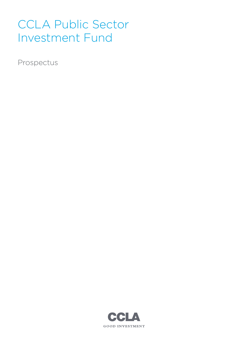# CCLA Public Sector Investment Fund

Prospectus

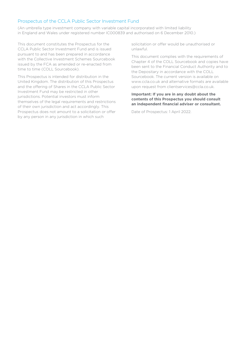# Prospectus of the CCLA Public Sector Investment Fund

(An umbrella type investment company with variable capital incorporated with limited liability in England and Wales under registered number IC000839 and authorised on 6 December 2010.)

This document constitutes the Prospectus for the CCLA Public Sector Investment Fund and is issued pursuant to and has been prepared in accordance with the Collective Investment Schemes Sourcebook issued by the FCA as amended or re-enacted from time to time (COLL Sourcebook).

This Prospectus is intended for distribution in the United Kingdom. The distribution of this Prospectus and the offering of Shares in the CCLA Public Sector Investment Fund may be restricted in other jurisdictions. Potential investors must inform themselves of the legal requirements and restrictions of their own jurisdiction and act accordingly. This Prospectus does not amount to a solicitation or offer by any person in any jurisdiction in which such

solicitation or offer would be unauthorised or unlawful.

This document complies with the requirements of Chapter 4 of the COLL Sourcebook and copies have been sent to the Financial Conduct Authority and to the Depositary in accordance with the COLL Sourcebook. The current version is available on www.ccla.co.uk and alternative formats are available upon request from clientservices@ccla.co.uk.

#### **Important: If you are in any doubt about the contents of this Prospectus you should consult an independent financial adviser or consultant.**

Date of Prospectus: 1 April 2022.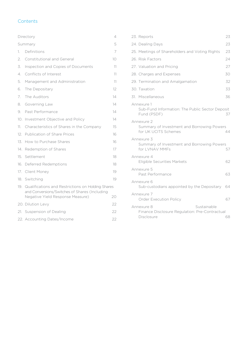# **Contents**

|     | Directory                                                                                          | 4  |
|-----|----------------------------------------------------------------------------------------------------|----|
|     | Summary                                                                                            | 5  |
| 1.  | Definitions                                                                                        | 7  |
| 2.  | <b>Constitutional and General</b>                                                                  | 10 |
| 3.  | Inspection and Copies of Documents                                                                 | 11 |
| 4.  | Conflicts of Interest                                                                              | 11 |
| 5.  | Management and Administration                                                                      | 11 |
| 6.  | The Depositary                                                                                     | 12 |
| 7.  | The Auditors                                                                                       | 14 |
| 8.  | Governing Law                                                                                      | 14 |
| 9.  | Past Performance                                                                                   | 14 |
| 10. | Investment Objective and Policy                                                                    | 14 |
| 11. | Characteristics of Shares in the Company                                                           | 15 |
| 12. | Publication of Share Prices                                                                        | 16 |
| 13. | How to Purchase Shares                                                                             | 16 |
| 14. | Redemption of Shares                                                                               | 17 |
| 15. | Settlement                                                                                         | 18 |
| 16. | Deferred Redemptions                                                                               | 18 |
|     | 17. Client Money                                                                                   | 19 |
|     | 18. Switching                                                                                      | 19 |
| 19. | Qualifications and Restrictions on Holding Shares<br>and Conversions/Switches of Shares (Including |    |
|     | Negative Yield Response Measure)                                                                   | 20 |
|     | 20. Dilution Levy                                                                                  | 22 |
|     | 21. Suspension of Dealing                                                                          | 22 |
|     | 22. Accounting Dates/Income                                                                        | 22 |

| 23. Reports                                                                               | 23 |
|-------------------------------------------------------------------------------------------|----|
| 24. Dealing Days                                                                          | 23 |
| 25. Meetings of Shareholders and Voting Rights                                            | 23 |
| 26. Risk Factors                                                                          | 24 |
| 27. Valuation and Pricing                                                                 | 27 |
| 28. Charges and Expenses                                                                  | 30 |
| 29. Termination and Amalgamation                                                          | 32 |
| 30. Taxation                                                                              | 33 |
| 31. Miscellaneous                                                                         | 36 |
| Annexure 1<br>Sub-Fund Information: The Public Sector Deposit<br>Fund (PSDF)              | 37 |
| Annexure 2<br>Summary of Investment and Borrowing Powers<br>for UK UCITS Schemes          | 44 |
| Annexure 3<br>Summary of Investment and Borrowing Powers<br>for LVNAV MMFs                | 57 |
| Annexure 4<br>Eligible Securities Markets                                                 | 62 |
| Annexure 5<br>Past Performance                                                            | 63 |
| Annexure 6<br>Sub-custodians appointed by the Depositary                                  | 64 |
| Annexure 7<br><b>Order Execution Policy</b>                                               | 67 |
| Sustainable<br>Annexure 8<br>Finance Disclosure Regulation: Pre-Contractual<br>Disclosure | 68 |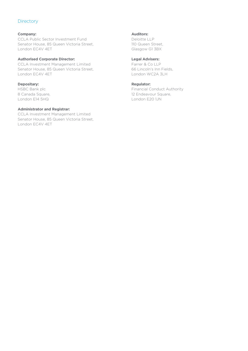# <span id="page-3-0"></span>**Directory**

### **Company:**

CCLA Public Sector Investment Fund Senator House, 85 Queen Victoria Street, London EC4V 4ET

#### **Authorised Corporate Director:**

CCLA Investment Management Limited Senator House, 85 Queen Victoria Street, London EC4V 4ET

# **Depositary:**

HSBC Bank plc 8 Canada Square, London E14 5HQ

#### **Administrator and Registrar:**

CCLA Investment Management Limited Senator House, 85 Queen Victoria Street, London EC4V 4ET

#### **Auditors:**

Deloitte LLP 110 Queen Street, Glasgow G1 3BX

# **Legal Advisers:**

Farrer & Co LLP 66 Lincoln's Inn Fields, London WC2A 3LH

#### **Regulator:**

Financial Conduct Authority 12 Endeavour Square, London E20 1JN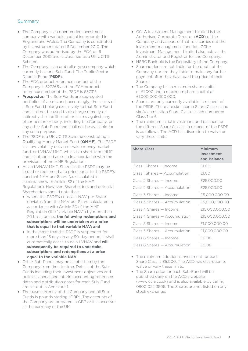# <span id="page-4-0"></span>**Summary**

- The Company is an open-ended investment company with variable capital incorporated in England and Wales. The Company is constituted by its Instrument dated 6 December 2010. The Company was authorised by the FCA on 6 December 2010 and is classified as a UK UCITS Scheme.
- The Company is an umbrella-type company which currently has one Sub-Fund, The Public Sector Deposit Fund (**PSDF**).
- The FCA product reference number of the Company is 527266 and the FCA product reference number of the PSDF is 637315.
- **Prospectus**: The Sub-Funds are segregated portfolios of assets and, accordingly, the assets of a Sub-Fund belong exclusively to that Sub-Fund and shall not be used to discharge directly or indirectly the liabilities of, or claims against, any other person or body, including the Company, or any other Sub-Fund and shall not be available for any such purpose.
- The PSDF is a UK UCITS Scheme constituting a Qualifying Money Market Fund (**QMMF**). The PSDF is a low volatility net asset value money market fund, or LVNAV MMF, which is a short term MMF and is authorised as such in accordance with the provisions of the MMF Regulation.
- As an LVNAV MMF, Shares in the PSDF may be issued or redeemed at a price equal to the PSDF's constant NAV per Share (as calculated in accordance with Article 32 of the MMF Regulation). However, Shareholders and potential Shareholders should note that:
	- where the PSDF's constant NAV per Share deviates from the NAV per Share calculated in accordance with Article 30 of the MMF Regulation (the "variable NAV") by more than 20 basis points, **the following redemptions and subscriptions will be undertaken at a price that is equal to that variable NAV; and**
	- in the event that the PSDF is suspended for more than 15 days in any 90-day period, it shall automatically cease to be a LVNAV and **will subsequently be required to undertake subscriptions and redemptions at a price equal to the variable NAV**.
- Other Sub-Funds may be established by the Company from time to time. Details of the Sub-Funds including their investment objectives and policies, annual and interim accounting reference dates and distribution dates for each Sub-Fund are set out in Annexure 1.
- The base currency of the Company and all Sub-Funds is pounds sterling (GBP). The accounts of the Company are prepared in GBP or its successor as the currency of the UK.
- CCLA Investment Management Limited is the Authorised Corporate Director (**ACD**) of the Company and as part of that role carries out the investment management function. CCLA Investment Management Limited also acts as the Administrator and Registrar for the Company.
- HSBC Bank plc is the Depositary of the Company.
- Shareholders are not liable for the debts of the Company nor are they liable to make any further payment after they have paid the price of their Shares.
- The Company has a minimum share capital of £1,000 and a maximum share capital of £1,000,000,000,000.
- Shares are only currently available in respect of the PSDF. There are six Income Share Classes and six Accumulation Share Classes each numbered Class 1 to 6.
- The minimum initial investment and balance for the different Share Classes in respect of the PSDF is as follows. The ACD has discretion to waive or vary these limits:

# **Share Class Minimum Investment and Balance** Class 1 Shares — Income 61.00  $Class 1 Shares - Accumulation 41.00$  $Class 2 Shares - Income 625,000,00$ Class 2 Shares — Accumulation £25,000.00 Class 3 Shares — Income £5,000,000.00 Class 3 Shares — Accumulation £5,000,000.00 Class 4 Shares — Income £15,000,000.00 Class 4 Shares — Accumulation £15,000,000.00 Class 5 Shares — Income £1,000,000.00 Class 5 Shares — Accumulation £1,000,000.00  $Class 6 Shares - Income 60.00$  $Class 6 Shares - Accumulation 60.00$

- The minimum additional investment for each Share Class is £5,000. The ACD has discretion to waive or vary these limits.
- The Share price for each Sub-Fund will be published daily on the ACD's website (www.ccla.co.uk) and is also available by calling 0800 022 3505. The Shares are not listed on any stock exchange.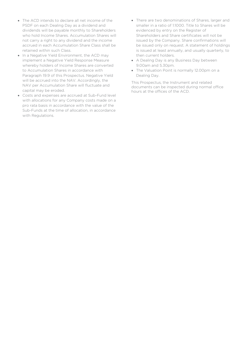- The ACD intends to declare all net income of the PSDF on each Dealing Day as a dividend and dividends will be payable monthly to Shareholders who hold Income Shares. Accumulation Shares will not carry a right to any dividend and the income accrued in each Accumulation Share Class shall be retained within such Class.
- In a Negative Yield Environment, the ACD may implement a Negative Yield Response Measure whereby holders of Income Shares are converted to Accumulation Shares in accordance with Paragraph 19.9 of this Prospectus. Negative Yield will be accrued into the NAV. Accordingly, the NAV per Accumulation Share will fluctuate and capital may be eroded.
- Costs and expenses are accrued at Sub-Fund level with allocations for any Company costs made on a pro rata basis in accordance with the value of the Sub-Funds at the time of allocation, in accordance with Regulations.
- There are two denominations of Shares, larger and smaller in a ratio of 1:1000. Title to Shares will be evidenced by entry on the Register of Shareholders and Share certificates will not be issued by the Company. Share confirmations will be issued only on request. A statement of holdings is issued at least annually, and usually quarterly, to then current holders.
- A Dealing Day is any Business Day between 9.00am and 5.30pm.
- The Valuation Point is normally 12.00pm on a Dealing Day.

This Prospectus, the Instrument and related documents can be inspected during normal office hours at the offices of the ACD.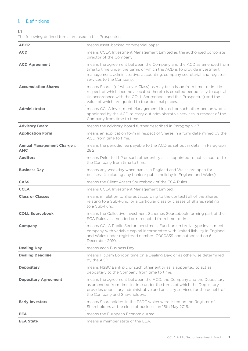# <span id="page-6-0"></span>1. Definitions

# **1.1**

The following defined terms are used in this Prospectus:

| <b>ABCP</b>                               | means asset-backed commercial paper.                                                                                                                                                                                                                                                   |
|-------------------------------------------|----------------------------------------------------------------------------------------------------------------------------------------------------------------------------------------------------------------------------------------------------------------------------------------|
| <b>ACD</b>                                | means CCLA Investment Management Limited as the authorised corporate<br>director of the Company.                                                                                                                                                                                       |
| <b>ACD Agreement</b>                      | means the agreement between the Company and the ACD as amended from<br>time to time under the terms of which the ACD is to provide investment<br>management, administrative, accounting, company secretarial and registrar<br>services to the Company.                                 |
| <b>Accumulation Shares</b>                | means Shares (of whatever Class) as may be in issue from time to time in<br>respect of which income allocated thereto is credited periodically to capital<br>(in accordance with the COLL Sourcebook and this Prospectus) and the<br>value of which are quoted to four decimal places. |
| <b>Administrator</b>                      | means CCLA Investment Management Limited, or such other person who is<br>appointed by the ACD to carry out administrative services in respect of the<br>Company from time to time.                                                                                                     |
| <b>Advisory Board</b>                     | means the advisory board further described in Paragraph 2.7.                                                                                                                                                                                                                           |
| <b>Application Form</b>                   | means an application form in respect of Shares in a form determined by the<br>ACD from time to time.                                                                                                                                                                                   |
| Annual Management Charge or<br><b>AMC</b> | means the periodic fee payable to the ACD as set out in detail in Paragraph<br>28.2.                                                                                                                                                                                                   |
| <b>Auditors</b>                           | means Deloitte LLP or such other entity as is appointed to act as auditor to<br>the Company from time to time.                                                                                                                                                                         |
| <b>Business Day</b>                       | means any weekday when banks in England and Wales are open for<br>business (excluding any bank or public holiday in England and Wales).                                                                                                                                                |
| <b>CASS</b>                               | means the Client Assets Sourcebook of the FCA Rules.                                                                                                                                                                                                                                   |
| <b>CCLA</b>                               | means CCLA Investment Management Limited.                                                                                                                                                                                                                                              |
| <b>Class or Classes</b>                   | means in relation to Shares (according to the context) all of the Shares<br>relating to a Sub-Fund, or a particular class or classes of Shares relating<br>to a Sub-Fund.                                                                                                              |
| <b>COLL Sourcebook</b>                    | means the Collective Investment Schemes Sourcebook forming part of the<br>FCA Rules as amended or re-enacted from time to time.                                                                                                                                                        |
| <b>Company</b>                            | means CCLA Public Sector Investment Fund, an umbrella type investment<br>company with variable capital incorporated with limited liability in England<br>and Wales under registered number IC000839 and authorised on 6<br>December 2010.                                              |
| <b>Dealing Day</b>                        | means each Business Day.                                                                                                                                                                                                                                                               |
| <b>Dealing Deadline</b>                   | means 11.30am London time on a Dealing Day; or as otherwise determined<br>by the ACD.                                                                                                                                                                                                  |
| <b>Depositary</b>                         | means HSBC Bank plc or such other entity as is appointed to act as<br>depositary to the Company from time to time.                                                                                                                                                                     |
| <b>Depositary Agreement</b>               | means the agreement between the ACD, the Company and the Depositary<br>as amended from time to time under the terms of which the Depositary<br>provides depositary, administrative and ancillary services for the benefit of<br>the Company and Shareholders.                          |
| <b>Early Investors</b>                    | means Shareholders in the PSDF which were listed on the Register of<br>Shareholders at the close of business on 16th May 2016.                                                                                                                                                         |
| <b>EEA</b>                                | means the European Economic Area.                                                                                                                                                                                                                                                      |
| <b>EEA State</b>                          | means a member state of the EEA.                                                                                                                                                                                                                                                       |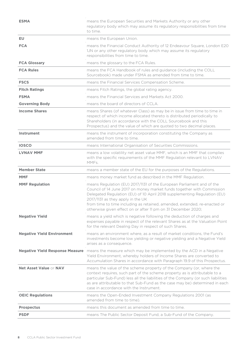| <b>ESMA</b>                            | means the European Securities and Markets Authority or any other<br>regulatory body which may assume its regulatory responsibilities from time<br>to time.                                                                                                                                                                                                                                                     |
|----------------------------------------|----------------------------------------------------------------------------------------------------------------------------------------------------------------------------------------------------------------------------------------------------------------------------------------------------------------------------------------------------------------------------------------------------------------|
| <b>EU</b>                              | means the European Union.                                                                                                                                                                                                                                                                                                                                                                                      |
| <b>FCA</b>                             | means the Financial Conduct Authority of 12 Endeavour Square, London E20<br>1JN or any other regulatory body which may assume its regulatory<br>responsibilities from time to time.                                                                                                                                                                                                                            |
| <b>FCA Glossary</b>                    | means the glossary to the FCA Rules.                                                                                                                                                                                                                                                                                                                                                                           |
| <b>FCA Rules</b>                       | means the FCA Handbook of rules and guidance (including the COLL<br>Sourcebook) made under FSMA as amended from time to time.                                                                                                                                                                                                                                                                                  |
| <b>FSCS</b>                            | means the Financial Services Compensation Scheme.                                                                                                                                                                                                                                                                                                                                                              |
| <b>Fitch Ratings</b>                   | means Fitch Ratings, the global rating agency.                                                                                                                                                                                                                                                                                                                                                                 |
| <b>FSMA</b>                            | means the Financial Services and Markets Act 2000.                                                                                                                                                                                                                                                                                                                                                             |
| <b>Governing Body</b>                  | means the board of directors of CCLA.                                                                                                                                                                                                                                                                                                                                                                          |
| <b>Income Shares</b>                   | means Shares (of whatever Class) as may be in issue from time to time in<br>respect of which income allocated thereto is distributed periodically to<br>Shareholders (in accordance with the COLL Sourcebook and this<br>Prospectus) and the value of which are quoted to two decimal places.                                                                                                                  |
| Instrument                             | means the instrument of incorporation constituting the Company as<br>amended from time to time                                                                                                                                                                                                                                                                                                                 |
| <b>IOSCO</b>                           | means International Organisation of Securities Commissions.                                                                                                                                                                                                                                                                                                                                                    |
| <b>LVNAV MMF</b>                       | means a low volatility net asset value MMF, which is an MMF that complies<br>with the specific requirements of the MMF Regulation relevant to LVNAV<br>MMF <sub>S</sub>                                                                                                                                                                                                                                        |
| <b>Member State</b>                    | means a member state of the EU for the purposes of the Regulations.                                                                                                                                                                                                                                                                                                                                            |
| <b>MMF</b>                             | means money market fund as described in the MMF Regulation.                                                                                                                                                                                                                                                                                                                                                    |
| <b>MMF Regulation</b>                  | means Regulation (EU) 2017/1131 of the European Parliament and of the<br>Council of 14 June 2017 on money market funds together with Commission<br>Delegated Regulation (EU) of 10 April 2018 supplementing Regulation (EU)<br>2017/1131 as they apply in the UK<br>from time to time including as retained, amended, extended, re-enacted or<br>otherwise given effect on or after 11 pm on 31 December 2020; |
| <b>Negative Yield</b>                  | means a yield which is negative following the deduction of charges and<br>expenses payable in respect of the relevant Shares as at the Valuation Point<br>for the relevant Dealing Day in respect of such Shares.                                                                                                                                                                                              |
| <b>Negative Yield Environment</b>      | means an environment where, as a result of market conditions, the Fund's<br>investments become low yielding or negative yielding and a Negative Yield<br>arises as a consequence.                                                                                                                                                                                                                              |
| <b>Negative Yield Response Measure</b> | means the measure which may be implemented by the ACD in a Negative<br>Yield Environment, whereby holders of Income Shares are converted to<br>Accumulation Shares in accordance with Paragraph 19.9 of this Prospectus.                                                                                                                                                                                       |
| Net Asset Value or NAV                 | means the value of the scheme property of the Company (or, where the<br>context requires, such part of the scheme property as is attributable to a<br>particular Sub-Fund) less all the liabilities of the Company (or such liabilities<br>as are attributable to that Sub-Fund as the case may be) determined in each<br>case in accordance with the Instrument.                                              |
| <b>OEIC Regulations</b>                | means the Open-Ended Investment Company Regulations 2001 (as<br>amended from time to time).                                                                                                                                                                                                                                                                                                                    |
| <b>Prospectus</b>                      | means this document as amended from time to time.                                                                                                                                                                                                                                                                                                                                                              |
| <b>PSDF</b>                            | means The Public Sector Deposit Fund, a Sub-Fund of the Company.                                                                                                                                                                                                                                                                                                                                               |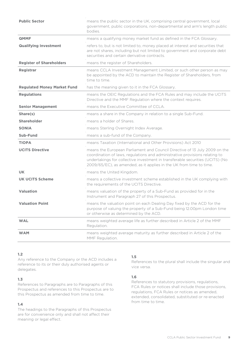| <b>Public Sector</b>               | means the public sector in the UK, comprising central government, local<br>government, public corporations, non-departmental and arm's length public<br>bodies.                                                                                                                                                   |
|------------------------------------|-------------------------------------------------------------------------------------------------------------------------------------------------------------------------------------------------------------------------------------------------------------------------------------------------------------------|
| <b>QMMF</b>                        | means a qualifying money market fund as defined in the FCA Glossary.                                                                                                                                                                                                                                              |
| <b>Qualifying Investment</b>       | refers to, but is not limited to, money placed at interest and securities that<br>are not shares, including but not limited to government and corporate debt<br>securities and certain derivative contracts.                                                                                                      |
| <b>Register of Shareholders</b>    | means the register of Shareholders.                                                                                                                                                                                                                                                                               |
| Registrar                          | means CCLA Investment Management Limited, or such other person as may<br>be appointed by the ACD to maintain the Register of Shareholders, from<br>time to time.                                                                                                                                                  |
| <b>Regulated Money Market Fund</b> | has the meaning given to it in the FCA Glossary.                                                                                                                                                                                                                                                                  |
| <b>Regulations</b>                 | means the OEIC Regulations and the FCA Rules and may include the UCITS<br>Directive and the MMF Regulation where the context requires.                                                                                                                                                                            |
| <b>Senior Management</b>           | means the Executive Committee of CCLA.                                                                                                                                                                                                                                                                            |
| Share(s)                           | means a share in the Company in relation to a single Sub-Fund.                                                                                                                                                                                                                                                    |
| <b>Shareholder</b>                 | means a holder of Shares.                                                                                                                                                                                                                                                                                         |
| <b>SONIA</b>                       | means Sterling Overnight Index Average.                                                                                                                                                                                                                                                                           |
| Sub-Fund                           | means a sub-fund of the Company.                                                                                                                                                                                                                                                                                  |
| <b>TIOPA</b>                       | means Taxation (International and Other Provisions) Act 2010                                                                                                                                                                                                                                                      |
| <b>UCITS Directive</b>             | means the European Parliament and Council Directive of 13 July 2009 on the<br>coordination of laws, regulations and administrative provisions relating to<br>undertakings for collective investment in transferable securities (UCITS) (No<br>2009/65/EC), as amended, as it applies in the UK from time to time. |
| <b>UK</b>                          | means the United Kingdom.                                                                                                                                                                                                                                                                                         |
| <b>UK UCITS Scheme</b>             | means a collective investment scheme established in the UK complying with<br>the requirements of the UCITS Directive.                                                                                                                                                                                             |
| Valuation                          | means valuation of the property of a Sub-Fund as provided for in the<br>Instrument and Paragraph 27 of this Prospectus.                                                                                                                                                                                           |
| <b>Valuation Point</b>             | means the valuation point on each Dealing Day fixed by the ACD for the<br>purpose of valuing the property of a Sub-Fund being 12.00pm London time<br>or otherwise as determined by the ACD.                                                                                                                       |
| <b>WAL</b>                         | means weighted average life as further described in Article 2 of the MMF<br>Regulation.                                                                                                                                                                                                                           |
| <b>WAM</b>                         | means weighted average maturity as further described in Article 2 of the<br>MMF Regulation.                                                                                                                                                                                                                       |

Any reference to the Company or the ACD includes a reference to its or their duly authorised agents or delegates.

#### **1.3**

References to Paragraphs are to Paragraphs of this Prospectus and references to this Prospectus are to this Prospectus as amended from time to time.

# **1.4**

The headings to the Paragraphs of this Prospectus are for convenience only and shall not affect their meaning or legal effect.

### **1.5**

References to the plural shall include the singular and vice versa.

### **1.6**

References to statutory provisions, regulations, FCA Rules or notices shall include those provisions, regulations, FCA Rules or notices as amended, extended, consolidated, substituted or re-enacted from time to time.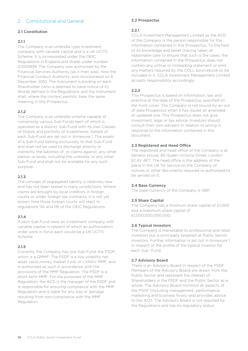# <span id="page-9-0"></span>2. Constitutional and General

### **2.1 Constitution**

#### **2.1.1**

The Company is an umbrella type investment company with variable capital and is a UK UCITS Scheme. It is incorporated under the OEIC Regulations in England and Wales under number IC000839. The Company was authorised by the Financial Services Authority (as it then was), now the Financial Conduct Authority, and incorporated on 6 December 2010. The Instrument is binding on each Shareholder (who is deemed to have notice of it). Words defined in the Regulations and the Instrument shall, where the context permits, bear the same meaning in this Prospectus.

#### **2.1.2**

The Company is an umbrella scheme capable of comprising various Sub-Funds each of which is operated as a distinct Sub-Fund with its own Classes of Shares and portfolio of investments. Details of each Sub-Fund are set out in Annexure 1. The assets of a Sub-Fund belong exclusively to that Sub-Fund and shall not be used to discharge directly or indirectly the liabilities of, or claims against, any other person or body, including the umbrella, or any other Sub-Fund and shall not be available for any such purpose.

#### **2.1.3**

The concept of segregated liability is relatively new and has not been tested in many jurisdictions. Where claims are brought by local creditors in foreign courts or under foreign law contracts, it is not yet known how those foreign courts will react to regulations 11A and 11B of the OEIC Regulations.

#### **2.1.4**

If each Sub-Fund were an investment company with variable capital in respect of which an authorisation order were in force each would be a UK UCITS Scheme.

#### **2.1.5**

Currently the Company has one Sub-Fund, the PSDF, which is a QMMF. The PSDF is a low volatility net asset value money market fund, or LVNAV MMF, and is authorised as such in accordance with the provisions of the MMF Regulation. The PSDF is a short-term MMF. For the purposes of the MMF Regulation, the ACD is the manager of the PSDF and is responsible for ensuring compliance with the MMF Regulation and is liable for any loss or damage resulting from non-compliance with the MMF Regulation.

#### **2.2 Prospectus**

#### **2.2.1**

CCLA Investment Management Limited as the ACD of the Company is the person responsible for the information contained in this Prospectus. To the best of its knowledge and belief (having taken all reasonable care to ensure that such is the case), the information contained in the Prospectus does not contain any untrue or misleading statement or omit any matters required by the COLL Sourcebook to be included in it. CCLA Investment Management Limited accepts responsibility accordingly.

# **2.2.2**

This Prospectus is based on information, law and practice at the date of the Prospectus specified on the front cover. The Company is not bound by an out of date Prospectus when it has issued an amended or updated one. This Prospectus does not give investment, legal or tax advice. Investors should consult their own advisers in relation to acting in response to the information contained in this document.

#### **2.3 Registered and Head Office**

The registered and head office of the Company is at Senator House, 85 Queen Victoria Street, London EC4V 4ET. The head office is the address of the place in the UK for service on the Company of notices or other documents required or authorised to be served on it.

#### **2.4 Base Currency**

The base currency of the Company is GBP.

### **2.5 Share Capital**

The Company has a minimum share capital of £1,000 and a maximum share capital of £1,000,000,000,000.

#### **2.6 Typical Investors**

The Company is marketable to professional and retail investors but is principally targeted at Public Sector investors. Further information is set out in Annexure 1 in respect of the profile of the typical investor for each Sub- Fund.

#### **2.7 Advisory Board**

There is an Advisory Board in respect of the PSDF. Members of the Advisory Board are drawn from the Public Sector and represent the interest of Shareholders in the PSDF and the Public Sector as a whole. The Advisory Board monitors all aspects of the PSDF (including management, performance, marketing and business flows) and provides advice to the ACD. The Advisory Board is not required by the Regulations and has no regulatory status.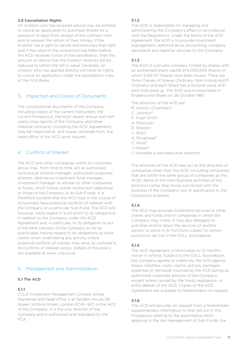#### **2.8 Cancellation Rights**

An investor who has received advice may be entitled to cancel an application to purchase Shares for a period of 14 days from receipt of the contract note and to request the return of their money. If the investor has a right to cancel and exercises that right and if the value of the investment has fallen before the ACD receives notice of the cancellation, then the amount of refund that the investor receives will be reduced to reflect the fall in value. Generally, an investor who has applied directly will have no rights to cancel an application under the cancellation rules of the FCA Rules.

# <span id="page-10-0"></span>3. Inspection and Copies of Documents

The constitutional documents of the Company, including copies of the current Instrument, the current Prospectus, the most recent annual and halfyearly long reports of the Company and other material contracts (including the ACD Agreement) may be inspected at, and copies obtained from, the head office of the ACD upon request.

# <span id="page-10-1"></span>4. Conflicts of Interest

The ACD and other companies within its corporate group may, from time to time, act as authorised contractual scheme manager, authorised corporate director, alternative investment fund manager, investment manager or adviser to other companies or funds, which follow similar investment objectives to those of the Company or its Sub-Funds. It is therefore possible that the ACD may in the course of its business have potential conflicts of interest with the Company or a particular Sub-Fund. The ACD will, however, have regard in such event to its obligations in relation to the Company under the ACD Agreement and, in particular, to its obligation to act in the best interests of the Company so far as practicable, having regard to its obligations to other clients when undertaking any activity where potential conflicts of interest may arise, as outlined in its Conflicts of Interest policy. Details of this policy are available at www.ccla.co.uk.

# <span id="page-10-2"></span>5. Management and Administration

#### **5.1 The ACD**

#### **5.1.1**

CCLA Investment Management Limited, whose registered and head office is at Senator House, 85 Queen Victoria Street, London EC4V 4ET, is the ACD of the Company. It is the only director of the Company and is authorised and regulated by the FCA.

#### **5.1.2**

The ACD is responsible for managing and administering the Company's affairs in accordance with the Regulations. Under the terms of the ACD Agreement, the ACD is to provide investment management, administrative, accounting, company secretarial and registrar services to the Company.

### **5.1.3**

The ACD is a private company limited by shares with an authorised share capital of 6,000,000 Shares of which 5,192,137 Shares have been issued. There are three Classes of Shares (Ordinary, Non-Voting and P Ordinary) and each Share has a nominal value of £1 each fully paid up. The ACD was incorporated in England and Wales on 26 October 1987.

The directors of the ACD are:

- R. Horlick (Chairman)\*
- C. Johnson\*
- P. Hugh Smith
- A. Robinson
- E. Sheldon
- J. Jesty\*
- A. Roughead\*
- C. West\*
- J. Hobart\*
- (\* indicates a non-executive director)

The directors of the ACD also act as the directors of companies other than the ACD (including companies that are within the same group of companies as the ACD). None of the main business activities of the directors (other than those connected with the business of the Company) are of significance to the Company's business.

### **5.1.4**

The ACD may provide investment services to other clients and funds and to companies in which the Company may invest. It may also delegate its activities and/or retain the services of another person to assist in its functions subject to certain exclusions set out in the COLL Sourcebook.

#### **5.1.5**

The ACD Agreement is terminable on 12 months' notice in writing. Subject to the COLL Sourcebook, the Company agrees to indemnify the ACD against losses, liabilities, costs, claims, actions, damages, expenses or demands incurred by the ACD acting as authorised corporate director of the Company except where caused by the fraud, negligence, or wilful default of the ACD. Copies of the ACD Agreement are available to Shareholders on request.

#### **5.1.6**

The ACD will provide, on request from a Shareholder, supplementary information to that set out in this Prospectus relating to the quantitative limits applying in the risk management of Sub-Funds, the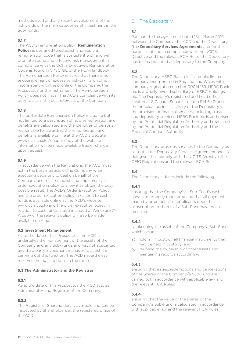methods used and any recent development of the risk yields of the main categories of investment in the Sub-Funds.

# **5.1.7**

The ACD's remuneration policy (**Remuneration Policy**) is designed to establish and apply a remuneration code that is consistent with and will promote sound and effective risk management in compliance with the UCITS Directive's Remuneration Code as found in SYSC 19E of the FCA Handbook. The Remuneration Policy ensures that there is no encouragement of excessive risk-taking which is inconsistent with the profile of the Company, the Prospectus or the Instrument. The Remuneration Policy does not impair the ACD's compliance with its duty to act in the best interests of the Company.

# **5.1.8**

The up-to-date Remuneration Policy including but not limited to a description of how remuneration and benefits are calculated and the identities of persons responsible for awarding the remuneration and benefits is available online at the ACD's website: www.ccla.co.uk. A paper copy of the website information will be made available free of charge upon request.

### **5.1.9**

In accordance with the Regulations, the ACD must act in the best interests of the Company when executing decisions to deal on behalf of the Company and must establish and implement an order execution policy to allow it to obtain the best possible result. The ACD's Order Execution Policy and the order execution policy in relation to cash funds is available online at the ACD's website: www.ccla.co.uk.(and the order execution policy in relation to cash funds is also included at Annexure 7). A copy of the relevant policy will also be made available on request.

### **5.2 Investment Management**

As at the date of this Prospectus, the ACD undertakes the management of the assets of the Company and any Sub-Funds and has not appointed any third party investment manager to assist it in carrying out this function. The ACD nevertheless reserves the right to do so in the future.

### **5.3 The Administrator and the Registrar**

### **5.3.1**

As at the date of this Prospectus the ACD acts as Administrator and Registrar of the Company.

### **5.3.2**

The Register of Shareholders is available and can be inspected by Shareholders at the registered office of the ACD.

# <span id="page-11-0"></span>6. The Depositary

# **6.1**

Pursuant to the agreement dated 18th March 2016 between the Company, the ACD and the Depositary (the **Depositary Services Agreement**) and for the purposes of and in compliance with the UCITS Directive and the relevant FCA Rules, the Depositary has been appointed as depositary to the Company.

#### **6.2**

The Depositary, HSBC Bank plc is a public limited company incorporated in England and Wales with company registration number 00014259. HSBC Bank plc is a wholly owned subsidiary of HSBC Holdings plc. The Depositary's registered and head office is located at 8 Canada Square, London E14 5HQ and the principal business activity of the Depositary is the provision of financial services, including trustee and depositary services. HSBC Bank plc is authorised by the Prudential Regulation Authority and regulated by the Prudential Regulation Authority and the Financial Conduct Authority.

# **6.3**

The Depositary provides services to the Company as set out in the Depositary Services Agreement and, in doing so, shall comply with the UCITS Directive, the OEIC Regulations and the relevant FCA Rules.

# **6.4**

The Depositary's duties include the following:

### **6.4.1**

ensuring that the Company's/a Sub-Fund's cash flows are properly monitored and that all payments made by or on behalf of applicants upon the subscription to shares of a Sub-Fund have been received;

### **6.4.2**

safekeeping the assets of the Company/a Sub-Fund which includes

- a) holding in custody all financial instruments that may be held in custody; and
- b) verifying the ownership of other assets and maintaining records accordingly;

### **6.4.3**

ensuring that issues, redemptions and cancellations of the Shares of the Company/a Sub-Fund are carried out in accordance with applicable law and the relevant FCA Rules;

### **6.4.4**

ensuring that the value of the shares of the Company/a Sub-Fund is calculated in accordance with applicable law and the relevant FCA Rules;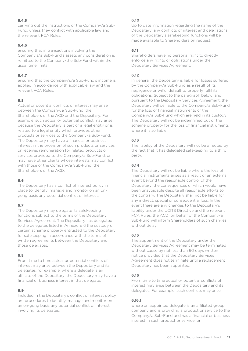# **6.4.5**

carrying out the instructions of the Company/a Sub-Fund, unless they conflict with applicable law and the relevant FCA Rules;

### **6.4.6**

ensuring that in transactions involving the Company's/a Sub-Fund's assets any consideration is remitted to the Company/the Sub-Fund within the usual time limits;

# **6.4.7**

ensuring that the Company's/a Sub-Fund's income is applied in accordance with applicable law and the relevant FCA Rules.

# **6.5**

Actual or potential conflicts of interest may arise between the Company, a Sub-Fund, the Shareholders or the ACD and the Depositary. For example, such actual or potential conflict may arise because the Depositary is part of a legal entity or is related to a legal entity which provides other products or services to the Company/a Sub-Fund. The Depositary may have a financial or business interest in the provision of such products or services, or receives remuneration for related products or services provided to the Company/a Sub-Fund, or may have other clients whose interests may conflict with those of the Company/a Sub-Fund, the Shareholders or the ACD.

### **6.6**

The Depositary has a conflict of interest policy in place to identify, manage and monitor on an ongong basis any potential conflict of interest.

# **6.7**

The Depositary may delegate its safekeeping functions subject to the terms of the Depositary Services Agreement. The Depositary has delegated to the delegates listed in Annexure 6 the custody of certain scheme property entrusted to the Depositary for safekeeping in accordance with the terms of written agreements between the Depositary and those delegates.

### **6.8**

From time to time actual or potential conflicts of interest may arise between the Depositary and its delegates, for example, where a delegate is an affiliate of the Depositary, the Depositary may have a financial or business interest in that delegate.

### **6.9**

Included in the Depositary's conflict of interest policy are procedures to identify, manage and monitor on an on-gong basis any potential conflict of interest involving its delegates.

# **6.10**

Up to date information regarding the name of the Depositary, any conflicts of interest and delegations of the Depositary's safekeeping functions will be made available to Shareholders on request.

# **6.11**

Shareholders have no personal right to directly enforce any rights or obligations under the Depositary Services Agreement.

# **6.12**

In general, the Depositary is liable for losses suffered by the Company/a Sub-Fund as a result of its negligence or wilful default to properly fulfil its obligations. Subject to the paragraph below, and pursuant to the Depositary Services Agreement, the Depositary will be liable to the Company/a Sub-Fund for the loss of financial instruments of the Company/a Sub-Fund which are held in its custody. The Depositary will not be indemnified out of the scheme property for the loss of financial instruments where it is so liable.

# **6.13**

The liability of the Depositary will not be affected by the fact that it has delegated safekeeping to a third party.

# **6.14**

The Depositary will not be liable where the loss of financial instruments arises as a result of an external event beyond the reasonable control of the Depositary, the consequences of which would have been unavoidable despite all reasonable efforts to the contrary. The Depositary shall not be liable for any indirect, special or consequential loss. In the event there are any changes to the Depositary's liability under the UCITS Directive and the relevant FCA Rules, the ACD, on behalf of the Company/a Sub-Fund will inform Shareholders of such changes without delay.

### **6.15**

The appointment of the Depositary under the Depositary Services Agreement may be terminated without cause by not less than 90 days written notice provided that the Depositary Services Agreement does not terminate until a replacement Depositary has been appointed.

### **6.16**

From time to time actual or potential conflicts of interest may arise between the Depositary and its delegates. For example, such conflicts may arise:

### **6.16.1**

where an appointed delegate is an affiliated group company and is providing a product or service to the Company/a Sub-Fund and has a financial or business interest in such product or service; or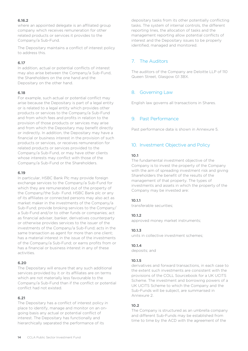### **6.16.2**

where an appointed delegate is an affiliated group company which receives remuneration for other related products or services it provides to the Company/a Sub-Fund.

The Depositary maintains a conflict of interest policy to address this.

#### **6.17**

In addition, actual or potential conflicts of interest may also arise between the Company/a Sub-Fund, the Shareholders on the one hand and the Depositary on the other hand.

#### **6.18**

For example, such actual or potential conflict may arise because the Depositary is part of a legal entity or is related to a legal entity which provides other products or services to the Company/a Sub-Fund and from which fees and profits in relation to the provision of those products or services may arise and from which the Depositary may benefit directly or indirectly. In addition, the Depositary may have a financial or business interest in the provision of such products or services, or receives remuneration for related products or services provided to the Company/a Sub-Fund, or may have other clients whose interests may conflict with those of the Company/a Sub-Fund or the Shareholders.

#### **6.19**

In particular, HSBC Bank Plc may provide foreign exchange services to the Company/a Sub-Fund for which they are remunerated out of the property of the Company/the Sub- Fund. HSBC Bank plc or any of its affiliates or connected persons may also act as market maker in the investments of the Company/a Sub-Fund; provide broking services to the Company/ a Sub-Fund and/or to other funds or companies; act as financial adviser, banker, derivatives counterparty or otherwise provides services to the issuer of the investments of the Company/a Sub-Fund; acts in the same transaction as agent for more than one client; has a material interest in the issue of the investments of the Company/a Sub-Fund; or earns profits from or has a financial or business interest in any of these activities.

### **6.20**

The Depositary will ensure that any such additional services provided by it or its affiliates are on terms which are not materially less favourable to the Company/a Sub-Fund than if the conflict or potential conflict had not existed.

#### **6.21**

The Depositary has a conflict of interest policy in place to identify, manage and monitor on an ongoing basis any actual or potential conflict of interest. The Depositary has functionally and hierarchically separated the performance of its

depositary tasks from its other potentially conflicting tasks. The system of internal controls, the different reporting lines, the allocation of tasks and the management reporting allow potential conflicts of interest and the Depositary issues to be properly identified, managed and monitored.

# <span id="page-13-0"></span>7. The Auditors

The auditors of the Company are Deloitte LLP of 110 Queen Street, Glasgow G1 3BX.

# <span id="page-13-1"></span>8. Governing Law

<span id="page-13-2"></span>English law governs all transactions in Shares.

# 9. Past Performance

<span id="page-13-3"></span>Past performance data is shown in Annexure 5.

# 10. Investment Objective and Policy

#### **10.1**

The fundamental investment objective of the Company is to invest the property of the Company with the aim of spreading investment risk and giving Shareholders the benefit of the results of the management of that property. The types of investments and assets in which the property of the Company may be invested are:

#### **10.1.1**

transferable securities;

#### **10.1.2**

approved money market instruments;

#### **10.1.3**

units in collective investment schemes;

#### **10.1.4**

deposits; and

#### **10.1.5**

derivatives and forward transactions, in each case to the extent such investments are consistent with the provisions of the COLL Sourcebook for a UK UCITS Scheme. The investment and borrowing powers of a UK UCITS Scheme to which the Company and the Sub-Funds will be subject, are summarised in Annexure 2.

### **10.2**

The Company is structured as an umbrella company and different Sub-Funds may be established from time to time by the ACD with the agreement of the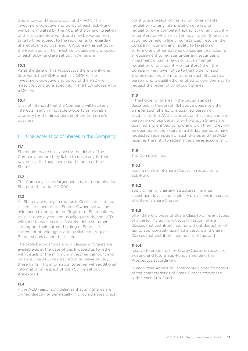Depositary and the approval of the FCA. The investment objective and policy of each Sub-Fund will be formulated by the ACD at the time of creation of the relevant Sub-Fund, and may be varied from time to time subject to the requirements regarding Shareholder approval and FCA consent as set out in the Regulations. The investment objective and policy of each Sub-Fund are set out in Annexure 1.

#### **10.3**

As at the date of this Prospectus there is only one Sub-Fund, the PSDF which is a QMMF. The investment objective and policy of the PSDF will meet the conditions specified in the FCA Glossary for a QMMF.

#### **10.4**

It is not intended that the Company will have any interests in any immovable property or movable property for the direct pursuit of the Company's business.

# <span id="page-14-0"></span>11. Characteristics of Shares in the Company

#### **11.1**

Shareholders are not liable for the debts of the Company, nor are they liable to make any further payment after they have paid the price of their Shares.

#### **11.2**

The Company issues larger and smaller denomination Shares in the ratio of 1:1000.

### **11.3**

All Shares are in registered form. Certificates are not issued in respect of the Shares. Ownership will be evidenced by entry on the Register of Shareholders. At least once a year, and usually quarterly, the ACD will send to each current Shareholder a statement setting out their current holding of Shares. A statement of holdings is also available on request. Bearer shares cannot be issued.

The table below shows which Classes of Shares are available as at the date of this Prospectus together with details of the minimum investment amount and balance. The ACD has discretion to waive or vary these limits. This information together with additional information in respect of the PSDF is set out in Annexure 1.

### **11.4**

If the ACD reasonably believes that any Shares are owned directly or beneficially in circumstances which constitute a breach of the law or governmental regulation (or any interpretation of a law or regulation by a competent authority) of any country or territory or which may (or may if other Shares are acquired or held in like circumstances) result in the Company incurring any liability to taxation or suffering any other adverse consequence (including a requirement to register under any securities or investment or similar laws or governmental regulation of any country or territory) then the Company may give notice to the holder of such Shares requiring them to transfer such Shares to a person who is qualified or entitled to own them, or to request the redemption of such Shares.

#### **11.5**

If the holder of Shares in the circumstances described in Paragraph 11.4 above does not either transfer such Shares to a qualified person or establish to the ACD's satisfaction that they and any person on whose behalf they hold such Shares are qualified and entitled to hold and own them, they will be deemed on the expiry of a 30-day period to have requested redemption of such Shares and the ACD reserves the right to redeem the Shares accordingly.

#### **11.6**

The Company may:

#### **11.6.1**

issue a number of Share Classes in respect of a Sub-Fund;

### **11.6.2**

apply differing charging structures, minimum investment levels and eligibility provisions in respect of different Share Classes;

#### **11.6.3**

offer different types of Share Class to different types of investor including, without limitation, Share Classes that distribute income without deduction of tax to appropriately qualified investors and Share Classes that distribute income net of tax; and

#### **11.6.4**

resolve to create further Share Classes in respect of existing and future Sub-Funds amending this Prospectus accordingly.

In each case Annexure 1 shall contain specific details of the characteristics of Share Classes comprised within each Sub-Fund.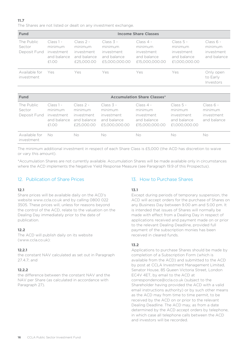The Shares are not listed or dealt on any investment exchange.

| <b>Fund</b>                          |                                                              | <b>Income Share Classes</b>                                       |                                                                      |                                                                       |                                                                      |                                                     |
|--------------------------------------|--------------------------------------------------------------|-------------------------------------------------------------------|----------------------------------------------------------------------|-----------------------------------------------------------------------|----------------------------------------------------------------------|-----------------------------------------------------|
| The Public<br>Sector<br>Deposit Fund | $Class 1 -$<br>minimum<br>investment<br>and balance<br>£1.00 | $Class 2 -$<br>minimum<br>investment<br>and balance<br>£25,000,00 | $Class 3 -$<br>minimum<br>investment<br>and balance<br>£5,000,000,00 | $Class 4 -$<br>minimum<br>investment<br>and balance<br>£15,000,000,00 | $Class 5 -$<br>minimum<br>investment<br>and balance<br>£1,000,000,00 | $Class 6 -$<br>minimum<br>investment<br>and balance |
| Available for<br>investment          | Yes                                                          | Yes                                                               | Yes                                                                  | Yes                                                                   | Yes                                                                  | Only open<br>to Early<br>Investors                  |

| <b>Fund</b>                          |                                                              | <b>Accumulation Share Classes*</b>                                |                                                                      |                                                                       |                                                                      |                                                     |
|--------------------------------------|--------------------------------------------------------------|-------------------------------------------------------------------|----------------------------------------------------------------------|-----------------------------------------------------------------------|----------------------------------------------------------------------|-----------------------------------------------------|
| The Public<br>Sector<br>Deposit Fund | $Class 1 -$<br>minimum<br>investment<br>and balance<br>£1.00 | $Class 2 -$<br>minimum<br>investment<br>and balance<br>£25,000,00 | $Class 3 -$<br>minimum<br>investment<br>and balance<br>£5,000,000,00 | $Class 4 -$<br>minimum<br>investment<br>and balance<br>£15,000,000,00 | $Class 5 -$<br>minimum<br>investment<br>and balance<br>£1.000.000.00 | $Class 6 -$<br>minimum<br>investment<br>and balance |
| Available for<br>investment          | No.                                                          | Nο                                                                | No                                                                   | No                                                                    | No                                                                   | No                                                  |

The minimum additional investment in respect of each Share Class is £5,000 (the ACD has discretion to waive or vary this amount).

\*Accumulation Shares are not currently available. Accumulation Shares will be made available only in circumstances where the ACD implements the Negative Yield Response Measure (see Paragraph 19.9 of this Prospectus).

# <span id="page-15-0"></span>12. Publication of Share Prices

#### **12.1**

Share prices will be available daily on the ACD's website www.ccla.co.uk and by calling 0800 022 3505. These prices will, unless for reasons beyond the control of the ACD, relate to the valuation on the Dealing Day immediately prior to the date of publication.

### **12.2**

The ACD will publish daily on its website (www.ccla.co.uk):

#### **12.2.1**

the constant NAV calculated as set out in Paragraph 27.4.7; and

#### **12.2.2**

the difference between the constant NAV and the NAV per Share (as calculated in accordance with Paragraph 27).

### <span id="page-15-1"></span>13. How to Purchase Shares

### **13.1**

Except during periods of temporary suspension, the ACD will accept orders for the purchase of Shares on any Business Day between 9.00 am and 5.00 pm. It is intended that issues of Shares will normally be made with effect from a Dealing Day in respect of applications received and payment made on or prior to the relevant Dealing Deadline, provided full payment of the subscription monies has been received in cleared funds.

### **13.2**

Applications to purchase Shares should be made by completion of a Subscription Form (which is available from the ACD) and submitted to the ACD by post at CCLA Investment Management Limited, Senator House, 85 Queen Victoria Street, London EC4V 4ET, by email to the ACD at correspondence@ccla.co.uk (subject to the Shareholder having provided the ACD with a valid email instructions authority) or by such other means as the ACD may from time to time permit, to be received by the ACD on or prior to the relevant Dealing Deadline. The ACD may, as from a date determined by the ACD accept orders by telephone, in which case all telephone calls between the ACD and investors will be recorded.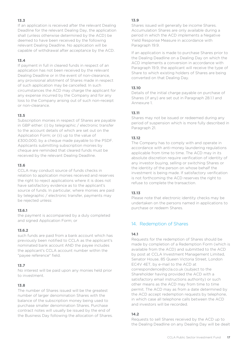If an application is received after the relevant Dealing Deadline for the relevant Dealing Day, the application shall (unless otherwise determined by the ACD) be deemed to have been received by the following relevant Dealing Deadline. No application will be capable of withdrawal after acceptance by the ACD.

#### **13.4**

If payment in full in cleared funds in respect of an application has not been received by the relevant Dealing Deadline or in the event of non-clearance, any provisional allotment of Shares made in respect of such application may be cancelled. In such circumstances the ACD may charge the applicant for any expense incurred by the Company and for any loss to the Company arising out of such non-receipt or non-clearance.

#### **13.5**

Subscription monies in respect of Shares are payable in GBP either: (i) by telegraphic / electronic transfer to the account details of which are set out on the Application Form; or (ii) up to the value of £300,000, by a cheque made payable to the PSDF. Applicants submitting subscription monies by cheque are reminded that cleared funds must be received by the relevant Dealing Deadline.

#### **13.6**

CCLA may conduct source of funds checks in relation to application monies received and reserves the right to reject applications where it is does not have satisfactory evidence as to the applicant's source of funds. In particular, where monies are paid by telegraphic / electronic transfer, payments may be rejected unless:

#### **13.6.1**

the payment is accompanied by a duly completed and signed Application Form; or

#### **13.6.2**

such funds are paid from a bank account which has previously been notified to CCLA as the applicant's nominated bank account AND the payee includes the applicant's CCLA account number within the "payee reference" field.

#### **13.7**

No interest will be paid upon any monies held prior to investment.

### **13.8**

The number of Shares issued will be the greatest number of larger denomination Shares with the balance of the subscription money being used to purchase smaller denomination Shares. Purchase contract notes will usually be issued by the end of the Business Day following the allocation of Shares.

#### **13.9**

Shares issued will generally be income Shares. Accumulation Shares are only available during a period in which the ACD implements a Negative Yield Response Measure in accordance with Paragraph 19.9.

If an application is made to purchase Shares prior to the Dealing Deadline on a Dealing Day on which the ACD implements a conversion in accordance with Paragraph 19.9, the applicant will receive the type of Share to which existing holders of Shares are being converted on that Dealing Day.

### **13.10**

Details of the initial charge payable on purchase of Shares (if any) are set out in Paragraph 28.1.1 and Annexure 1.

#### **13.11**

Shares may not be issued or redeemed during any period of suspension which is more fully described in Paragraph 21.

### **13.12**

The Company has to comply with and operate in accordance with anti-money laundering regulations applicable from time to time. The ACD may in its absolute discretion require verification of identity of any investor buying, selling or switching Shares or the identity of the person on whose behalf the investment is being made. If satisfactory verification is not forthcoming the ACD reserves the right to refuse to complete the transaction.

### **13.13**

Please note that electronic identity checks may be undertaken on the persons named in applications to purchase or redeem Shares.

# <span id="page-16-0"></span>14. Redemption of Shares

### **14.1**

Requests for the redemption of Shares should be made by completion of a Redemption Form (which is available from the ACD) and submitted to the ACD by post at CCLA Investment Management Limited, Senator House, 85 Queen Victoria Street, London EC4V 4ET, by e-mail to the ACD at correspondence@ccla.co.uk (subject to the Shareholder having provided the ACD with a satisfactory email instructions authority) or such other means as the ACD may from time to time permit. The ACD may as from a date determined by the ACD accept redemption requests by telephone, in which case all telephone calls between the ACD and investors will be recorded.

### **14.2**

Requests to sell Shares received by the ACD up to the Dealing Deadline on any Dealing Day will be dealt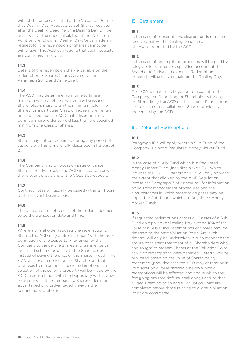with at the price calculated at the Valuation Point on that Dealing Day. Requests to sell Shares received after the Dealing Deadline on a Dealing Day will be dealt with at the price calculated at the Valuation Point on the following Dealing Day. Once made any request for the redemption of Shares cannot be withdrawn. The ACD can require that such requests are confirmed in writing.

#### **14.3**

Details of the redemption charge payable on the redemption of Shares (if any) are set out in Paragraph 28.1.2 and Annexure 1.

#### **14.4**

The ACD may determine from time to time a minimum value of Shares which may be issued. Shareholders must retain the minimum holding of Shares for a particular Class, or redeem their entire holding save that the ACD in its discretion may permit a Shareholder to hold less than the specified minimum of a Class of Shares.

#### **14.5**

Shares may not be redeemed during any period of suspension. This is more fully described in Paragraph 21.

#### **14.6**

The Company may on occasion issue or cancel Shares directly through the ACD in accordance with the relevant provisions of the COLL Sourcebook.

### **14.7**

Contract notes will usually be issued within 24 hours of the relevant Dealing Day.

### **14.8**

The date and time of receipt of the order is deemed to be the transaction date and time.

#### **14.9**

Where a Shareholder requests the redemption of Shares, the ACD may at its discretion (with the prior permission of the Depositary) arrange for the Company to cancel the Shares and transfer certain identified scheme property to the Shareholder, instead of paying the price of the Shares in cash. The ACD will serve a notice on the Shareholder that it proposes to make the in specie redemption. The selection of the scheme property will be made by the ACD in consultation with the Depositary with a view to ensuring that the redeeming Shareholder is not advantaged or disadvantaged vis-à-vis the continuing Shareholders.

# <span id="page-17-0"></span>15. Settlement

### **15.1**

In the case of subscriptions, cleared funds must be received before the Dealing Deadline unless otherwise permitted by the ACD.

#### **15.2**

In the case of redemptions, proceeds will be paid by telegraphic transfer to a specified account at the Shareholder's risk and expense. Redemption proceeds will usually be paid on the Dealing Day.

#### **15.3**

The ACD is under no obligation to account to the Company, the Depositary or Shareholders for any profit made by the ACD on the issue of Shares or on the re-issue or cancellation of Shares previously redeemed by the ACD.

# <span id="page-17-1"></span>16. Deferred Redemptions

#### **16.1**

Paragraph 16.3 will apply where a Sub-Fund of the Company is a not a Regulated Money Market Fund.

#### **16.2**

In the case of a Sub-Fund which is a Regulated Money Market Fund (including a QMMF) – which includes the PSDF – Paragraph 16.3 will only apply to the extent that allowed by the MMF Regulation. Please see Paragraph 7 of Annexure 1 for information on liquidity management procedures and the circumstances in which redemption gates may be applied to Sub-Funds which are Regulated Money Market Funds.

#### **16.3**

If requested redemptions across all Classes of a Sub-Fund on a particular Dealing Day exceed 10% of the value of a Sub-Fund, redemptions of Shares may be deferred to the next Valuation Point. Any such deferral will only be undertaken in such manner as to ensure consistent treatment of all Shareholders who had sought to redeem Shares at the Valuation Point at which redemptions were deferred. Deferral will be pro-rated based on the value of Shares being redeemed (provided that the ACD may determine in its discretion a value threshold below which all redemptions will be effected and above which the foregoing pro rata deferral shall apply) and so that all deals relating to an earlier Valuation Point are completed before those relating to a later Valuation Point are considered.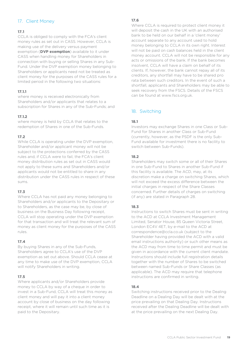# <span id="page-18-0"></span>17. Client Money

# **17.1**

CCLA is obliged to comply with the FCA's client money rules as set out in CASS. However, CCLA is making use of the delivery versus payment exemption (**DVP exemption**) available to it under CASS when handling money for Shareholders in connection with buying or selling Shares in any Sub-Fund. Under the DVP exemption money belonging to Shareholders or applicants need not be treated as client money for the purposes of the CASS rules for a limited period in the following two situations:

# **17.1.1**

where money is received electronically from Shareholders and/or applicants that relates to a subscription for Shares in any of the Sub-Funds; and

### **17.1.2**

where money is held by CCLA that relates to the redemption of Shares in one of the Sub-Funds.

# **17.2**

While CCLA is operating under the DVP exemption, Shareholder and/or applicant money will not be subject to the protections conferred by the CASS rules and, if CCLA were to fail, the FCA's client money distribution rules as set out in CASS would not apply to these sums and Shareholders and/or applicants would not be entitled to share in any distribution under the CASS rules in respect of these sums.

### **17.3**

Where CCLA has not paid any money belonging to Shareholders and/or applicants to the Depositary or to Shareholders, as the case may be, by close of business on the Business Day following receipt, CCLA will stop operating under the DVP exemption for that transaction and will treat the relevant sum of money as client money for the purposes of the CASS rules.

# **17.4**

By buying Shares in any of the Sub-Funds, Shareholders agree to CCLA's use of the DVP exemption as set out above. Should CCLA cease at any time to make use of the DVP exemption, CCLA will notify Shareholders in writing.

# **17.5**

Where applicants and/or Shareholders provide money to CCLA by way of a cheque in order to invest in a Sub-Fund, CCLA will treat this money as client money and will pay it into a client money account by close of business on the day following receipt, where it will remain until such time as it is paid to the Depositary.

### **17.6**

Where CCLA is required to protect client money it will deposit the cash in the UK with an authorised bank to be held on our behalf in a 'client money' account separate to any account used to hold money belonging to CCLA in its own right. Interest will not be paid on cash balances held in the client money account. CCLA will not be responsible for any acts or omissions of the bank. If the bank becomes insolvent, CCLA will have a claim on behalf of its clients. If, however, the bank cannot repay all of its creditors, any shortfall may have to be shared pro rata between such creditors. In the event of such a shortfall, applicants and Shareholders may be able to seek recovery from the FSCS. Details of the FSCS can be found at [www.fscs.org.uk.](http://www.fscs.org.uk/)

# <span id="page-18-1"></span>18. Switching

# **18.1**

Investors may exchange Shares in one Class or Sub-Fund for Shares in another Class or Sub-Fund (currently, however, as the PSDF is the only Sub-Fund available for investment there is no facility to switch between Sub-Funds).

### **18.2**

Shareholders may switch some or all of their Shares in one Sub-Fund to Shares in another Sub-Fund if this facility is available. The ACD, may, at its discretion make a charge on switching Shares, which will not exceed the excess difference between the initial charges in respect of the Share Classes concerned. Further details of charges on switching (if any) are stated in Paragraph 28.

### **18.3**

Instructions to switch Shares must be sent in writing to the ACD at CCLA Investment Management Limited, Senator House, 85 Queen Victoria Street, London EC4V 4ET, by e-mail to the ACD at correspondence@ccla.co.uk (subject to the Shareholder having provided the ACD with a valid email instructions authority) or such other means as the ACD may from time to time permit and must be given in accordance with the current client mandate. Instructions should include full registration details together with the number of Shares to be switched between named Sub-Funds or Share Classes (as applicable). The ACD may require that telephone instructions are confirmed in writing.

### **18.4**

Switching instructions received prior to the Dealing Deadline on a Dealing Day will be dealt with at the price prevailing on that Dealing Day. Instructions received after the Dealing Deadline will be dealt with at the price prevailing on the next Dealing Day.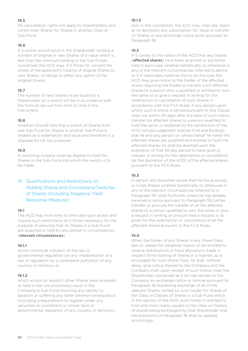No cancellation rights will apply to Shareholders who switch their Shares for Shares in another Class or Sub-Fund.

#### **18.6**

If a switch would result in the Shareholder holding a number of original or new Shares of a value which is less than the minimum holding in the Sub-Funds concerned, the ACD may, if it thinks fit, convert the whole of the applicant's holding of original Shares to new Shares, or refuse to effect any switch of the original Shares.

### **18.7**

The number of new Shares to be issued to a Shareholder on a switch will be in accordance with the formula set out from time to time in the Instrument.

#### **18.8**

Investors should note that a switch of Shares from one Sub-Fund for Shares in another Sub-Fund is treated as a redemption and issue and therefore is a disposal for UK tax purposes.

#### **18.9**

A switching investor must be eligible to hold the Shares in the Sub-Fund into which the switch is to be made.

# <span id="page-19-0"></span>19. Qualifications and Restrictions on Holding Shares and Conversions/Switches of Shares (Including Negative Yield Response Measure)

### **19.1**

The ACD may from time to time take such action and impose such restrictions as it thinks necessary for the purpose of ensuring that no Shares in a Sub-Fund are acquired or held by any person in circumstances (**relevant circumstances**):

#### **19.1.1**

which constitute a breach of the law or governmental regulation (or any interpretation of a law or regulation by a competent authority) of any country or territory; or

#### **19.1.2**

which would (or would if other Shares were acquired or held in like circumstances) result in the Company/a Sub-Fund incurring any liability to taxation or suffering any other adverse consequence (including a requirement to register under any securities or investment or similar laws or governmental regulation of any country or territory);

#### **19.1.3**

and, in this connection, the ACD may, inter alia, reject at its discretion any subscription for, issue or transfer of, Shares or any exchange notice given pursuant to Paragraph 18.

#### **19.2**

If it comes to the notice of the ACD that any Shares (**affected shares**) have been acquired or are being held in each case whether beneficially or otherwise in any of the relevant circumstances referred to above or if it reasonably believes this to be the case the ACD may give notice to the holder of the affected shares requiring the holder to transfer such affected shares to a person who is qualified or entitled to own the same or to give a request in writing for the redemption or cancellation of such shares in accordance with the FCA Rules. If any person upon whom such a notice is served pursuant to this Clause does not within 30 days after the date of such notice transfer his affected shares to a person qualified to hold the same, or establish to the satisfaction of the ACD (whose judgement shall be final and binding) that he and any person on whose behalf he holds the affected shares are qualified and entitled to hold the affected shares, he shall be deemed upon the expiration of that 30 day period to have given a request in writing for the redemption or cancellation (at the discretion of the ACD) of the affected shares pursuant to the FCA Rules.

#### **19.3**

A person who becomes aware that he has acquired or holds Shares whether beneficially or otherwise in any of the relevant circumstances referred to in Paragraph 19.1 shall forthwith, unless he has already received a notice pursuant to Paragraph 19.2 either transfer or procure the transfer of all the affected shares to a person qualified to own the same or give a request in writing or procure that a request is so given for the redemption or cancellation of all the affected shares pursuant to the FCA Rules.

#### **19.4**

When the holder of any Shares in any Share Class fails or ceases for whatever reason to be entitled to receive distributions or have allocations made in respect of his holding of Shares in a manner, as is envisaged for such Share Class, he shall, without delay, give notice thereof to the Company and the Company shall, upon receipt of such notice, treat the Shareholder concerned as if he had served on the Company an exchange notice or notices pursuant to Paragraph 18 requesting exchange of all of the relevant Shares owned by such holder for Shares of the Class or Classes of Shares in a Sub-Fund which, in the opinion of the ACD, such holder is entitled to hold and most nearly equate to the Class or Classes of shares being exchanged by that Shareholder and the provisions of Paragraph 18 shall be applied accordingly.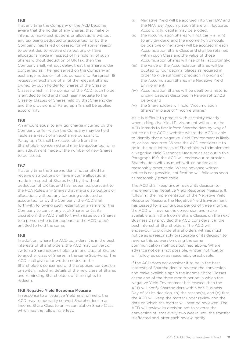If at any time the Company or the ACD become aware that the holder of any Shares, that make or intend to make distributions or allocations without any tax being deducted or accounted for by the Company, has failed or ceased for whatever reason to be entitled to receive distributions or have allocations made in respect of his holding of such Shares without deduction of UK tax, then the Company shall, without delay, treat the Shareholder concerned as if he had served on the Company an exchange notice or notices pursuant to Paragraph 18 requesting exchange of all of the relevant Shares owned by such holder for Shares of the Class or Classes which, in the opinion of the ACD, such holder is entitled to hold and most nearly equate to the Class or Classes of Shares held by that Shareholder and the provisions of Paragraph 18 shall be applied accordingly.

#### **19.6**

An amount equal to any tax charge incurred by the Company or for which the Company may be held liable as a result of an exchange pursuant to Paragraph 18 shall be recoverable from the Shareholder concerned and may be accounted for in any adjustment made of the number of new Shares to be issued.

#### **19.7**

If at any time the Shareholder is not entitled to receive distributions or have income allocations made in respect of Shares held by it without deduction of UK tax and has redeemed, pursuant to the FCA Rules, any Shares that make distributions or allocations without any tax being deducted or accounted for by the Company, the ACD shall forthwith following such redemption arrange for the Company to cancel any such Shares or (at its discretion) the ACD shall forthwith issue such Shares to a person who is (or appears to the ACD to be) entitled to hold the same.

#### **19.8**

In addition, where the ACD considers it is in the best interests of Shareholders, the ACD may convert or switch a Shareholder's holding in one class of Shares to another class of Shares in the same Sub-Fund. The ACD shall give prior written notice to the Shareholders concerned of the proposed conversion or switch, including details of the new class of Shares and reminding Shareholders of their rights to redeem.

#### **19.9 Negative Yield Response Measure**

In response to a Negative Yield Environment, the ACD may temporarily convert Shareholders in an Income Share Class to an Accumulation Share Class which has the following effect:

- (i) Negative Yield will be accrued into the NAV and the NAV per Accumulation Share will fluctuate. Accordingly, capital may be eroded;
- (ii) the Accumulation Shares will not carry a right to any dividend and the income (which could be positive or negative) will be accrued in each Accumulation Share Class and shall be retained within such Class and the value of those Accumulation Shares will rise or fall accordingly;
- (iii) the value of the Accumulation Shares will be quoted to four decimal places as required in order to give sufficient precision in pricing of the Accumulation Shares in a Negative Yield Environment;
- (iv) Accumulation Shares will be dealt on a historic pricing basis as described in Paragraph 27.2.3 below; and
- (v) the Shareholders will hold "Accumulation Shares" in place of "Income Shares".

As it is difficult to predict with certainty exactly when a Negative Yield Environment will occur, the ACD intends to first inform Shareholders by way of notice on the ACD's website where the ACD is able to identify that a Negative Yield Environment is likely to, or has, occurred. Where the ACD considers it to be in the best interests of Shareholders to implement a Negative Yield Response Measure as set out in this Paragraph 19.9, the ACD will endeavour to provide Shareholders with as much written notice as is reasonably practicable. Where advance written notice is not possible, notification will follow as soon as reasonably practicable.

The ACD shall keep under review its decision to implement the Negative Yield Response Measure. If, following the implementation of the Negative Yield Response Measure, the Negative Yield Environment has ceased for a continuous period of three months, the ACD will reverse the conversion and make available again the Income Share Classes on the next Business Day provided the ACD considers it in the best interest of Shareholders. The ACD will endeavour to provide Shareholders with as much notice as is reasonably practicable of its decision to reverse this conversion using the same communication methods outlined above. Where advance notice is not possible, written notification will follow as soon as reasonably practicable.

If the ACD does not consider it to be in the best interests of Shareholders to reverse the conversion and make available again the Income Share Classes at the end of the three month period in which the Negative Yield Environment has ceased, then the ACD will notify Shareholders within one Business Day of (a) its decision, (b) the reason(s), and (c) that the ACD will keep the matter under review and the date on which the matter will next be reviewed. The ACD will review its decision not to reverse the conversion at least every two weeks until the transfer is effected and, after each review, notify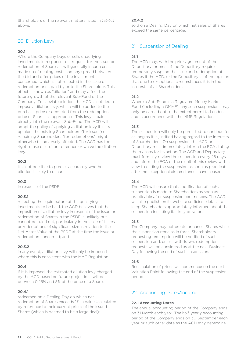Shareholders of the relevant matters listed in (a)-(c) above.

# <span id="page-21-0"></span>20. Dilution Levy

#### **20.1**

Where the Company buys or sells underlying investments in response to a request for the issue or redemption of Shares, it will generally incur a cost, made up of dealing costs and any spread between the bid and offer prices of the investments concerned, which is not reflected in the issue or redemption price paid by or to the Shareholder. This effect is known as "dilution" and may affect the future growth of the relevant Sub-Fund of the Company. To alleviate dilution, the ACD is entitled to impose a dilution levy, which will be added to the purchase price or deducted from the redemption price of Shares as appropriate. This levy is paid directly into the relevant Sub-Fund. The ACD will adopt the policy of applying a dilution levy if in its opinion, the existing Shareholders (for issues) or remaining Shareholders (for redemptions) might otherwise be adversely affected. The ACD has the right to use discretion to reduce or waive the dilution levy.

#### **20.2**

It is not possible to predict accurately whether dilution is likely to occur.

#### **20.3**

In respect of the PSDF:

### **20.3.1**

reflecting the liquid nature of the qualifying investments to be held, the ACD believes that the imposition of a dilution levy in respect of the issue or redemption of Shares in the PSDF is unlikely but cannot be ruled out, particularly in the case of issues or redemptions of significant size in relation to the Net Asset Value of the PSDF at the time the issue or redemption concerned; and

#### **20.3.2**

in any event, a dilution levy will only be imposed where this is consistent with the MMF Regulation.

#### **20.4**

If it is imposed, the estimated dilution levy charged by the ACD based on future projections will be between 0.25% and 5% of the price of a Share:

#### **20.4.1**

redeemed on a Dealing Day on which net redemption of Shares exceeds 1% in value (calculated by reference to their current price) of the issued Shares (which is deemed to be a large deal);

#### **20.4.2**

sold on a Dealing Day on which net sales of Shares exceed the same percentage.

# <span id="page-21-1"></span>21. Suspension of Dealing

#### **21.1**

The ACD may, with the prior agreement of the Depositary, or must, if the Depositary requires, temporarily suspend the issue and redemption of Shares if the ACD, or the Depositary is of the opinion that due to exceptional circumstances it is in the interests of all Shareholders.

#### **21.2**

Where a Sub-Fund is a Regulated Money Market Fund (including a QMMF), any such suspensions may only be carried out to the extent permitted under, and in accordance with, the MMF Regulation.

#### **21.3**

The suspension will only be permitted to continue for as long as it is justified having regard to the interests of Shareholders. On suspension, the ACD or Depositary must immediately inform the FCA stating the reasons for its action. The ACD and Depositary must formally review the suspension every 28 days and inform the FCA of the result of this review with a view to ending the suspension as soon as practicable after the exceptional circumstances have ceased.

### **21.4**

The ACD will ensure that a notification of such a suspension is made to Shareholders as soon as practicable after suspension commences. The ACD will also publish on its website sufficient details to keep Shareholders appropriately informed about the suspension including its likely duration.

### **21.5**

The Company may not create or cancel Shares while the suspension remains in force. Shareholders requesting redemption will be notified of such suspension and, unless withdrawn, redemption requests will be considered as at the next Business Day following the end of such suspension.

#### **21.6**

Recalculation of prices will commence on the next Valuation Point following the end of the suspension period.

# <span id="page-21-2"></span>22. Accounting Dates/Income

#### **22.1 Accounting Dates**

The annual accounting period of the Company ends on 31 March each year. The half-yearly accounting period of the Company ends on 30 September each year or such other date as the ACD may determine.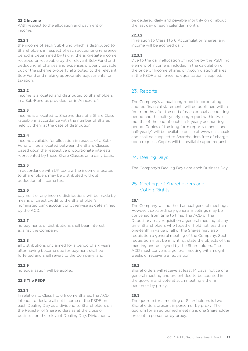### **22.2 Income**

With respect to the allocation and payment of income:

### **22.2.1**

the income of each Sub-Fund which is distributed to Shareholders in respect of each accounting reference period is determined by taking the aggregate income received or receivable by the relevant Sub-Fund and deducting all charges and expenses properly payable out of the scheme property attributed to the relevant Sub-Fund and making appropriate adjustments for taxation;

#### **22.2.2**

income is allocated and distributed to Shareholders in a Sub-Fund as provided for in Annexure 1;

#### **22.2.3**

income is allocated to Shareholders of a Share Class rateably in accordance with the number of Shares held by them at the date of distribution;

#### **22.2.4**

income available for allocation in respect of a Sub-Fund will be allocated between the Share Classes based upon the respective proportionate interests represented by those Share Classes on a daily basis;

#### **22.2.5**

in accordance with UK tax law the income allocated to Shareholders may be distributed without deduction of income tax;

### **22.2.6**

payment of any income distributions will be made by means of direct credit to the Shareholder's nominated bank account or otherwise as determined by the ACD;

### **22.2.7**

no payments of distributions shall bear interest against the Company;

#### **22.2.8**

all distributions unclaimed for a period of six years after having become due for payment shall be forfeited and shall revert to the Company; and

### **22.2.9**

no equalisation will be applied.

### **22.3 The PSDF**

### **22.3.1**

In relation to Class 1 to 6 Income Shares, the ACD intends to declare all net income of the PSDF on each Dealing Day as a dividend to Shareholders on the Register of Shareholders as at the close of business on the relevant Dealing Day. Dividends will be declared daily and payable monthly on or about the last day of each calendar month.

#### **22.3.2**

In relation to Class 1 to 6 Accumulation Shares, any income will be accrued daily.

### **22.3.3**

Due to the daily allocation of income by the PSDF no element of income is included in the calculation of the price of Income Shares or Accumulation Shares in the PSDF and hence no equalisation is applied.

# <span id="page-22-0"></span>23. Reports

The Company's annual long report incorporating audited financial statements will be published within four months after the end of each annual accounting period and the half- yearly long report within two months of the end of each half- yearly accounting period. Copies of the long form reports (annual and half-yearly) will be available online at www.ccla.co.uk and shall be supplied to Shareholders free of charge upon request. Copies will be available upon request.

# <span id="page-22-1"></span>24. Dealing Days

<span id="page-22-2"></span>The Company's Dealing Days are each Business Day.

# 25. Meetings of Shareholders and Voting Rights

### **25.1**

The Company will not hold annual general meetings. However, extraordinary general meetings may be convened from time to time. The ACD or the Depositary may requisition a general meeting at any time. Shareholders who together hold not less than one-tenth in value of all of the Shares may also requisition a general meeting of the Company. Such requisition must be in writing, state the objects of the meeting and be signed by the Shareholders. The ACD must convene a general meeting within eight weeks of receiving a requisition.

#### **25.2**

Shareholders will receive at least 14 days' notice of a general meeting and are entitled to be counted in the quorum and vote at such meeting either in person or by proxy.

### **25.3**

The quorum for a meeting of Shareholders is two Shareholders present in person or by proxy. The quorum for an adjourned meeting is one Shareholder present in person or by proxy.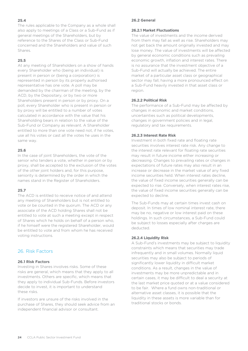The rules applicable to the Company as a whole shall also apply to meetings of a Class or a Sub-Fund as if general meetings of the Shareholders, but by reference to the Shares of the Class or Sub-Fund concerned and the Shareholders and value of such Shares.

#### **25.5**

At any meeting of Shareholders on a show of hands every Shareholder who (being an individual) is present in person or (being a corporation) is represented in person by its properly authorised representative has one vote. A poll may be demanded by the chairman of the meeting, by the ACD, by the Depositary, or by two or more Shareholders present in person or by proxy. On a poll, every Shareholder who is present in person or by proxy will be entitled to a number of votes calculated in accordance with the value that his Shareholding bears in relation to the value of the Sub-Fund or Company as relevant. A Shareholder entitled to more than one vote need not, if he votes, use all his votes or cast all the votes he uses in the same way.

#### **25.6**

In the case of joint Shareholders, the vote of the senior who tenders a vote, whether in person or by proxy, shall be accepted to the exclusion of the votes of the other joint holders and, for this purpose, seniority is determined by the order in which the names stand in the Register of Shareholders.

### **25.7**

The ACD is entitled to receive notice of and attend any meeting of Shareholders but is not entitled to vote or be counted in the quorum. The ACD or any associate of the ACD holding Shares shall not be entitled to vote at such a meeting except in respect of Shares which he holds on behalf of a person who, if he himself were the registered Shareholder, would be entitled to vote and from whom he has received voting instructions.

# <span id="page-23-0"></span>26. Risk Factors

#### **26.1 Risk Factors**

Investing in Shares involves risks. Some of these risks are general, which means that they apply to all investments. Others are specific, which means that they apply to individual Sub-Funds. Before investors decide to invest, it is important to understand these risks.

If investors are unsure of the risks involved in the purchase of Shares, they should seek advice from an independent financial advisor or consultant.

#### **26.2 General**

#### **26.2.1 Market Fluctuations**

The value of investments and the income derived from them may fall as well as rise. Shareholders may not get back the amount originally invested and may lose money. The value of investments will be affected by general economic conditions such as prevailing economic growth, inflation and interest rates. There is no assurance that the investment objective of a Sub-Fund will actually be achieved. The entire market of a particular asset class or geographical sector may fall, having a more pronounced effect on a Sub-Fund heavily invested in that asset class or region.

#### **26.2.2 Political Risk**

The performance of a Sub-Fund may be affected by changes in economic and market conditions, uncertainties such as political developments, changes in government policies and in legal, regulatory and tax requirements.

#### **26.2.3 Interest Rate Risk**

Investment in both fixed rate and floating rate securities involves interest rate risk. Any change to the interest rate relevant for floating rate securities may result in future income either increasing or decreasing. Changes to prevailing rates or changes in expectations of future rates may also result in an increase or decrease in the market value of any fixed income securities held. When interest rates decline, the value of fixed income securities generally can be expected to rise. Conversely, when interest rates rise, the value of fixed income securities generally can be expected to decline.

The Sub-Funds may at certain times invest cash on deposit. In times of low nominal interest rate, there may be no, negative or low interest paid on these holdings. In such circumstances, a Sub-Fund could be subject to losses especially after charges are deducted.

#### **26.2.4 Liquidity Risk**

A Sub-Fund's investments may be subject to liquidity constraints which means that securities may trade infrequently and in small volumes. Normally liquid securities may also be subject to periods of significantly lower liquidity in difficult market conditions. As a result, changes in the value of investments may be more unpredictable and in certain cases, it may be difficult to deal a security at the last market price quoted or at a value considered to be fair. Where a fund owns non-traditional or alternative asset classes, it is possible that the liquidity in these assets is more variable than for traditional stocks or bonds.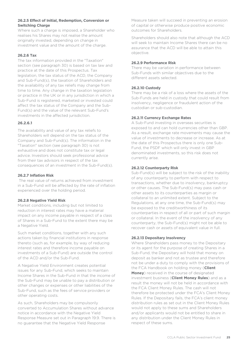### **26.2.5 Effect of Initial, Redemption, Conversion or Switching Charge**

Where such a charge is imposed, a Shareholder who realises his Shares may not realise the amount originally invested, depending on change in investment value and the amount of the charge.

#### **26.2.6 Tax**

The tax information provided in the "Taxation" section (see paragraph 30) is based on tax law and practice at the date of this Prospectus. Tax legislation, the tax status of the ACD, the Company and Sub-Fund(s), the taxation of Shareholders and the availability of any tax reliefs may change from time to time. Any change in the taxation legislation or practice in the UK or in any jurisdiction in which a Sub-Fund is registered, marketed or invested could affect the tax status of the Company and the Sub-Fund(s) and the value of the relevant Sub-Fund's investments in the affected jurisdiction.

#### **26.2.6.1**

The availability and value of any tax reliefs to Shareholders will depend on the tax status of the Company and Sub-Fund(s). The information in the "Taxation" section (see paragraph 30) is not exhaustive and does not constitute tax or legal advice. Investors should seek professional advice from their tax advisors in respect of the tax consequences of an investment in the Sub-Fund(s).

#### **26.2.7 Inflation Risk**

The real value of returns achieved from investment in a Sub-Fund will be affected by the rate of inflation experienced over the holding period.

### **26.2.8 Negative Yield Risk**

Market conditions, including but not limited to reduction in interest rates may have a material impact on any income payable in respect of a class of Shares in a Sub-Fund to the extent there may be a Negative Yield.

Such market conditions, together with any such actions taken by financial institutions in response thereto (such as, for example, by way of reducing interest rates and therefore income payable on investments of a Sub-Fund) are outside the control of the ACD and/or the Sub-Fund.

A Negative Yield Environment creates potential issues for any Sub-Fund, which seeks to maintain Income Shares in the Sub-Fund in that the income of the Sub-Fund may be unable to pay a distribution or other changes or expenses or other liabilities of the Sub-Fund, such as the fees of service providers or other operating costs.

As such, Shareholders may be compulsorily converted to Accumulation Shares without advance notice in accordance with the Negative Yield Response Measure set out in Paragraph 19.9. There is no guarantee that the Negative Yield Response

Measure taken will succeed in preventing an erosion of capital or otherwise produce positive economic outcomes for Shareholders.

Shareholders should also note that although the ACD will seek to maintain Income Shares there can be no assurance that the ACD will be able to attain this objective.

#### **26.2.9 Performance Risk**

There may be variation in performance between Sub-Funds with similar objectives due to the different assets selected.

# **26.2.10 Custody**

There may be a risk of a loss where the assets of the Sub-Funds are held in custody that could result from insolvency, negligence or fraudulent action of the custodian or sub-custodian.

### **26.2.11 Currency Exchange Rates**

A Sub-Fund investing in overseas securities is exposed to and can hold currencies other than GBP. As a result, exchange rate movements may cause the value of investments to decrease or increase. As at the date of this Prospectus there is only one Sub-Fund, the PSDF which will only invest in GBP denominated investments, so this risk does not currently arise.

#### **26.2.12 Counterparty Risk**

Sub-Fund(s) will be subject to the risk of the inability of any counterparty to perform with respect to transactions, whether due to insolvency, bankruptcy or other causes. The Sub-Fund(s) may pass cash or other assets to its counterparties as margin or collateral to an unlimited extent. Subject to the Regulations, at any one time, the Sub-Fund(s) may be exposed to the creditworthiness of its counterparties in respect of all or part of such margin or collateral. In the event of the insolvency of any counterparty, the Sub-Fund(s) might not be able to recover cash or assets of equivalent value in full.

### **26.2.13 Depositary Insolvency**

Where Shareholders pass money to the Depositary or its agent for the purpose of creating Shares in a Sub-Fund, the Depositary will hold that money on deposit as banker and not as trustee and therefore not be under a duty to comply with the provisions of the FCA Handbook on holding money (**Client Money**) received in the course of designated investment business (**Client Money Rules**) and as a result the money will not be held in accordance with the FCA Client Money Rules. The cash will not therefore be protected under the FCA's Client Money Rules. If the Depositary fails, the FCA's client money distribution rules as set out in the Client Money Rules would not apply to these sums and Shareholders and/or applicants would not be entitled to share in any distribution under the Client Money Rules in respect of these sums.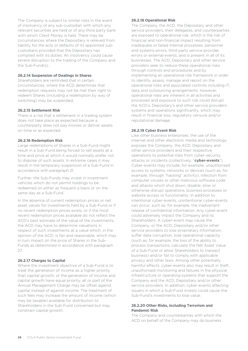The Company is subject to similar risks in the event of insolvency of any sub-custodian with which any relevant securities are held or of any third party bank with which Client Money is held. There may be circumstances where the Depositary is relieved from liability for the acts or defaults of its appointed subcustodians provided that the Depositary has complied with its duties. An insolvency could cause severe disruption to the trading of the Company and the Sub-Fund(s).

#### **26.2.14 Suspension of Dealings in Shares**

Shareholders are reminded that in certain circumstances, where the ACD determines that redemption requests may not be met their right to redeem Shares (including a redemption by way of switching) may be suspended.

#### **26.2.15 Settlement Risk**

There is a risk that a settlement in a trading system does not take place as expected because a counterparty does not pay monies or deliver assets on time or as expected.

#### **26.2.16 Redemption Risk**

Large redemptions of Shares in a Sub-Fund might result in a Sub-Fund being forced to sell assets at a time and price at which it would normally prefer not to dispose of such assets. In extreme cases it may result in the temporary suspension of a Sub-Fund in accordance with paragraph 21.

Further, the Sub-Funds may invest in investment vehicles which do not permit holdings to be redeemed on either as frequent a basis or on the same day as a Sub-Fund.

In the absence of current redemption prices or net asset values for investments held by a Sub-Fund or if no recent redemption prices exists, or if the most recent redemption prices available do not reflect the ACD's best estimate of the value of the investments, the ACD may have to determine valuations in respect of such investments at a value which, in the opinion of the ACD, is fair and reasonable, which may in turn impact on the price of Shares in the Sub-Funds as determined in accordance with paragraph 27.

#### **26.2.17 Charges to Capital**

Where the investment objective of a Sub-Fund is to treat the generation of income as a higher priority than capital growth, or the generation of income and capital growth have equal priority, all or part of the Annual Management Charge may be offset against capital instead of against income. The treatment of such fees may increase the amount of income (which may be taxable) available for distribution to Shareholders in the Sub-Fund concerned but may constrain capital growth.

#### **26.2.18 Operational Risk**

The Company, the ACD, the Depositary and other service providers, their delegates, and counterparties are exposed to operational risk, which is the risk of financial and non-financial impact resulting from inadequate or failed internal processes, personnel and systems errors, third party service provider errors or external events, and is present in all of its businesses. The ACD, Depositary and other service providers seek to reduce these operational risks through controls and procedures and by implementing an operational risk framework in order to identify, assess, manage and report on the operational risks and associated controls including IT, data and outsourcing arrangements. However, operational risks are inherent in all activities and processes and exposure to such risk could disrupt the ACD's, Depositary's and other service providers' systems and operations significantly, which may result in financial loss, regulatory censure and/or reputational damage.

#### **26.2.19 Cyber Event Risk**

Like other business enterprises, the use of the internet and other electronic media and technology exposes the Company, the ACD, Depositary and other service providers and their respective operations to potential risks from cyber-security attacks or incidents (collectively, "**cyber-events**"). Cyber-events may include, for example, unauthorised access to systems, networks or devices (such as, for example, through "hacking" activity), infection from computer viruses or other malicious software code and attacks which shut down, disable, slow or otherwise disrupt operations, business processes or website access or functionality. In addition to intentional cyber-events, unintentional cyber-events can occur, such as, for example, the inadvertent release of confidential information. Any cyber-event could adversely impact the Company and its Shareholders. A cyber-event may cause the Company, or the ACD, Depositary and/or other service providers to lose proprietary information, suffer data corruption, lose operational capacity (such as, for example, the loss of the ability to process transactions, calculate the Net Asset Value of a Sub-Fund or allow Shareholders to transact business) and/or fail to comply with applicable privacy and other laws. Among other potentially harmful effects, cyber-events also may result in theft, unauthorised monitoring and failures in the physical infrastructure or operating systems that support the Company and the ACD, Depositary and/or other service providers. In addition, cyber-events affecting issuers in which a Sub-Fund invests could cause the Sub-Fund's investments to lose value.

#### **26.2.20 Other Risks, including Terrorism and Pandemic Risk**

The Company and counterparties with which the ACD on behalf of the Company may do business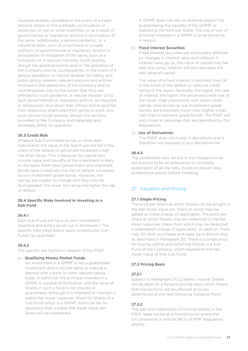could be severely disrupted in the event of a major terrorist attack or the outbreak, continuation or expansion of war or other hostilities, or as a result of governmental or regulatory actions in anticipation of the same. Additionally, a serious pandemic, or a natural disaster, such as a hurricane or a super typhoon, or governmental or regulatory actions in anticipation or mitigation of the same, such as a lockdown, or a typhoon warning, could severely disrupt the global economy and/or the operation of the Company and its counterparties. In the event of a serious pandemic or natural disaster, for safety and public policy reasons, relevant persons and entities involved in the operations of the Company and its counterparties may to the extent that they are affected by such pandemic or natural disaster or by such governmental or regulatory actions, be required to temporarily shut down their offices and to prohibit their respective employees from going to work. Any such closure could severely disrupt the services provided to the Company and materially and adversely affect its operation.

#### **26.3 Credit Risk**

Where a Sub-Fund holds bonds or other debt instruments the value of the Sub-Fund will fall in the event of the default or perceived increased credit risk of an issuer. This is because the capital and income value and liquidity of the investment is likely to decrease. AAA rated government and corporate bonds have a relatively low risk of default compared to non-investment grade bonds. However, the ratings are subject to change and they may be downgraded. The lower the rating the higher the risk of default.

#### **26.4 Specific Risks Involved in Investing in a Sub-Fund**

#### **26.4.1**

Each Sub-Fund will have its own investment objective and policy as set out in Annexure 1. The specific risks listed below apply to particular Sub-Funds (as specified).

#### **26.4.2**

The specific risk factors in respect of the PSDF:

#### a) **Qualifying Money Market Funds**

An investment in a QMMF is not a guaranteed investment and is not the same as making a deposit with a bank or other deposit taking body, in particular the principal invested in a QMMF is capable of fluctuation and the value of Shares in such a fund is not insured or guaranteed. Although it is intended to maintain a stable Net Asset Value per Share for Shares in a Sub-Fund which is a QMMF, there can be no assurance that a stable Net Asset Value per Share will be maintained.

A QMMF does not rely on external support for guaranteeing the liquidity of the QMMF or stabilising the NAV per Share. The risk of loss of principal invested in a QMMF is to be borne by investors.

#### b) **Fixed Interest Securities**

Fixed interest securities are particularly affected by changes in interest rates and inflation. If interest rates go up, the value of capital may fall and vice versa. Inflation will also decrease the real value of capital.

The value of a fixed interest investment may fall in the event of the default or reduced credit rating of the issuer. Generally, the higher the rate of interest, the higher the perceived credit risk of the issuer. High yield bonds with lower credit ratings (also known as sub investment grade bonds) are potentially more risky (higher credit risk) than investment grade bonds. The PSDF will only invest in securities that are permitted by the Regulations.

#### c) **Use of Derivatives**

The PSDF does not invest in derivatives and is therefore not exposed to any derivative risk.

#### **26.4.3**

The investment risks set out in this Prospectus do not purport to be an exhaustive or complete explanation of all the risks. Investors should seek professional advice before investing.

# <span id="page-26-0"></span>27. Valuation and Pricing

#### **27.1 Single Pricing**

The price per Share at which Shares can be bought is the Net Asset Value per Share to which may be added an initial charge (if applicable). The price per Share at which Shares may be redeemed is the Net Asset Value per Share from which may be deducted a redemption charge (if applicable). In addition, there may, for both purchases and sales, be a dilution levy, as described in Paragraph 20. There is a single price for buying, selling and switching Shares in a Sub-Fund of the Company, which represents the Net Asset Value of that Sub-Fund.

#### **27.2 Pricing Basis**

#### **27.2.1**

Subject to Paragraph 27.2.2 below, Income Shares will be dealt on a forward pricing basis which means that transactions will be effected at prices determined at the next following Valuation Point.

#### **27.2.2**

The sale and redemption of Income Shares in the PSDF need not be at a forward price where the circumstances in Article 34(2) of MMF Regulation applies.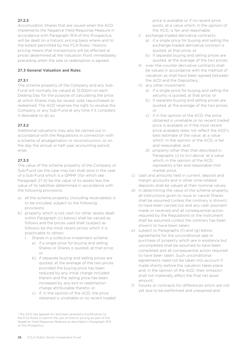# **27.2.3**

Accumulation Shares that are issued when the ACD implements the Negative Yield Response Measure in accordance with Paragraph 19.9 of this Prospectus, will be dealt on a historic pricing basis where and to the extent permitted by the FCA Rules.<sup>[1](#page-27-0)</sup> Historic pricing means that transactions will be effected at prices determined at the Valuation Point immediately preceding when the sale or redemption is agreed.

#### **27.3 General Valuation and Rules**

### **27.3.1**

The scheme property of the Company and any Sub-Fund will normally be valued at 12.00pm on each Dealing Day for the purpose of calculating the price at which Shares may be issued, sold, repurchased or redeemed. The ACD reserves the right to revalue the Company or any Sub-Fund at any time if it considers it desirable to do so.

### **27.3.2**

Additional valuations may also be carried out in accordance with the Regulations in connection with a scheme of amalgamation or reconstruction, or on the day the annual or half-year accounting period ends.

#### **27.3.3**

The value of the scheme property of the Company or Sub-Fund (as the case may be) shall save in the case of a Sub-Fund which is a QMMF (for which see Paragraph 27.4) be the value of its assets less the value of its liabilities determined in accordance with the following provisions:

- a) all the scheme property (including receivables) is to be included, subject to the following provisions:
- b) property which is not cash (or other assets dealt within Paragraph (c) below) shall be valued as follows and the prices used shall (subject as follows) be the most recent prices which it is practicable to obtain:
	- I. Shares in a collective investment scheme:
		- a) if a single price for buying and selling Shares or Shares is quoted, at that price; or
		- b) if separate buying and selling prices are quoted, at the average of the two prices provided the buying price has been reduced by any initial charge included therein and the selling price has been increased by any exit or redemption charge attributable thereto; or
		- c) if, in the opinion of the ACD, the price obtained is unreliable or no recent traded

price is available or if no recent price exists, at a value which, in the opinion of the ACD, is fair and reasonable;

- II. exchange-traded derivative contracts:
	- a) if a single price for buying and selling the exchange-traded derivative contract is quoted, at that price; or
	- b) if separate buying and selling prices are quoted, at the average of the two prices;
- III. over-the-counter derivative contracts shall be valued in accordance with the method of valuation as shall have been agreed between the ACD and the Depositary;
- IV. any other investment:
	- a) if a single price for buying and selling the security is quoted, at that price; or
	- b) if separate buying and selling prices are quoted, at the average of the two prices; or
	- c) if in the opinion of the ACD, the price obtained is unreliable or no recent traded price is available or if the most recent price available does not reflect the ACD's best estimate of the value, at a value which, in the opinion of the ACD, is fair and reasonable; and
	- d) property other than that described in Paragraphs (i) to (iv) above: at a value which, in the opinion of the ACD, represents a fair and reasonable midmarket price.
- c) cash and amounts held in current, deposit and margin accounts and in other time-related deposits shall be valued at their nominal values;
- d) in determining the value of the scheme property, all instructions given to issue or cancel Shares shall be assumed (unless the contrary is shown) to have been carried out and any cash payment made or received and all consequential action required by the Regulations or the Instrument shall be assumed (unless the contrary has been shown) to have been taken;
- e) subject to Paragraphs (f) and (g) below, agreements for the unconditional sale or purchase of property which are in existence but uncompleted shall be assumed to have been completed and all consequential action required to have been taken. Such unconditional agreements need not be taken into account if made shortly before the valuation takes place and, in the opinion of the ACD, their omission shall not materially affect the final net asset amount;
- f) futures or contracts for differences which are not yet due to be performed and unexpired and

<span id="page-27-0"></span><sup>&</sup>lt;sup>1</sup> The ACD has applied for and been granted a modification to the FCA Rules to permit the use of historic pricing as part of the Negative Yield Response Measure as described in Paragraph 19.9 of this Prospectus.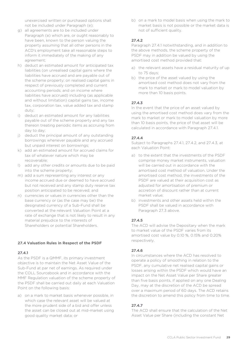unexercised written or purchased options shall not be included under Paragraph (e);

- g) all agreements are to be included under Paragraph (e) which are, or ought reasonably to have been, known to the person valuing the property assuming that all other persons in the ACD's employment take all reasonable steps to inform it immediately of the making of any agreement;
- h) deduct an estimated amount for anticipated tax liabilities (on unrealised capital gains where the liabilities have accrued and are payable out of the scheme property; on realised capital gains in respect of previously completed and current accounting periods; and on income where liabilities have accrued) including (as applicable and without limitation) capital gains tax, income tax, corporation tax, value added tax and stamp duty;
- i) deduct an estimated amount for any liabilities payable out of the scheme property and any tax thereon treating periodic items as accruing from day to day;
- j) deduct the principal amount of any outstanding borrowings whenever payable and any accrued but unpaid interest on borrowings;
- k) add an estimated amount for accrued claims for tax of whatever nature which may be recoverable;
- l) add any other credits or amounts due to be paid into the scheme property;
- m) add a sum representing any interest or any income accrued due or deemed to have accrued but not received and any stamp duty reserve tax position anticipated to be received; and
- n) currencies or values in currencies other than the base currency or (as the case may be) the designated currency of a Sub-Fund shall be converted at the relevant Valuation Point at a rate of exchange that is not likely to result in any material prejudice to the interests of Shareholders or potential Shareholders.

### **27.4 Valuation Rules in Respect of the PSDF**

#### **27.4.1**

As the PSDF is a QMMF, its primary investment objective is to maintain the Net Asset Value of the Sub-Fund at par net of earnings. As required under the COLL Sourcebook and in accordance with the MMF Regulation valuation of the scheme property of the PSDF shall be carried out daily at each Valuation Point on the following basis:

a) on a mark to market basis whenever possible, in which case the relevant asset will be valued at the more prudent side of a bid and offer unless the asset can be closed out at mid-market using good quality market data; or

b) on a mark to model basis when using the mark to market basis is not possible or the market data is not of sufficient quality.

#### **27.4.2**

Paragraph 27.4.1 notwithstanding, and in addition to the above methods, the scheme property of the PSDF may in addition be valued by using the amortised cost method provided that:

- a) the relevant assets have a residual maturity of up to 75 days;
- b) the price of the asset valued by using the amortised cost method does not vary from the mark to market or mark to model valuation by more than 10 basis points.

### **27.4.3**

In the event that the price of an asset valued by using the amortised cost method does vary from the mark to market or mark to model valuation by more than 10 basis points, the price of that asset will be calculated in accordance with Paragraph 27.4.1.

#### **27.4.4**

Subject to Paragraphs 27.4.1, 27.4.2, and 27.4.3, at each Valuation Point:

- a) to the extent that the investments of the PSDF comprise money market instruments, valuation will be carried out in accordance with the amortised cost method of valuation. Under the amortised cost method, the investments of the PSDF are valued at their acquisition cost as adjusted for amortisation of premium or accretion of discount rather than at current market value;
- b) investments and other assets held within the PSDF shall be valued in accordance with Paragraph 27.3 above.

#### **27.4.5**

The ACD will advise the Depositary when the mark to market value of the PSDF varies from its amortised cost value by 0.10 %, 0.15% and 0.20% respectively.

#### **27.4.6**

In circumstances where the ACD has resolved to operate a policy of smoothing in relation to the PSDF, any cumulative net realised capital gains or losses arising within the PSDF which would have an impact on the Net Asset Value per Share greater than five basis points, if applied on any one Dealing Day, may at the discretion of the ACD be spread over a maximum period of 60 days. The ACD retains the discretion to amend this policy from time to time.

### **27.4.7**

The ACD shall ensure that the calculation of the Net Asset Value per Share (including the constant Net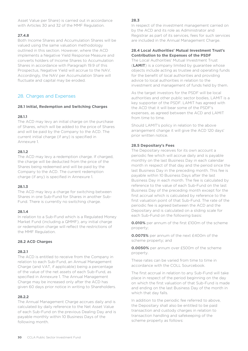Asset Value per Share) is carried out in accordance with Articles 30 and 32 of the MMF Regulation.

#### **27.4.8**

Both Income Shares and Accumulation Shares will be valued using the same valuation methodology outlined in this section. However, where the ACD implements a Negative Yield Response Measure and converts holders of Income Shares to Accumulation Shares in accordance with Paragraph 19.9 of this Prospectus, Negative Yield will accrue to the NAV. Accordingly, the NAV per Accumulation Share will fluctuate and capital may be eroded.

# <span id="page-29-0"></span>28. Charges and Expenses

#### **28.1 Initial, Redemption and Switching Charges**

#### **28.1.1**

The ACD may levy an initial charge on the purchase of Shares, which will be added to the price of Shares and will be paid by the Company to the ACD. The current initial charge (if any) is specified in Annexure 1.

#### **28.1.2**

The ACD may levy a redemption charge. If charged, the charge will be deducted from the price of the Shares being redeemed and will be paid by the Company to the ACD. The current redemption charge (if any) is specified in Annexure 1.

#### **28.1.3**

The ACD may levy a charge for switching between Shares in one Sub-Fund for Shares in another Sub-Fund. There is currently no switching charge.

#### **28.1.4**

In relation to a Sub-Fund which is a Regulated Money Market Fund (including a QMMF), any initial charge or redemption charge will reflect the restrictions of the MMF Regulation.

#### **28.2 ACD Charges**

#### **28.2.1**

The ACD is entitled to receive from the Company in relation to each Sub-Fund, an Annual Management Charge (and VAT, if applicable) being a percentage of the value of the net assets of each Sub-Fund, as specified in Annexure 1. The Annual Management Charge may be increased only after the ACD has given 60 days prior notice in writing to Shareholders.

#### **28.2.2**

The Annual Management Charge accrues daily and is calculated by daily reference to the Net Asset Value of each Sub-Fund on the previous Dealing Day and is payable monthly within 10 Business Days of the following month.

#### **28.3**

In respect of the investment management carried on by the ACD and its role as Administrator and Registrar as part of its services, fees for such services are included in the Annual Management Charge.

#### **28.4 Local Authorities' Mutual Investment Trust's Contribution to the Expenses of the PSDF**

The Local Authorities' Mutual Investment Trust (**LAMIT**) is a company limited by guarantee whose objects include acting as trustee and operating funds for the benefit of local authorities and providing advice to local authorities in relation to the investment and management of funds held by them.

As the target investors for the PSDF will be local authorities and other public sector bodies, LAMIT is a key supporter of the PSDF. LAMIT has agreed with the ACD that it will bear some of the PSDF's expenses, as agreed between the ACD and LAMIT from time to time.

Should LAMIT's policy in relation to the above arrangement change it will give the ACD 120 days' prior written notice.

#### **28.5 Depositary's Fees**

The Depositary receives for its own account a periodic fee which will accrue daily and is payable monthly on the last Business Day in each calendar month in respect of that day and the period since the last Business Day in the preceding month. This fee is payable within 10 Business Days after the last Business Day in each month. The fee is calculated by reference to the value of each Sub-Fund on the last Business Day of the preceding month except for the first accrual which is calculated by reference to the first valuation point of that Sub-Fund. The rate of the periodic fee is agreed between the ACD and the Depositary and is calculated on a sliding scale for each Sub-Fund on the following basis:

**0.010%** per annum of the first £100m of the scheme property;

**0.0075%** per annum of the next £400m of the scheme property; and

**0.0050%** per annum over £500m of the scheme property.

These rates can be varied from time to time in accordance with the COLL Sourcebook.

The first accrual in relation to any Sub-Fund will take place in respect of the period beginning on the day on which the first valuation of that Sub-Fund is made and ending on the last Business Day of the month in which that day falls.

In addition to the periodic fee referred to above, the Depositary shall also be entitled to be paid transaction and custody charges in relation to transaction handling and safekeeping of the scheme property as follows: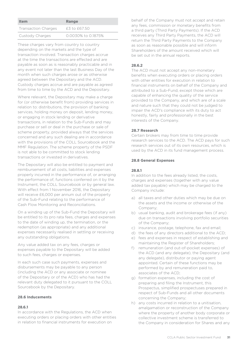| <b>Item</b>                | Range              |
|----------------------------|--------------------|
| <b>Transaction Charges</b> | £3 to £67.50       |
| Custody Charges            | 0.0030% to 0.1875% |

These charges vary from country to country depending on the markets and the type of transaction involved. Transaction charges accrue at the time the transactions are effected and are payable as soon as is reasonably practicable and in any event not later than the last Business Day of the month when such charges arose or as otherwise agreed between the Depositary and the ACD. Custody charges accrue and are payable as agreed from time to time by the ACD and the Depositary.

Where relevant, the Depositary may make a charge for (or otherwise benefit from) providing services in relation to: distributions, the provision of banking services, holding money on deposit, lending money, or engaging in stock lending or derivative transactions, in relation to the Sub-Funds and may purchase or sell or deal in the purchase or sale of scheme property, provided always that the services concerned and any such dealing are in accordance with the provisions of the COLL Sourcebook and the MMF Regulation. The scheme property of the PSDF is not able to be committed to stock lending transactions or invested in derivatives.

The Depositary will also be entitled to payment and reimbursement of all costs, liabilities and expenses properly incurred in the performance of, or arranging the performance of, functions conferred on it by the Instrument, the COLL Sourcebook or by general law. With effect from 1 November 2016, the Depositary will receive £6,000 per annum out of the property of the Sub-Fund relating to the performance of Cash Flow Monitoring and Reconciliations.

On a winding up of the Sub-Fund the Depositary will be entitled to its pro rata fees, charges and expenses to the date of winding up, the termination, or the redemption (as appropriate) and any additional expenses necessarily realised in settling or receiving any outstanding obligations.

Any value added tax on any fees, charges or expenses payable to the Depositary will be added to such fees, charges or expenses.

In each such case such payments, expenses and disbursements may be payable to any person (including the ACD or any associate or nominee of the Depositary or of the ACD) who has had the relevant duty delegated to it pursuant to the COLL Sourcebook by the Depositary.

#### **28.6 Inducements**

#### **28.6.1**

In accordance with the Regulations, the ACD when executing orders or placing orders with other entities in relation to financial instruments for execution on

behalf of the Company must not accept and retain any fees, commission or monetary benefits from a third party (Third Party Payments). If the ACD receives any Third Party Payments, the ACD will return the Third Party Payments to the Company as soon as reasonable possible and will inform Shareholders of the amount received which will be set out in the annual reports.

### **28.6.2**

The ACD must not accept any non-monetary benefits when executing orders or placing orders with other entities for execution in relation to financial instruments on behalf of the Company and attributed to a Sub-Fund, except those which are capable of enhancing the quality of the service provided to the Company, and which are of a scale and nature such that they could not be judged to impair the ACD's compliance with its duty to act honestly, fairly and professionally in the best interests of the Company.

#### **28.7 Research**

Certain brokers may from time to time provide research services to the ACD. The ACD pays for such research services out of its own resources, which is used by the ACD in its fund management process.

#### **28.8 General Expenses**

#### **28.8.1**

In addition to the fees already listed, the costs, charges and expenses (together with any value added tax payable) which may be charged to the Company include:

- a) all taxes and other duties which may be due on the assets and the income or otherwise of the Company;
- b) usual banking, audit and brokerage fees (if any) due on transactions involving portfolio securities of the Company;
- c) insurance, postage, telephone, fax and email;
- d) the fees of any directors additional to the ACD;
- e) fees and expenses in respect of establishing and maintaining the Register of Shareholders;
- f) remuneration (and out-of-pocket expenses) of the ACD (and any delegate), the Depositary (and any delegate), distributor or paying agent appointed. Certain of these functions may be performed by and remuneration paid to, associates of the ACD;
- g) formation expenses, including the cost of preparing and filing the Instrument, this Prospectus, simplified prospectuses prepared in respect of Sub-Funds and all other documents concerning the Company;
- h) any costs incurred in relation to a unitisation, amalgamation or reconstruction of the Company where the property of another body corporate or collective investment scheme is transferred to the Company in consideration for Shares and any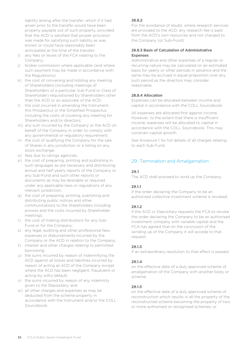liability arising after the transfer, which if it had arisen prior to the transfer would have been properly payable out of such property, provided that the ACD is satisfied that proper provision was made for satisfying such liability as was known or could have reasonably been anticipated at the time of the transfer;

- i) any fees or levies of the FCA relating to the Company;
- j) broker commission where applicable (and where such payment may be made in accordance with the Regulations);
- k) the cost of convening and holding any meeting of Shareholders (including meetings of Shareholders of a particular Sub-Fund or Class of Shareholder) requisitioned by Shareholders other than the ACD or an associate of the ACD;
- l) the cost incurred in amending the Instrument, this Prospectus or the Simplified Prospectus including the costs of covering any meeting for Shareholders and/or directors;
- m) any sum incurred by the Company or the ACD on behalf of the Company in order to comply with any governmental or regulatory requirement;
- n) the cost of qualifying the Company for the sale of Shares in any jurisdiction or a listing on any stock exchange;
- o) fees due to ratings agencies;
- p) the cost of preparing, printing and publishing in such languages as are necessary and distributing annual and half-yearly reports of the Company or any Sub-Fund and such other reports or documents as may be desirable or required under any applicable laws or regulations of any relevant jurisdiction;
- q) the cost of preparing, printing, publishing and distributing public notices and other communications to the Shareholders including proxies and the costs incurred by Shareholder meetings;
- r) the cost of making distributions for any Sub-Fund or for the Company;
- s) any legal, auditing and other professional fees, expenses or disbursements incurred by the Company or the ACD in relation to the Company;
- t) interest and other charges relating to permitted borrowing;
- u) the sums incurred by reason of indemnifying the ACD against all losses and liabilities incurred by reason of acting as ACD of the Company except where the ACD has been negligent, fraudulent or acting by wilful default;
- v) the sums incurred by reason of any indemnity given to the Depositary; and
- w) all other charges and expenses as may be deducted from the scheme property in accordance with the Instrument and/or the COLL Sourcebook.

### **28.8.2**

For the avoidance of doubt, where research services are provided to the ACD, any research fee is paid from the ACD's own resources and not charged to the Company (or Sub-Fund).

# **28.8.3 Basis of Calculation of Administrative Expenses**

Administrative and other expenses of a regular or recurring nature may be calculated on an estimated basis for yearly or other periods in advance and the same may be accrued in equal proportion over any such period as the directors may consider reasonable.

# **28.8.4 Allocation**

Expenses can be allocated between income and capital in accordance with the COLL Sourcebook.

All expenses are allocated first against income. However, to the extent that there is insufficient income, expenses will be allocated to capital in accordance with the COLL Sourcebook. This may constrain capital growth.

See Annexure 1 for full details of all charges relating to each Sub-Fund.

# <span id="page-31-0"></span>29. Termination and Amalgamation

# **29.1**

The ACD shall proceed to wind up the Company:

# **29.1.1**

if the order declaring the Company to be an authorised collective investment scheme is revoked;

### **29.1.2**

if the ACD or Depositary requests the FCA to revoke the order declaring the Company to be an authorised investment company with variable capital and the FCA has agreed that on the conclusion of the winding up of the Company it will accede to that request;

### **29.1.3**

if an extraordinary resolution to that effect is passed;

### **29.1.4**

on the effective date of a duly approved scheme of amalgamation of the Company with another body or scheme;

### **29.1.5**

on the effective date of a duly approved scheme of reconstruction which results in all the property of the reconstructed scheme becoming the property of two or more authorised or recognised schemes; or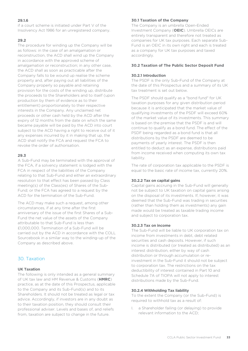### **29.1.6**

if a court scheme is initiated under Part V of the Insolvency Act 1986 for an unregistered company.

#### **29.2**

The procedure for winding up the Company will be as follows: in the case of an amalgamation or reconstruction, the ACD shall wind up the Company in accordance with the approved scheme of amalgamation or reconstruction; in any other case, the ACD shall as soon as practicable after the Company falls to be wound up realise the scheme property and, after paying out all liabilities of the Company properly so payable and retaining provision for the costs of the winding up, distribute the proceeds to the Shareholders and to itself (upon production by them of evidence as to their entitlement) proportionately to their respective interests in the Company. Any unclaimed net proceeds or other cash held by the ACD after the expiry of 12 months from the date on which the same became payable will be paid by the ACD into court subject to the ACD having a right to receive out of it any expenses incurred by it in making that up, the ACD shall notify the FCA and request the FCA to revoke the order of authorisation.

#### **29.3**

A Sub-Fund may be terminated with the approval of the FCA, if a solvency statement is lodged with the FCA in respect of the liabilities of the Company relating to that Sub-Fund and either an extraordinary resolution to that effect has been passed by Class meeting(s) of the Class(es) of Shares of the Sub-Fund; or the FCA has agreed to a request by the ACD for the termination of the Sub-Fund.

The ACD may make such a request, among other circumstances, if at any time after the first anniversary of the issue of the first Shares of a Sub-Fund the net value of the assets of the Company attributable to that Sub-Fund is less than £1,000,000. Termination of a Sub-Fund will be carried out by the ACD in accordance with the COLL Sourcebook in a similar way to the winding-up of the Company as described above.

# <span id="page-32-0"></span>30. Taxation

#### **UK Taxation**

The following is only intended as a general summary of UK tax law and HM Revenue & Customs (**HMRC**) practice, as at the date of this Prospectus, applicable to the Company and its Sub-Fund(s) and to its Shareholders. It should not be treated as legal or tax advice. Accordingly, if investors are in any doubt as to their taxation position, they should consult their professional adviser. Levels and bases of, and reliefs from, taxation are subject to change in the future.

#### **30.1 Taxation of the Company**

The Company is an umbrella Open-Ended Investment Company (**OEIC**). Umbrella OEICs are entirely transparent and therefore not treated as companies for UK tax purposes. Each separate Sub-Fund is an OEIC in its own right and each is treated as a company for UK tax purposes and taxed accordingly.

#### **30.2 Taxation of The Public Sector Deposit Fund**

#### **30.2.1 Introduction**

The PSDF is the only Sub-Fund of the Company at the date of this Prospectus and a summary of its UK tax treatment is set out below.

The PSDF should qualify as a "bond fund" for UK taxation purposes for any given distribution period because it is anticipated that the market value of qualifying investments of the PSDF will exceed 60% of the market value of its investments. This summary is based on the premise that the PSDF is and will continue to qualify as a bond fund. The effect of the PSDF being regarded as a bond fund is that all distributions by the PSDF are deemed to be payments of yearly interest. The PSDF is then entitled to deduct as an expense, distributions paid from income received when computing its own tax liability.

The rate of corporation tax applicable to the PSDF is equal to the basic rate of income tax, currently 20%.

#### **30.2.2 Tax on capital gains**

Capital gains accruing in the Sub-Fund will generally not be subject to UK taxation on capital gains arising on the disposal of its investments. If, however, it was deemed that the Sub-Fund was trading in securities (rather than holding them as investments) any gain made would be treated as taxable trading income and subject to corporation tax.

#### **30.2.3 Tax on income**

The Sub-Fund will be liable to UK corporation tax on income from investments in debt, debt related securities and cash deposits. However, if such income is distributed (or treated as distributed) as an interest distribution, either by way of cash distribution or through accumulation or reinvestment in the Sub-Fund it should not be subject to corporation tax. The restrictions on the tax deductibility of interest contained in Part 10 and Schedule 7A of TIOPA will not apply to interest distributions made by the Sub-Fund.

#### **30.2.4 Withholding Tax liability**

To the extent the Company (or the Sub-Fund) is required to withhold tax as a result of:

I. a Shareholder failing (or delaying) to provide relevant information to the ACD;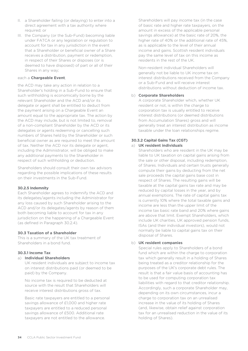- II. a Shareholder failing (or delaying) to enter into a direct agreement with a tax authority where required; or
- III. the Company (or the Sub-Fund) becoming liable under FATCA or any legislation or regulation to account for tax in any jurisdiction in the event that a Shareholder or beneficial owner of a Share receives a distribution, payment or redemption, in respect of their Shares or disposes (or is deemed to have disposed) of part or all of their Shares in any way;

#### each a **Chargeable Event**,

the ACD may take any action in relation to a Shareholder's holding in a Sub-Fund to ensure that such withholding is economically borne by the relevant Shareholder and the ACD and/or its delegate or agent shall be entitled to deduct from the payment arising on a Chargeable Event an amount equal to the appropriate tax. The action by the ACD may include, but is not limited to, removal of a non-compliant Shareholder by the ACD or its delegates or agents redeeming or cancelling such numbers of Shares held by the Shareholder or such beneficial owner as are required to meet the amount of tax. Neither the ACD nor its delegate or agent, including the Administrator, will be obliged to make any additional payments to the Shareholder in respect of such withholding or deduction.

Shareholders should consult their own tax advisors regarding the possible implications of these results on their investments in the Sub-Fund.

#### **30.2.5 Indemnity**

Each Shareholder agrees to indemnify the ACD and its delegates/agents including the Administrator for any loss caused by such Shareholder arising to the ACD and/or its delegates/agents by reason of them both becoming liable to account for tax in any jurisdiction on the happening of a Chargeable Event (as defined in Paragraph 30.2.4).

### **30.3 Taxation of a Shareholder**

This is a summary of the UK tax treatment of Shareholders in a bond fund.

### **30.3.1 Income Tax**

#### a) **Individual Shareholders**

UK resident individuals are subject to income tax on interest distributions paid (or deemed to be paid) by the Company.

No income tax is required to be deducted at source with the result that Shareholders will receive interest distributions gross of tax.

Basic rate taxpayers are entitled to a personal savings allowance of £1,000 and higher rate taxpayers are entitled to a reduced personal savings allowance of £500. Additional rate taxpayers are not entitled to the allowance.

Shareholders will pay income tax (in the case of basic rate and higher rate taxpayers, on the amount in excess of the applicable personal savings allowance) at the basic rate of 20%, the higher rate of 40% or the additional rate of 45%, as is applicable to the level of their annual income and gains. Scottish resident individuals pay the same level of tax on this income as residents in the rest of the UK.

Non-resident individual Shareholders will generally not be liable to UK income tax on interest distributions received from the Company or a Sub-Fund and will receive interest distributions without deduction of income tax.

#### b) **Corporate Shareholders**

A corporate Shareholder which, whether UK resident or not, is within the charge to corporation tax is usually entitled to receive interest distributions (or deemed distributions from Accumulation Shares) gross and will generally treat an interest distribution as income taxable under the loan relationships regime.

#### **30.3.2 Capital Gains Tax (CGT)** a) **UK resident individuals**

Shareholders who are resident in the UK may be liable to UK taxation on capital gains arising from the sale or other disposal, including redemption, of Shares. Individuals and certain trusts generally compute their gains by deducting from the net sale proceeds the capital gains base cost in respect of Shares. The resulting gains will be taxable at the capital gains tax rate and may be reduced by capital losses in the year, and by annual exemptions. The rate of capital gains tax is currently 10% where the total taxable gains and income are less than the upper limit of the income tax basic rate band and 20% where gains are above that limit. Exempt Shareholders, which include UK charities, UK approved pension funds, ISAs (and their individual investors), would not normally be liable to capital gains tax on their disposal of Shares.

### b) **UK resident companies**

Special rules apply to Shareholders of a bond fund which are within the charge to corporation tax which generally result in a holding of Shares being treated as a creditor relationship for the purposes of the UK's corporate debt rules. The result is that a fair value basis of accounting has to be used for computing corporation tax liabilities with regard to that creditor relationship. Accordingly, such a corporate Shareholder may, depending on its own circumstances, incur a charge to corporation tax on an unrealised increase in the value of its holding of Shares (and, likewise, obtain relief against corporation tax for an unrealised reduction in the value of its holding of Shares).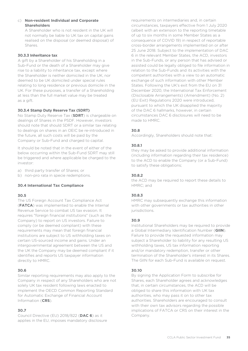#### c) **Non-resident Individual and Corporate Shareholders**

A Shareholder who is not resident in the UK will not normally be liable to UK tax on capital gains realised on the disposal (or deemed disposal) of Shares.

#### **30.3.3 Inheritance tax**

A gift by a Shareholder of his Shareholding in a Sub-Fund or the death of a Shareholder may give rise to a liability to inheritance tax, except where the Shareholder is neither domiciled in the UK, nor deemed to be UK domiciled under special rules relating to long residence or previous domicile in the UK. For these purposes, a transfer of a Shareholding at less than the full market value may be treated as a gift.

### **30.3.4 Stamp Duty Reserve Tax (SDRT)**

No Stamp Duty Reserve Tax (**SDRT**) is chargeable on dealings of Shares in the PSDF. However, investors should note that should SDRT or a similar tax relating to dealings on shares in an OEIC be re-introduced in the future, all such costs will be paid by the Company or Sub-Fund and charged to capital.

It should be noted that in the event of either of the below occurring within the Sub-Fund SDRT may still be triggered and where applicable be charged to the investor:

a) third party transfer of Shares; or

b) non-pro rata in specie redemptions.

### **30.4 International Tax Compliance**

### **30.5**

The US Foreign Account Tax Compliance Act (**FATCA**) was implemented to enable the Internal Revenue Service to combat US tax evasion. It requires "foreign financial institutions" (such as the Company) to report on US investors. Failure to comply (or be deemed compliant) with these requirements may mean that foreign financial institutions are subject to US withholding taxes on certain US-sourced income and gains. Under an intergovernmental agreement between the US and the UK the Company may be deemed compliant if it identifies and reports US taxpayer information directly to HMRC.

### **30.6**

Similar reporting requirements may also apply to the Company in respect of any Shareholders who are not solely UK tax resident following laws enacted to implement the OECD Common Reporting Standard for Automatic Exchange of Financial Account Information (**CRS**).

### **30.7**

Council Directive (EU) 2018/822 (**DAC 6**) as it applies in the EU, imposes mandatory disclosure requirements on intermediaries and, in certain circumstances, taxpayers effective from 1 July 2020 (albeit with an extension to the reporting timetable of up to six months in some Member States as a consequence of COVID 19) in respect of reportable cross-border arrangements implemented on or after 25 June 2018. Subject to the implementation of DAC 6 in the relevant Member States, the ACD, investors in the Sub-Funds, or any person that has advised or assisted could be legally obliged to file information in relation to the Sub-Funds and its activities with the competent authorities with a view to an automatic exchange of such information with other Member States. Following the UK's exit from the EU on 31 December 2020, the International Tax Enforcement (Disclosable Arrangements) (Amendment) (No. 2) (EU Exit) Regulations 2020 were introduced, pursuant to which the UK disapplied the majority of the DAC 6 hallmarks, however, in certain circumstances DAC 6 disclosures will need to be made to HMRC.

#### **30.8**

Accordingly, Shareholders should note that:

#### **30.8.1**

they may be asked to provide additional information (including information regarding their tax residence) to the ACD to enable the Company (or a Sub-Fund) to satisfy these obligations;

#### **30.8.2**

the ACD may be required to report these details to HMRC; and

### **30.8.3**

HMRC may subsequently exchange this information with other governments or tax authorities in other jurisdictions.

### **30.9**

Institutional Shareholders may be required to provide a Global Intermediary Identification Number (**GIIN**). Failure to provide the requested information may subject a Shareholder to liability for any resulting US withholding taxes, US tax information reporting and/or mandatory redemption, transfer or other termination of the Shareholder's interest in its Shares. The GIIN for each Sub-Fund is available on request.

### **30.10**

By signing the Application Form to subscribe for Shares, each Shareholder agrees and acknowledges that, in certain circumstances, the ACD will be obliged to share this information with UK tax authorities, who may pass it on to other tax authorities. Shareholders are encouraged to consult with their own tax advisors regarding the possible implications of FATCA or CRS on their interest in the Company.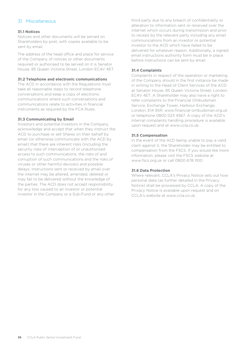# <span id="page-35-0"></span>31. Miscellaneous

### **31.1 Notices**

Notices and other documents will be served on Shareholders by post, with copies available to be sent by email.

The address of the head office and place for service of the Company of notices or other documents required or authorised to be served on it is Senator House, 85 Queen Victoria Street, London EC4V 4ET.

#### **31.2 Telephone and electronic communications**

The ACD in accordance with the Regulations must take all reasonable steps to record telephone conversations and keep a copy of electronic communications where such conversations and communications relate to activities in financial instruments as required by the FCA Rules.

#### **31.3 Communicating by Email**

Investors and potential investors in the Company acknowledge and accept that when they instruct the ACD to purchase or sell Shares on their behalf by email (or otherwise communicate with the ACD by email) that there are inherent risks (including the security risks of interception of or unauthorised access to such communications, the risks of and corruption of such communications and the risks of viruses or other harmful devices) and possible delays. Instructions sent or received by email over the internet may be altered, amended, deleted or may fail to be delivered without the knowledge of the parties. The ACD does not accept responsibility for any loss caused to an investor or potential investor in the Company or a Sub-Fund or any other

third party due to any breach of confidentiality or alteration to information sent or received over the internet which occurs during transmission and prior to receipt by the relevant party including any email communications from an investor or potential investor to the ACD which have failed to be delivered for whatever reason. Additionally, a signed email instructions authority form must be in place before instructions can be sent by email.

#### **31.4 Complaints**

Complaints in respect of the operation or marketing of the Company should in the first instance be made in writing to the Head of Client Services of the ACD at Senator House, 85 Queen Victoria Street, London EC4V 4ET. A Shareholder may also have a right to refer complaints to the Financial Ombudsman Service, Exchange Tower, Harbour Exchange, London, E14 9SR, www.financial-ombudsman.org.uk or telephone 0800 023 4567. A copy of the ACD's internal complaints handling procedure is available upon request and at www.ccla.co.uk.

#### **31.5 Compensation**

In the event of the ACD being unable to pay a valid claim against it, the Shareholder may be entitled to compensation from the FSCS. If you would like more information, please visit the FSCS website at www.fscs.org.uk or call 0800 678 1100.

#### **31.6 Data Protection**

Where relevant, CCLA's Privacy Notice sets out how personal data (as further detailed in the Privacy Notice) shall be processed by CCLA. A copy of the Privacy Notice is available upon request and on CCLA's website at www.ccla.co.uk.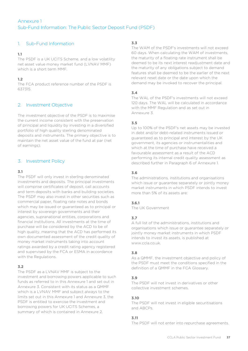# <span id="page-36-0"></span>1. Sub-Fund Information

# **1.1**

The PSDF is a UK UCITS Scheme, and a low volatility net asset value money market fund (LVNAV MMF) which is a short term MMF.

# **1.2**

The FCA product reference number of the PSDF is 637315.

# 2. Investment Objective

The investment objective of the PSDF is to maximise the current income consistent with the preservation of principal and liquidity by investing in a diversified portfolio of high quality sterling denominated deposits and instruments. The primary objective is to maintain the net asset value of the fund at par (net of earnings).

# 3. Investment Policy

# **3.1**

The PSDF will only invest in sterling denominated investments and deposits. The principal investments will comprise certificates of deposit, call accounts and term deposits with banks and building societies. The PSDF may also invest in other securities such as commercial paper, floating rate notes and bonds which may be issued or guaranteed as to principal or interest by sovereign governments and their agencies, supranational entities, corporations and financial institutions. All investments at the time of purchase will be considered by the ACD to be of high quality, meaning that the ACD has performed its own documented assessment of the credit quality of money market instruments taking into account ratings awarded by a credit rating agency registered and supervised by the FCA or ESMA in accordance with the Regulations.

# **3.2**

The PSDF as a LVNAV MMF is subject to the investment and borrowing powers applicable to such funds as referred to in this Annexure 1 and set out in Annexure 3. Consistent with its status as a QMMF which is a LVNAV MMF and subject always to the limits set out in this Annexure 1 and Annexure 3, the PSDF is entitled to exercise the investment and borrowing powers for UK UCITS Schemes, a summary of which is contained in Annexure 2.

### **3.3**

The WAM of the PSDF's investments will not exceed 60 days. When calculating the WAM of investments, the maturity of a floating rate instrument shall be deemed to be its next interest readjustment date and the maturity of any obligations subject to demand features shall be deemed to be the earlier of the next relevant reset date or the date upon which the demand may be invoked to recover the principal.

# **3.4**

The WAL of the PSDF's investments will not exceed 120 days. The WAL will be calculated in accordance with the MMF Regulation and as set out in Annexure 3.

# **3.5**

Up to 100% of the PSDF's net assets may be invested in debt and/or debt-related instruments issued or guaranteed as to principal and interest by the UK government, its agencies or instrumentalities and which at the time of purchase have received a favourable assessment as a result of the ACD performing its internal credit quality assessment as described further in Paragraph 6 of Annexure 1.

# **3.6**

The administrations, institutions and organisations which issue or guarantee separately or jointly money market instruments in which PSDF intends to invest more than 5% of its assets are:

### **3.6.1**

The UK Government

# **3.7**

A full list of the administrations, institutions and organisations which issue or guarantee separately or jointly money market instruments in which PSDF intends to invest its assets, is published at www.ccla.co.uk.

### **3.8**

As a QMMF, the investment objective and policy of the PSDF must meet the conditions specified in the definition of a QMMF in the FCA Glossary.

### **3.9**

The PSDF will not invest in derivatives or other collective investment schemes.

### **3.10**

The PSDF will not invest in eligible securitisations and ABCPs.

### **3.11**

The PSDF will not enter into repurchase agreements.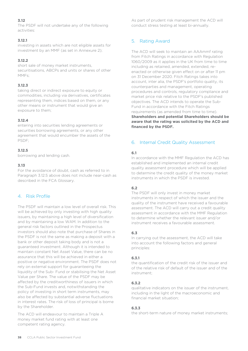The PSDF will not undertake any of the following activities:

#### **3.12.1**

investing in assets which are not eligible assets for investment by an MMF (as set in Annexure 2);

#### **3.12.2**

short sale of money market instruments, securitisations, ABCPs and units or shares of other MMFs;

#### **3.12.3**

taking direct or indirect exposure to equity or commodities, including via derivatives, certificates representing them, indices based on them, or any other means or instrument that would give an exposure to them;

### **3.12.4**

entering into securities lending agreements or securities borrowing agreements, or any other agreement that would encumber the assets of the PSDF;

#### **3.12.5**

borrowing and lending cash.

#### **3.13**

For the avoidance of doubt, cash as referred to in Paragraph 3.12.5 above does not include near-cash as described in the FCA Glossary.

# 4. Risk Profile

The PSDF will maintain a low level of overall risk. This will be achieved by only investing with high quality issuers, by maintaining a high level of diversification and by maintaining a low WAM. In addition to the general risk factors outlined in the Prospectus investors should also note that purchase of Shares in the PSDF is not the same as making a deposit with a bank or other deposit taking body and is not a guaranteed investment. Although it is intended to maintain constant Net Asset Value, there can be no assurance that this will be achieved in either a positive or negative environment. The PSDF does not rely on external support for guaranteeing the liquidity of the Sub- Fund or stabilising the Net Asset Value per Share. The value of the PSDF may be affected by the creditworthiness of issuers in which the Sub-Fund invests and, notwithstanding the policy of investing in short term instruments, may also be affected by substantial adverse fluctuations in interest rates. The risk of loss of principal is borne by the Shareholder.

The ACD will endeavour to maintain a Triple A money market fund rating with at least one competent rating agency.

As part of prudent risk management the ACD will conduct stress testing at least bi-annually.

# 5. Rating Award

The ACD will seek to maintain an AAAmmf rating from Fitch Ratings in accordance with Regulation 1060/2009 as it applies in the UK from time to time including as retained, amended, extended, reenacted or otherwise given effect on or after 11 pm on 31 December 2020. Fitch Ratings takes into account, inter alia, the PSDF's portfolio quality, its counterparties and management, operating procedures and controls, regulatory compliance and market price risk relative to the PSDF's published objectives. The ACD intends to operate the Sub-Fund in accordance with the Fitch Ratings requirements (as amended from time to time). **Shareholders and potential Shareholders should be aware that the rating was solicited by the ACD and financed by the PSDF.**

# 6. Internal Credit Quality Assessment

#### **6.1**

In accordance with the MMF Regulation the ACD has established and implemented an internal credit quality assessment procedure which will be applied to determine the credit quality of the money market instruments in which the PSDF is invested.

### **6.2**

The PSDF will only invest in money market instruments in respect of which the issuer and the quality of the instrument have received a favourable assessment. The ACD will carry out a credit quality assessment in accordance with the MMF Regulation to determine whether the relevant issuer and/or instrument receives a favourable assessment.

### **6.3**

In carrying out the assessment, the ACD will take into account the following factors and general principles:

#### **6.3.1**

the quantification of the credit risk of the issuer and of the relative risk of default of the issuer and of the instrument;

#### **6.3.2**

qualitative indicators on the issuer of the instrument, including in the light of the macroeconomic and financial market situation;

### **6.3.3**

the short-term nature of money market instruments;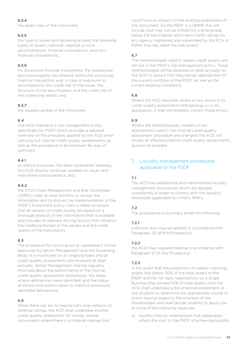# **6.3.4**

the asset class of the instrument;

# **6.3.5**

the type of issuer distinguishing at least the following types of issuers: national, regional or local administrations, financial corporations, and nonfinancial corporations;

# **6.3.6**

for structured financial instruments, the operational and counterparty risk inherent within the structured financial transaction and, in case of exposure to securitisations, the credit risk of the issuer, the structure of the securitisation and the credit risk of the underlying assets; and

# **6.3.7**

the liquidity profile of the instrument.

# **6.4**

The ACD maintains a risk management policy specifically for PSDF which provides a detailed overview of the principles applied by the ACD when carrying out internal credit quality assessments, as well as the procedure to be followed. By way of summary:

# **6.4.1**

an effective process has been established whereby the ACD obtains continual updates on issuer and instrument characteristics; and

# **6.4.2**

the ACD's Cash Management and Risk Committee (CMRC) meet at least monthly to review this information and to discuss the implementation of the PSDF's investment policy. Care is taken to ensure that all reviews of credit quality are based on a thorough analysis of the information that is available and includes all relevant driving factors that influence the creditworthiness of the issuers and the credit quality of the instruments.

### **6.5**

The procedure for carrying out an assessment will be approved by Senior Management and the Governing Body. It is monitored on an ongoing basis and all credit quality assessments are reviewed at least annually. Senior Management shall be regularly informed about the performance of the internal credit quality assessment procedures, the areas where deficiencies were identified, and the status of efforts and actions taken to improve previously identified deficiencies.

# **6.6**

While there can be no mechanistic over-reliance on external ratings, the ACD shall undertake another credit quality assessment for money market instruments where there is a material change that

could have an impact on the existing assessment of the instrument. As the PSDF is a QMMF this will include (but may not be limited to) a downgrade below the two highest short-term credit ratings by any agency registered and supervised by the FCA or ESMA that has rated the instrument.

# **6.7**

The methodologies used to assess credit quality are set out in the PSDF's risk management policy. These methodologies will be assessed at least annually by the ACD to ensure that they remain appropriate for the current portfolio of the PSDF, as well as the current external conditions.

# **6.8**

Where the ACD becomes aware of any errors in its credit quality assessment methodology or in its application, it shall immediately correct those errors.

# **6.9**

Where the methodologies, models or key assumptions used in the internal credit quality assessment procedure are changed, the ACD will review all affected internal credit quality assessments as soon as possible.

# 7. Liquidity management procedures applicable to the PSDF

# **7.1**

The ACD has established and implemented liquidity management procedures which are applied consistently in order to comply with the liquidity thresholds applicable to LVNAV MMFs.

# **7.2**

The procedures in summary entail the following:

# **7.2.1**

a dilution levy may be applied in accordance with Paragraph 20 of this Prospectus;

# **7.2.2**

the ACD may suspend dealing in accordance with Paragraph 21 of this Prospectus;

# **7.2.3**

In the event that the proportion of weekly maturing assets falls below 30% of the total assets of the PSDF and the net daily redemptions on a single Business Day exceed 10% of total assets, then the ACD shall undertake a documented assessment of the situation to determine the appropriate course of action having regard to the interests of the Shareholders and shall decide whether to apply one or more of the following measures:

a) liquidity fees on redemptions that adequately reflect the cost to the PSDF of achieving liquidity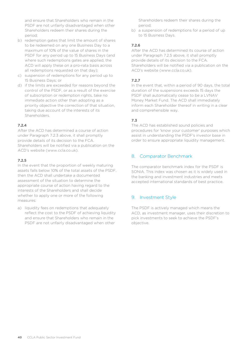and ensure that Shareholders who remain in the PSDF are not unfairly disadvantaged when other Shareholders redeem their shares during the period;

- b) redemption gates that limit the amount of shares to be redeemed on any one Business Day to a maximum of 10% of the value of shares in the PSDF for any period up to 15 Business Days (and where such redemptions gates are applied, the ACD will apply these on a pro-rata basis across all redemptions requested on that day);
- c) suspension of redemptions for any period up to 15 Business Days; or
- d) if the limits are exceeded for reasons beyond the control of the PSDF, or as a result of the exercise of subscription or redemption rights, take no immediate action other than adopting as a priority objective the correction of that situation, taking due account of the interests of its Shareholders.

### **7.2.4**

After the ACD has determined a course of action under Paragraph 7.2.3 above, it shall promptly provide details of its decision to the FCA. Shareholders will be notified via a publication on the ACD's website (www.ccla.co.uk).

#### **7.2.5**

In the event that the proportion of weekly maturing assets falls below 10% of the total assets of the PSDF, then the ACD shall undertake a documented assessment of the situation to determine the appropriate course of action having regard to the interests of the Shareholders and shall decide whether to apply one or more of the following measures:

a) liquidity fees on redemptions that adequately reflect the cost to the PSDF of achieving liquidity and ensure that Shareholders who remain in the PSDF are not unfairly disadvantaged when other

Shareholders redeem their shares during the period;

b) a suspension of redemptions for a period of up to 15 Business Days.

#### **7.2.6**

After the ACD has determined its course of action under Paragraph 7.2.5 above, it shall promptly provide details of its decision to the FCA. Shareholders will be notified via a publication on the ACD's website (www.ccla.co.uk).

### **7.2.7**

In the event that, within a period of 90 days, the total duration of the suspensions exceeds 15 days the PSDF shall automatically cease to be a LVNAV Money Market Fund. The ACD shall immediately inform each Shareholder thereof in writing in a clear and comprehensible way.

# **7.3**

The ACD has established sound policies and procedures for 'know your customer' purposes which assist in understanding the PSDF's investor base in order to ensure appropriate liquidity management.

# 8. Comparator Benchmark

The comparator benchmark index for the PSDF is SONIA. This index was chosen as it is widely used in the banking and investment industries and meets accepted international standards of best practice.

# 9. Investment Style

The PSDF is actively managed which means the ACD, as investment manager, uses their discretion to pick investments to seek to achieve the PSDF's objective.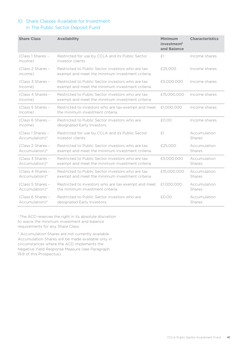# 10. Share Classes Available for Investment in The Public Sector Deposit Fund

| <b>Share Class</b>                  | <b>Availability</b>                                                                                   | <b>Minimum</b><br>Investment <sup>1</sup><br>and Balance | <b>Characteristics</b> |
|-------------------------------------|-------------------------------------------------------------------------------------------------------|----------------------------------------------------------|------------------------|
| (Class 1 Shares -<br>Income)        | Restricted for use by CCLA and its Public Sector<br>investor clients.                                 | £1                                                       | Income shares          |
| (Class 2 Shares -<br>income)        | Restricted to Public Sector investors who are tax<br>exempt and meet the minimum investment criteria. | £25,000                                                  | Income shares          |
| (Class 3 Shares -<br>Income)        | Restricted to Public Sector investors who are tax<br>exempt and meet the minimum investment criteria. | £5,000,000                                               | Income shares          |
| (Class 4 Shares -<br>Income)        | Restricted to Public Sector investors who are tax<br>exempt and meet the minimum investment criteria. | £15,000,000                                              | Income shares          |
| (Class 5 Shares -<br>Income)        | Restricted to investors who are tax exempt and meet<br>the minimum investment criteria.               | £1,000,000                                               | Income shares          |
| (Class 6 Shares -<br>Income)        | Restricted to Public Sector investors who are<br>designated Early Investors.                          | $f \cap f \cap f$                                        | Income shares          |
| (Class 1 Shares -<br>Accumulation)* | Restricted for use by CCLA and its Public Sector<br>investor clients.                                 | $f^{-1}$                                                 | Accumulation<br>Shares |
| (Class 2 Shares -<br>Accumulation)* | Restricted to Public Sector investors who are tax<br>exempt and meet the minimum investment criteria. | £25,000                                                  | Accumulation<br>Shares |
| (Class 3 Shares -<br>Accumulation)* | Restricted to Public Sector investors who are tax<br>exempt and meet the minimum investment criteria. | £5,000,000                                               | Accumulation<br>Shares |
| (Class 4 Shares -<br>Accumulation)* | Restricted to Public Sector investors who are tax<br>exempt and meet the minimum investment criteria. | £15,000,000                                              | Accumulation<br>Shares |
| (Class 5 Shares -<br>Accumulation)* | Restricted to investors who are tax exempt and meet<br>the minimum investment criteria.               | £1,000,000                                               | Accumulation<br>Shares |
| (Class 6 Shares -<br>Accumulation)* | Restricted to Public Sector investors who are<br>designated Early Investors.                          | £0.00                                                    | Accumulation<br>Shares |

<sup>1</sup> The ACD reserves the right in its absolute discretion to waive the minimum investment and balance requirements for any Share Class.

\* Accumulation Shares are not currently available. Accumulation Shares will be made available only in circumstances where the ACD implements the Negative Yield Response Measure (see Paragraph 19.9 of this Prospectus).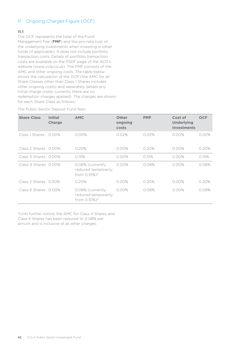# 11. Ongoing Charges Figure (OCF)

### **11.1**

The OCF represents the total of the Fund Management Fee (**FMF**) and the pro-rata cost of the underlying investments when investing in other funds (if applicable). It does not include portfolio transaction costs. Details of portfolio transaction costs are available on the PSDF page of the ACD's website [\(www.ccla.co.uk\)](http://www.ccla.co.uk/). The FMF consists of the AMC and other ongoing costs. The table below shows the calculation of the OCF (the AMC for all Share Classes other than Class 1 Shares includes other ongoing costs) and separately details any initial charge (note: currently there are no redemption charges applied). The charges are shown for each Share Class as follows:

The Public Sector Deposit Fund fees:

| <b>Share Class</b>   | <b>Initial</b><br><b>Charge</b> | <b>AMC</b>                                              | <b>Other</b><br>ongoing<br>costs | <b>FMF</b> | Cost of<br><b>Underlying</b><br><b>Investments</b> | <b>OCF</b> |
|----------------------|---------------------------------|---------------------------------------------------------|----------------------------------|------------|----------------------------------------------------|------------|
| Class 1 Shares       | $0.00\%$                        | 0.00%                                                   | 0.02%                            | 0.02%      | 0.00%                                              | 0.02%      |
| Class 2 Shares 0.00% |                                 | 0.20%                                                   | $0.00\%$                         | 0.20%      | $0.00\%$                                           | 0.20%      |
| Class 3 Shares 0.00% |                                 | 0.15%                                                   | $0.00\%$                         | 0.15%      | 0.00%                                              | 0.15%      |
| Class 4 Shares 0.00% |                                 | 0.08% (currently<br>reduced temporarily<br>from 0.10%)* | $0.00\%$                         | 0.08%      | $0.00\%$                                           | 0.08%      |
| Class 5 Shares 5.00% |                                 | 0.20%                                                   | 0.00%                            | 0.20%      | 0.00%                                              | 0.20%      |
| Class 6 Shares 0.00% |                                 | 0.08% (currently<br>reduced temporarily<br>from 0.10%)* | 0.00%                            | 0.08%      | 0.00%                                              | 0.08%      |

\*Until further notice, the AMC for Class 4 Shares and Class 6 Shares has been reduced to 0.08% per annum and is inclusive of all other charges.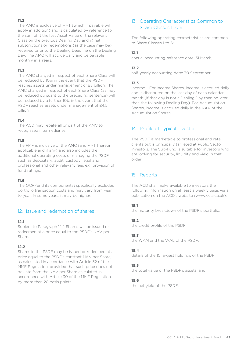The AMC is exclusive of VAT (which if payable will apply in addition) and is calculated by reference to the sum of i) the Net Asset Value of the relevant Class on the previous Dealing Day and ii) net subscriptions or redemptions (as the case may be) received prior to the Dealing Deadline on the Dealing Day. The AMC will accrue daily and be payable monthly in arrears.

# **11.3**

The AMC charged in respect of each Share Class will be reduced by 10% in the event that the PSDF reaches assets under management of £3 billion. The AMC charged in respect of each Share Class (as may be reduced pursuant to the preceding sentence) will be reduced by a further 10% in the event that the PSDF reaches assets under management of £4.5 billion.

### **11.4**

The ACD may rebate all or part of the AMC to recognised intermediaries.

### **11.5**

The FMF is inclusive of the AMC (and VAT thereon if applicable and if any) and also includes the additional operating costs of managing the PSDF such as depositary, audit, custody, legal and professional and other relevant fees e.g. provision of fund ratings.

### **11.6**

The OCF (and its components) specifically excludes portfolio transaction costs and may vary from year to year. In some years, it may be higher.

# 12. Issue and redemption of shares

#### **12.1**

Subject to Paragraph 12.2 Shares will be issued or redeemed at a price equal to the PSDF's NAV per Share.

### **12.2**

Shares in the PSDF may be issued or redeemed at a price equal to the PSDF's constant NAV per Share, as calculated in accordance with Article 32 of the MMF Regulation, provided that such price does not deviate from the NAV per Share calculated in accordance with Article 30 of the MMF Regulation by more than 20 basis points.

# 13. Operating Characteristics Common to Share Classes 1 to 6

The following operating characteristics are common to Share Classes 1 to 6:

### **13.1**

annual accounting reference date: 31 March;

### **13.2**

half-yearly accounting date: 30 September;

# **13.3**

Income – For Income Shares, income is accrued daily and is distributed on the last day of each calendar month (if that day is not a Dealing Day then no later than the following Dealing Day). For Accumulation Shares, income is accrued daily in the NAV of the Accumulation Shares.

# 14. Profile of Typical Investor

The PSDF is marketable to professional and retail clients but is principally targeted at Public Sector investors. The Sub-Fund is suitable for investors who are looking for security, liquidity and yield in that order.

# 15. Reports

The ACD shall make available to investors the following information on at least a weekly basis via a publication on the ACD's website (www.ccla.co.uk):

### **15.1**

the maturity breakdown of the PSDF's portfolio;

### **15.2**

the credit profile of the PSDF;

### **15.3**

the WAM and the WAL of the PSDF;

### **15.4**

details of the 10 largest holdings of the PSDF;

#### **15.5**

the total value of the PSDF's assets; and

### **15.6**

the net yield of the PSDF.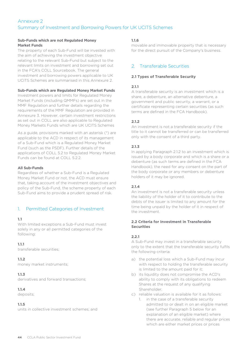# <span id="page-43-0"></span>Annexure 2 Summary of Investment and Borrowing Powers for UK UCITS Schemes

#### **Sub-Funds which are not Regulated Money Market Funds**

The property of each Sub-Fund will be invested with the aim of achieving the investment objective relating to the relevant Sub-Fund but subject to the relevant limits on investment and borrowing set out in the FCA's COLL Sourcebook. The general investment and borrowing powers applicable to UK UCITS Schemes are summarised in this Annexure 2.

#### **Sub-Funds which are Regulated Money Market Funds**

Investment powers and limits for Regulated Money Market Funds (including QMMFs) are set out in the MMF Regulation and further details regarding the requirements of the MMF Regulation are provided in Annexure 3. However, certain investment restrictions as set out in COLL are also applicable to Regulated Money Markets Funds which are UK UCITS Schemes

As a guide, provisions marked with an asterisk (\*) are applicable to the ACD in respect of its management of a Sub-Fund which is a Regulated Money Market Fund (such as the PSDF). Further details of the applications of COLL 5.2 to Regulated Money Market Funds can be found at COLL 5.2.2.

#### **All Sub-Funds**

Regardless of whether a Sub-Fund is a Regulated Money Market Fund or not, the ACD must ensure that, taking account of the investment objectives and policy of the Sub-Fund, the scheme property of each Sub-Fund aims to provide a prudent spread of risk.

# 1. Permitted Categories of Investment

#### **1.1**

With limited exceptions a Sub-Fund must invest solely in any or all permitted categories of the following:

#### **1.1.1**

transferable securities;

#### **1.1.2**

money market instruments;

#### **1.1.3**

derivatives and forward transactions;

#### **1.1.4**

deposits;

### **1.1.5**

units in collective investment schemes; and

#### **1.1.6**

movable and immovable property that is necessary for the direct pursuit of the Company's business.

# 2. Transferable Securities

#### **2.1 Types of Transferable Security**

### **2.1.1**

A transferable security is an investment which is a share, a debenture, an alternative debenture, a government and public security, a warrant, or a certificate representing certain securities (as such terms are defined in the FCA Handbook).

### **2.1.2**

An investment is not a transferable security if the title to it cannot be transferred or can be transferred only with the consent of a third party.

#### **2.1.3**

In applying Paragraph 2.1.2 to an investment which is issued by a body corporate and which is a share or a debenture (as such terms are defined in the FCA Handbook), the need for any consent on the part of the body corporate or any members or debenture holders of it may be ignored.

### **2.1.4**

An investment is not a transferable security unless the liability of the holder of it to contribute to the debts of the issuer is limited to any amount for the time being unpaid by the holder of it in respect of the investment.

#### **2.2 Criteria for Investment in Transferable Securities**

### **2.2.1**

A Sub-Fund may invest in a transferable security only to the extent that the transferable security fulfils the following criteria:

- a) the potential loss which a Sub-Fund may incur with respect to holding the transferable security is limited to the amount paid for it;
- b) its liquidity does not compromise the ACD's ability to comply with its obligations to redeem Shares at the request of any qualifying Shareholder;
- c) reliable valuation is available for it as follows:
	- 1. in the case of a transferable security admitted to or dealt in on an eligible market (see further Paragraph 5 below for an explanation of an eligible market) where there are accurate, reliable and regular prices which are either market prices or prices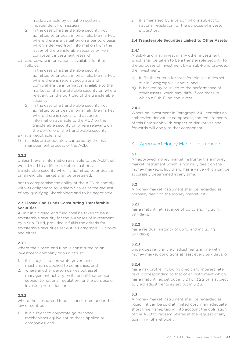made available by valuation systems independent from issuers;

- 2. in the case of a transferable security not admitted to or dealt in on an eligible market, where there is a valuation on a periodic basis which is derived from information from the issuer of the transferable security or from competent investment research;
- d) appropriate information is available for it as follows:
	- 1. in the case of a transferable security admitted to or dealt in on an eligible market, where there is regular, accurate and comprehensive information available to the market on the transferable security or, where relevant, on the portfolio of the transferable security;
	- 2. in the case of a transferable security not admitted to or dealt in on an eligible market where there is regular and accurate information available to the ACD on the transferable security or, where relevant, on the portfolio of the transferable security;
- e) it is negotiable; and
- f) its risks are adequately captured by the risk management process of the ACD.

### **2.2.2**

Unless there is information available to the ACD that would lead to a different determination, a transferable security which is admitted to or dealt in on an eligible market shall be presumed:

not to compromise the ability of the ACD to comply with its obligations to redeem Shares at the request of any qualifying Shareholder; and to be negotiable.

#### **2.3 Closed-End Funds Constituting Transferable Securities**

A unit in a closed-end fund shall be taken to be a transferable security for the purposes of investment by a Sub-Fund, provided it fulfils the criteria for transferable securities set out in Paragraph 2.2 above and either:

#### **2.3.1**

where the closed-end fund is constituted as an investment company or a unit trust:

- 1. it is subject to corporate governance mechanisms applied to companies; and
- 2. where another person carries out asset management activity on its behalf that person is subject to national regulation for the purpose of investor protection; or

### **2.3.2**

where the closed-end fund is constituted under the law of contract:

1. it is subject to corporate governance mechanisms equivalent to those applied to companies; and

2. it is managed by a person who is subject to national regulation for the purpose of investor protection.

#### **2.4 Transferable Securities Linked to Other Assets**

### **2.4.1**

A Sub-Fund may invest in any other investment which shall be taken to be a transferable security for the purposes of investment by a Sub-Fund provided the investment:

- a) fulfils the criteria for transferable securities set out in Paragraph 2.2 above; and
- b) is backed by or linked to the performance of other assets which may differ from those in which a Sub-Fund can invest.

#### **2.4.2**

Where an investment in Paragraph 2.4.1 contains an embedded derivative component, the requirements of this Paragraph with respect to derivatives and forwards will apply to that component.

# 3. Approved Money Market Instruments

#### **3.1**

An approved money market instrument is a money market instrument which is normally dealt on the money market, is liquid and has a value which can be accurately determined at any time.

#### **3.2**

A money market instrument shall be regarded as normally dealt on the money market if it:

#### **3.2.1**

has a maturity at issuance of up to and including 397 days;

### **3.2.2**

has a residual maturity of up to and including 397 days;

### **3.2.3**

undergoes regular yield adjustments in line with money market conditions at least every 397 days; or

#### **3.2.4**

has a risk profile, including credit and interest rate risks, corresponding to that of an instrument which has a maturity as set out in 3.2.1 or 3.2.2 or is subject to yield adjustments as set out in 3.2.3.

### **3.3**

A money market instrument shall be regarded as liquid if it can be sold at limited cost in an adequately short time frame, taking into account the obligation of the ACD to redeem Shares at the request of any qualifying Shareholder.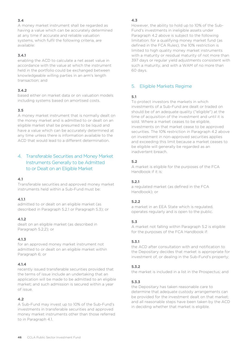A money market instrument shall be regarded as having a value which can be accurately determined at any time if accurate and reliable valuation systems, which fulfil the following criteria, are available:

# **3.4.1**

enabling the ACD to calculate a net asset value in accordance with the value at which the instrument held in the portfolio could be exchanged between knowledgeable willing parties in an arm's length transaction; and

# **3.4.2**

based either on market data or on valuation models including systems based on amortised costs.

# **3.5**

A money market instrument that is normally dealt on the money market and is admitted to or dealt on an eligible market shall be presumed to be liquid and have a value which can be accurately determined at any time unless there is information available to the ACD that would lead to a different determination.

# 4. Transferable Securities and Money Market Instruments Generally to be Admitted to or Dealt on an Eligible Market

### **4.1**

Transferable securities and approved money market instruments held within a Sub-Fund must be:

### **4.1.1**

admitted to or dealt on an eligible market (as described in Paragraph 5.2.1 or Paragraph 5.3); or

### **4.1.2**

dealt on an eligible market (as described in Paragraph 5.2.2); or

### **4.1.3**

for an approved money market instrument not admitted to or dealt on an eligible market within Paragraph 6; or

### **4.1.4**

recently issued transferable securities provided that the terms of issue include an undertaking that an application will be made to be admitted to an eligible market; and such admission is secured within a year of issue.

# **4.2**

A Sub-Fund may invest up to 10% of the Sub-Fund's investments in transferable securities and approved money market instruments other than those referred to in Paragraph 4.1.

# **4.3**

However, the ability to hold up to 10% of the Sub-Fund's investments in ineligible assets under Paragraph 4.2 above is subject to the following limitation: for a qualifying money market fund (as defined in the FCA Rules), the 10% restriction is limited to high quality money market instruments with a maturity or residual maturity of not more than 397 days or regular yield adjustments consistent with such a maturity, and with a WAM of no more than 60 days.

# 5. Eligible Markets Regime

# **5.1**

To protect investors the markets in which investments of a Sub-Fund are dealt or traded on should be of an adequate quality ("eligible") at the time of acquisition of the investment and until it is sold. Where a market ceases to be eligible, investments on that market cease to be approved securities. The 10% restriction in Paragraph 4.2 above on investment in non-approved securities applies and exceeding this limit because a market ceases to be eligible will generally be regarded as an inadvertent breach.

# **5.2**

A market is eligible for the purposes of the FCA Handbook if it is:

### **5.2.1**

a regulated market (as defined in the FCA Handbook); or

### **5.2.2**

a market in an EEA State which is regulated, operates regularly and is open to the public.

### **5.3**

A market not falling within Paragraph 5.2 is eligible for the purposes of the FCA Handbook if:

### **5.3.1**

the ACD after consultation with and notification to the Depositary decides that market is appropriate for investment of, or dealing in the Sub-Fund's property;

# **5.3.2**

the market is included in a list in the Prospectus; and

### **5.3.3**

the Depositary has taken reasonable care to determine that adequate custody arrangements can be provided for the investment dealt on that market; and all reasonable steps have been taken by the ACD in deciding whether that market is eligible.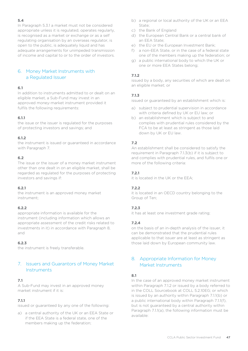In Paragraph 5.3.1 a market must not be considered appropriate unless it is regulated, operates regularly, is recognised as a market or exchange or as a self regulating organisation by an overseas regulator, is open to the public, is adequately liquid and has adequate arrangements for unimpeded transmission of income and capital to or to the order of investors.

# 6. Money Market Instruments with a Regulated Issuer

# **6.1**

In addition to instruments admitted to or dealt on an eligible market, a Sub-Fund may invest in an approved money-market instrument provided it fulfils the following requirements:

# **6.1.1**

the issue or the issuer is regulated for the purposes of protecting investors and savings; and

### **6.1.2**

the instrument is issued or guaranteed in accordance with Paragraph 7.

### **6.2**

The issue or the issuer of a money market instrument other than one dealt in on an eligible market, shall be regarded as regulated for the purposes of protecting investors and savings if:

### **6.2.1**

the instrument is an approved money market instrument;

### **6.2.2**

appropriate information is available for the instrument (including information which allows an appropriate assessment of the credit risks related to investments in it) in accordance with Paragraph 8, and

### **6.2.3**

the instrument is freely transferable.

# 7. Issuers and Guarantors of Money Market **Instruments**

### **7.1**

A Sub-Fund may invest in an approved money market instrument if it is:

# **7.1.1**

issued or guaranteed by any one of the following:

a) a central authority of the UK or an EEA State or if the EEA State is a federal state, one of the members making up the federation;

- b) a regional or local authority of the UK or an EEA State;
- c) the Bank of England
- d) the European Central Bank or a central bank of an EEA State;
- e) the EU or the European Investment Bank;
- f) a non-EEA State, or in the case of a federal state one of the members making up the federation; or
- g) a public international body to which the UK or one or more EEA States belong;

# **7.1.2**

issued by a body, any securities of which are dealt on an eligible market; or

### **7.1.3**

issued or guaranteed by an establishment which is:

- a) subject to prudential supervision in accordance with criteria defined by UK or EU law; or
- b) an establishment which is subject to and complies with prudential rules considered by the FCA to be at least as stringent as those laid down by UK or EU law.

# **7.2**

An establishment shall be considered to satisfy the requirement in Paragraph 7.1.3(b) if it is subject to and complies with prudential rules, and fulfils one or more of the following criteria:

# **7.2.1**

it is located in the UK or the EEA;

### **7.2.2**

it is located in an OECD country belonging to the Group of Ten;

### **7.2.3**

it has at least one investment grade rating;

### **7.2.4**

on the basis of an in-depth analysis of the issuer, it can be demonstrated that the prudential rules applicable to that issuer are at least as stringent as those laid down by European community law.

# 8. Appropriate Information for Money Market Instruments

### **8.1**

In the case of an approved money market instrument within Paragraph 7.1.2 or issued by a body referred to in the COLL Sourcebook at COLL 5.2.10EG; or which is issued by an authority within Paragraph 7.1.1(b) or a public international body within Paragraph 7.1.1(f), but is not guaranteed by a central authority within Paragraph 7.1.1(a), the following information must be available: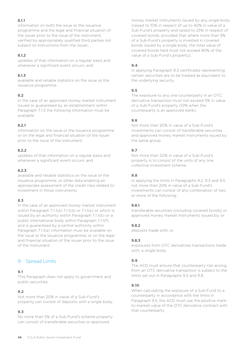# **8.1.1**

information on both the issue or the issuance programme and the legal and financial situation of the issuer prior to the issue of the instrument, verified by appropriately qualified third parties not subject to instructions from the issuer;

#### **8.1.2**

updates of that information on a regular basis and whenever a significant event occurs; and

#### **8.1.3**

available and reliable statistics on the issue or the issuance programme.

### **8.2**

In the case of an approved money market instrument issued or guaranteed by an establishment within Paragraph 7.1.3 the following information must be available:

#### **8.2.1**

information on the issue or the issuance programme or on the legal and financial situation of the issuer prior to the issue of the instrument;

#### **8.2.2**

updates of that information on a regular basis and whenever a significant event occurs; and

#### **8.2.3**

available and reliable statistics on the issue or the issuance programme, or other data enabling an appropriate assessment of the credit risks related to investment in those instruments.

### **8.3**

In the case of an approved money market instrument within Paragraph 7.1.1(a) 7.1.1(d) or 7.1.1(e) or which is issued by an authority within Paragraph 7.1.1(b) or a public international body within Paragraph 7.1.1(f) and is guaranteed by a central authority within Paragraph 7.1.1(a) information must be available on the issue or the issuance programme, or on the legal and financial situation of the issuer prior to the issue of the instrument.

# 9. Spread Limits

### **9.1**

This Paragraph does not apply to government and public securities.

### **9.2**

Not more than 20% in value of a Sub-Fund's property can consist of deposits with a single body.

### **9.3**

No more than 5% of a Sub-Fund's scheme property can consist of transferable securities or approved

money market instruments issued by any single body (raised to 10% in respect of up to 40% in value of a Sub-Fund's property and raised to 25% in respect of covered bonds, provided that where more than 5% of a Sub-Fund's property is invested in covered bonds issued by a single body, the total value of covered bonds held must not exceed 80% of the value of a Sub-Fund's property).

#### **9.4**

In applying Paragraph 9.3 certificates representing certain securities are to be treated as equivalent to the underlying security.

### **9.5**

The exposure to any one counterparty in an OTC derivative transaction must not exceed 5% in value of a Sub-Fund's property (10% when the counterparty is an approved bank).

### **9.6**

Not more than 20% in value of a Sub-Fund's investments can consist of transferable securities and approved money market instruments issued by the same group.

### **9.7**

Not more than 20% in value of a Sub-Fund's property is to consist of the units of any one collective investment scheme.

#### **9.8**

In applying the limits in Paragraphs 9.2, 9.3 and 9.5 not more than 20% in value of a Sub-Fund's investments can consist of any combination of two or more of the following:

### **9.8.1**

transferable securities (including covered bonds) or approved money market instruments issued by; or

### **9.8.2**

deposits made with; or

### **9.8.3**

exposures from OTC derivatives transactions made with; a single body.

### **9.9**

The ACD must ensure that counterparty risk arising from an OTC derivative transaction is subject to the limits set out in Paragraphs 9.5 and 9.8.

#### **9.10**

When calculating the exposure of a Sub-Fund to a counterparty in accordance with the limits in Paragraph 9.5, the ACD must use the positive markto-market value of the OTC derivative contract with that counterparty.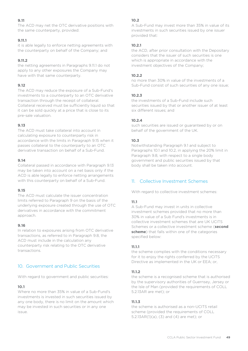The ACD may net the OTC derivative positions with the same counterparty, provided:

#### **9.11.1**

it is able legally to enforce netting agreements with the counterparty on behalf of the Company; and

#### **9.11.2**

the netting agreements in Paragraphs 9.11.1 do not apply to any other exposures the Company may have with that same counterparty.

#### **9.12**

The ACD may reduce the exposure of a Sub-Fund's investments to a counterparty to an OTC derivative transaction through the receipt of collateral. Collateral received must be sufficiently liquid so that it can be sold quickly at a price that is close to its pre-sale valuation.

### **9.13**

The ACD must take collateral into account in calculating exposure to counterparty risk in accordance with the limits in Paragraph 9.15 when it passes collateral to the counterparty to an OTC derivative transaction on behalf of a Sub-Fund.

#### **9.14**

Collateral passed in accordance with Paragraph 9.13 may be taken into account on a net basis only if the ACD is able legally to enforce netting arrangements with this counterparty on behalf of a Sub-Fund.

### **9.15**

The ACD must calculate the issuer concentration limits referred to Paragraph 9 on the basis of the underlying exposure created through the use of OTC derivatives in accordance with the commitment approach.

#### **9.16**

In relation to exposures arising from OTC derivative transactions, as referred to in Paragraph 9.8, the ACD must include in the calculation any counterparty risk relating to the OTC derivative transactions.

# 10. Government and Public Securities

With regard to government and public securities:

#### **10.1**

Where no more than 35% in value of a Sub-Fund's investments is invested in such securities issued by any one body, there is no limit on the amount which may be invested in such securities or in any one  $i$ ssue

### **10.2**

A Sub-Fund may invest more than 35% in value of its investments in such securities issued by one issuer provided that:

#### **10.2.1**

the ACD, after prior consultation with the Depositary considers that the issuer of such securities is one which is appropriate in accordance with the investment objectives of the Company;

#### **10.2.2**

no more than 30% in value of the investments of a Sub-Fund consist of such securities of any one issue;

#### **10.2.3**

the investments of a Sub-Fund include such securities issued by that or another issuer of at least six different issues; and

#### **10.2.4**

such securities are issued or guaranteed by or on behalf of the government of the UK.

#### **10.3**

Notwithstanding Paragraph 9.1 and subject to Paragraphs 10.1 and 10.2, in applying the 20% limit in Paragraph 9.8, with respect to a single body government and public securities issued by that body shall be taken into account.

# 11. Collective Investment Schemes

With regard to collective investment schemes:

### **11.1**

A Sub-Fund may invest in units in collective investment schemes provided that no more than 30% in value of a Sub Fund's investments is in collective investment schemes that are UK UCITS Schemes or a collective investment scheme (**second scheme**) that falls within one of the categories specified below:

#### **11.1.1**

the scheme complies with the conditions necessary for it to enjoy the rights conferred by the UCITS Directive as implemented in the UK or EEA; or,

### **11.1.2**

the scheme is a recognised scheme that is authorised by the supervisory authorities of Guernsey, Jersey or the Isle of Man (provided the requirements of COLL 5.2.13AR are met); or

#### **11.1.3**

the scheme is authorised as a non-UCITS retail scheme (provided the requirements of COLL 5.2.13AR(1)(a), (3) and (4) are met); or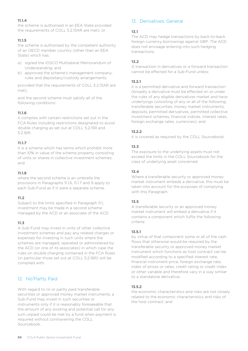# **11.1.4**

the scheme is authorised in an EEA State provided the requirements of COLL 5.2.13AR are met); or

#### **11.1.5**

the scheme is authorised by the competent authority of an OECD member country (other than an EEA State) which has:

- a) signed the IOSCO Multilateral Memorandum of Understanding; and
- b) approved the scheme's management company, rules and depositary/custody arrangements;

provided that the requirements of COLL 5.2.13AR are met);

and the second scheme must satisfy all of the following conditions:

#### **11.1.6**

it complies with certain restrictions set out in the FCA Rules including restrictions designated to avoid double charging as set out at COLL 5.2.15R and 5.2.16R;

#### **11.1.7**

it is a scheme which has terms which prohibit more than 10% in value of the scheme property consisting of units or shares in collective investment schemes; and

#### **11.1.8**

where the second scheme is an umbrella the provisions in Paragraphs 11.1.6, 11.1.7 and 9 apply to each Sub-Fund as if it were a separate scheme.

#### **11.2**

Subject to the limits specified in Paragraph 11.1, investment may be made in a second scheme managed by the ACD or an associate of the ACD.

#### **11.3**

A Sub-Fund may invest in units of other collective investment schemes and pay any related charges or expenses for investing in such units where the schemes are managed, operated or administered by the ACD (or one of its associates) in which case the rules on double charging contained in the FCA Rules (in particular those set out at COLL 5.2.16R) will be complied with.

# 12. Nil/Partly Paid

With regard to nil or partly paid transferable securities or approved money market instruments, a Sub-Fund may invest in such securities or instruments only if it is reasonably foreseeable that the amount of any existing and potential call for any sum unpaid could be met by a fund when payment is required without contravening the COLL Sourcebook.

# 13. Derivatives: General

#### **13.1**

The ACD may hedge transactions by back-to-back foreign currency borrowings against GBP. The ACD does not envisage entering into such hedging transactions.

#### **13.2**

A transaction in derivatives or a forward transaction cannot be effected for a Sub-Fund unless:

#### **13.2.1**

it is a permitted derivative and forward transaction (broadly a derivative must be effected on or under the rules of any eligible derivatives market and have underlyings consisting of any or all of the following; transferable securities, money market instruments, deposits, permitted derivatives, permitted collective investment schemes, financial indices, interest rates, foreign exchange rates, currencies); and

#### **13.2.2**

it is covered as required by the COLL Sourcebook.

#### **13.3**

The exposure to the underlying assets must not exceed the limits in the COLL Sourcebook for the class of underlying asset concerned.

#### **13.4**

Where a transferable security or approved money market instrument embeds a derivative, this must be taken into account for the purposes of complying with this Paragraph.

#### **13.5**

A transferable security or an approved money market instrument will embed a derivative if it contains a component which fulfils the following criteria:

#### **13.5.1**

by virtue of that component some or all of the cash flows that otherwise would be required by the transferable security or approved money market instrument which functions as host contract can be modified according to a specified interest rate, financial instrument price, foreign exchange rate, index of prices or rates, credit rating or credit index or other variable and therefore vary in a way similar to a standalone derivative;

#### **13.5.2**

the economic characteristics and risks are not closely related to the economic characteristics and risks of the host contract; and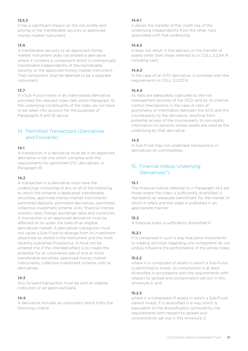### **13.5.3**

it has a significant impact on the risk profile and pricing of the transferable security or approved money market instrument.

#### **13.6**

A transferable security or an approved money market instrument does not embed a derivative where it contains a component which is contractually transferable independently of the transferable security or the approved money market instrument. That component shall be deemed to be a separate instrument.

#### **13.7**

If a Sub-Fund invests in an index-based derivative, provided the relevant index falls within Paragraph 15, the underlying constituents of the index do not have to be taken into account for the purposes of Paragraphs 9 and 10 above.

# 14. Permitted Transactions (Derivatives and Forwards)

#### **14.1**

A transaction in a derivative must be in an approved derivative or be one which complies with the requirements for permitted OTC derivatives, in Paragraph 18.

#### **14.2**

A transaction in a derivative must have the underlyings consisting of any or all of the following to which the scheme is dedicated: transferable securities; approved money-market instruments; permitted deposits; permitted derivatives; permitted collective investment scheme units; financial indices; interest rates; foreign exchange rates and currencies. A transaction in an approved derivative must be effected on or under the rules of an eligible derivatives market. A derivatives transaction must not cause a Sub-Fund to diverge from its investment objectives as stated in the Instrument and the most recently published Prospectus. It must not be entered into if the intended effect is to create the potential for an uncovered sale of one or more transferable securities, approved money market instruments, collective investment scheme units or derivatives.

#### **14.3**

Any forward transaction must be with an eligible institution or an approved bank.

#### **14.4**

A derivative includes an instrument which fulfils the following criteria:

#### **14.4.1**

it allows the transfer of the credit risk of the underlying independently from the other risks associated with that underlying;

#### **14.4.2**

it does not result in the delivery or the transfer of assets other than those referred to in COLL 5.2.6A R including cash;

#### **14.4.3**

in the case of an OTC derivative, it complies with the requirements in COLL 5.2.23 R;

#### **14.4.4**

its risks are adequately captured by the risk management process of the ACD, and by its internal control mechanisms in the case of risks of asymmetry of information between the ACD and the counterparty to the derivative, resulting from potential access of the counterparty to non-public information on persons whose assets are used as the underlying by that derivative.

#### **14.5**

A Sub-Fund may not undertake transactions in derivatives on commodities.

# 15. Financial Indices Underlying Derivatives(\*)

#### **15.1**

The financial indices referred to in Paragraph 14.2 are those where the index is sufficiently diversified, it represents an adequate benchmark for the market to which it refers and the index is published in an appropriate manner.

#### **15.2**

A financial index is sufficiently diversified if:

#### **15.2.1**

it is composed in such a way that price movements or trading activities regarding one component do not unduly influence the performance of the whole index;

#### **15.2.2**

where it is composed of assets in which a Sub-Fund is permitted to invest, its composition is at least diversified in accordance with the requirements with respect to spread and concentration set out in this Annexure 2; and

#### **15.2.3**

where it is composed of assets in which a Sub-Fund cannot invest, it is diversified in a way which is equivalent to the diversification achieved by the requirements with respect to spread and concentration set out in this Annexure 2.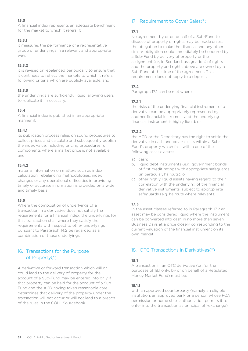A financial index represents an adequate benchmark for the market to which it refers if:

### **15.3.1**

it measures the performance of a representative group of underlyings in a relevant and appropriate way;

#### **15.3.2**

it is revised or rebalanced periodically to ensure that it continues to reflect the markets to which it refers, following criteria which are publicly available; and

#### **15.3.3**

the underlyings are sufficiently liquid, allowing users to replicate it if necessary.

### **15.4**

A financial index is published in an appropriate manner if:

#### **15.4.1**

its publication process relies on sound procedures to collect prices and calculate and subsequently publish the index value, including pricing procedures for components where a market price is not available; and

#### **15.4.2**

material information on matters such as index calculation, rebalancing methodologies, index changes or any operational difficulties in providing timely or accurate information is provided on a wide and timely basis.

#### **15.5**

Where the composition of underlyings of a transaction in a derivative does not satisfy the requirements for a financial index, the underlyings for that transaction shall where they satisfy the requirements with respect to other underlyings pursuant to Paragraph 14.2 be regarded as a combination of those underlyings.

# 16. Transactions for the Purpose of Property(\*)

A derivative or forward transaction which will or could lead to the delivery of property for the account of a Sub-Fund may be entered into only if that property can be held for the account of a Sub-Fund and the ACD having taken reasonable care determines that delivery of the property under the transaction will not occur or will not lead to a breach of the rules in the COLL Sourcebook.

# 17. Requirement to Cover Sales(\*)

# **17.1**

No agreement by or on behalf of a Sub-Fund to dispose of property or rights may be made unless the obligation to make the disposal and any other similar obligation could immediately be honoured by a Sub-Fund by delivery of property or the assignment (or, in Scotland, assignation) of rights and the property and rights above are owned by a Sub-Fund at the time of the agreement. This requirement does not apply to a deposit.

#### **17.2**

Paragraph 17.1 can be met where:

### **17.2.1**

the risks of the underlying financial instrument of a derivative can be appropriately represented by another financial instrument and the underlying financial instrument is highly liquid; or

#### **17.2.2**

the ACD or the Depositary has the right to settle the derivative in cash and cover exists within a Sub-Fund's property which falls within one of the following asset classes:

- a) cash;
- b) liquid debt instruments (e.g. government bonds of first credit rating) with appropriate safeguards (in particular, haircuts); or
- c) other highly liquid assets having regard to their correlation with the underlying of the financial derivative instruments, subject to appropriate safeguards (e.g. haircuts where relevant).

### **17.3**

In the asset classes referred to in Paragraph 17.2 an asset may be considered liquid where the instrument can be converted into cash in no more than seven Business Days at a price closely corresponding to the current valuation of the financial instrument on its own market.

# 18. OTC Transactions in Derivatives(\*)

### **18.1**

A transaction in an OTC derivative (or, for the purposes of 18.1 only, by or on behalf of a Regulated Money Market Fund) must be:

### **18.1.1**

with an approved counterparty (namely an eligible institution, an approved bank or a person whose FCA permission or home state authorisation permits it to enter into the transaction as principal off-exchange);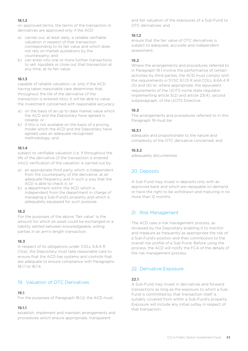# **18.1.2**

on approved terms; the terms of the transaction in derivatives are approved only if the ACD:

- a) carries out, at least daily, a reliable verifiable valuation in respect of that transaction corresponding to its fair value and which does not rely on market quotations by the counterparty; and
- b) can enter into one or more further transactions to sell, liquidate or close out that transaction at any time, at its fair value;

#### **18.1.3**

capable of reliable valuation, i.e. only if the ACD having taken reasonable care determines that, throughout the life of the derivative (if the transaction is entered into), it will be able to value the investment concerned with reasonable accuracy:

- a) on the basis of an up to date market value which the ACD and the Depositary have agreed is reliable; or
- b) if this is not available on the basis of a pricing model which the ACD and the Depositary have agreed uses an adequate recognised methodology; and

### **18.1.4**

subject to verifiable valuation (i.e. if throughout the life of the derivative (if the transaction is entered into)) verification of the valuation is carried out by:

- a) an appropriate third party which is independent from the counterparty of the derivative, at an adequate frequency and in such a way that the ACD is able to check it; or
- b) a department within the ACD which is independent from the department in charge of managing a Sub-Fund's property and which is adequately equipped for such purpose.

### **18.2**

For the purposes of the above "fair value" is the amount for which an asset could be exchanged or a liability settled between knowledgeable, willing parties in an arm's length transaction.

#### **18.3**

In respect of its obligations under COLL 6.6.4 R (1)(a), the Depositary must take reasonable care to ensure that the ACD has systems and controls that are adequate to ensure compliance with Paragraphs 18.1.1 to 18.1.4.

# 19. Valuation of OTC Derivatives

# **19.1**

For the purposes of Paragraph 18.1.2, the ACD must:

# **19.1.1**

establish, implement and maintain arrangements and procedures which ensure appropriate, transparent

and fair valuation of the exposures of a Sub-Fund to OTC derivatives; and

### **19.1.2**

ensure that the fair value of OTC derivatives is subject to adequate, accurate and independent assessment.

# **19.2**

Where the arrangements and procedures referred to in Paragraph 19.1 involve the performance of certain activities by third parties, the ACD must comply with the requirements in SYSC 8.1.13 R and COLL 6.6A.4 R (5) and (6) or, where appropriate, the equivalent requirements of the UCITS home state regulator implementing article 5(2) and article 23(4), second subparagraph, of the UCITS Directive.

### **19.3**

The arrangements and procedures referred to in this Paragraph 19 must be:

### **19.3.1**

adequate and proportionate to the nature and complexity of the OTC derivative concerned; and

### **19.3.2**

adequately documented.

# 20. Deposits

A Sub-Fund may invest in deposits only with an approved bank and which are repayable on demand or have the right to be withdrawn and maturing in no more than 12 months.

# 21. Risk Management

The ACD uses a risk management process, as reviewed by the Depositary enabling it to monitor and measure as frequently as appropriate the risk of a Sub-Fund's position and their contribution to the overall risk profile of a Sub-Fund. Before using the process, the ACD will notify the FCA of the details of the risk management process.

# 22. Derivative Exposure

### **22.1**

A Sub-Fund may invest in derivatives and forward transactions as long as the exposure to which a Sub-Fund is committed by that transaction itself is suitably covered from within a Sub-Fund's property. Exposure will include any initial outlay in respect of that transaction.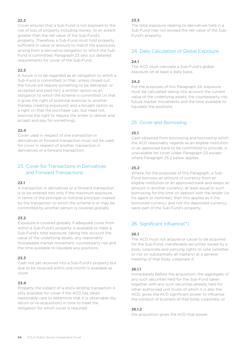Cover ensures that a Sub-Fund is not exposed to the risk of loss of property including money, to an extent greater than the net value of the Sub-Fund's property. Therefore, a Sub-Fund must hold property sufficient in value or amount to match the exposures arising from a derivative obligation to which the Sub-Fund is committed. Paragraph 23 sets out detailed requirements for cover of the Sub-Fund.

### **22.3**

A future is to be regarded as an obligation to which a Sub-Fund is committed (in that, unless closed out, the future will require something to be delivered, or accepted and paid for); a written option as an obligation to which the scheme is committed (in that it gives the right of potential exercise to another thereby creating exposure); and a bought option as a right (in that the purchaser can, but need not, exercise the right to require the writer to deliver and accept and pay for something).

### **22.4**

Cover used in respect of one transaction in derivatives or forward transaction must not be used for cover in respect of another transaction in derivatives or a forward transaction.

# 23. Cover for Transactions in Derivatives and Forward Transactions

#### **23.1**

A transaction in derivatives or a forward transaction is to be entered into only if the maximum exposure, in terms of the principal or notional principal created by the transaction to which the scheme is or may be committed by another person is covered globally.

#### **23.2**

Exposure is covered globally if adequate cover from within a Sub-Fund's property is available to meet a Sub-Fund's total exposure, taking into account the value of the underlying assets, any reasonably foreseeable market movement, counterparty risk and the time available to liquidate any positions.

#### **23.3**

Cash not yet received into a Sub-Fund's property but due to be received within one month is available as cover.

#### **23.4**

Property the subject of a stock lending transaction is only available for cover if the ACD has taken reasonable care to determine that it is obtainable (by return or re-acquisition) in time to meet the obligation for which cover is required.

#### **23.5**

The total exposure relating to derivatives held in a Sub-Fund may not exceed the net value of the Sub-Fund's property.

# 24. Daily Calculation of Global Exposure

#### **24.1**

The ACD must calculate a Sub-Fund's global exposure on at least a daily basis.

#### **24.2**

For the purposes of this Paragraph 24, exposure must be calculated taking into account the current value of the underlying assets, the counterparty risk, future market movements and the time available to liquidate the positions.

# 25. Cover and Borrowing

#### **25.1**

Cash obtained from borrowing and borrowing which the ACD reasonably regards as an eligible institution or an approved bank to be committed to provide, is unavailable for cover under Paragraph 23 except where Paragraph 25.2 below applies.

#### **25.2**

Where, for the purposes of this Paragraph, a Sub-Fund borrows an amount of currency from an eligible institution or an approved bank and keeps an amount in another currency, at least equal to such borrowing for the time on deposit with the lender (or his agent or nominee), then this applies as if the borrowed currency and not the deposited currency, were part of the Sub-Fund's property.

# 26. Significant Influence(\*)

### **26.1**

The ACD must not acquire or cause to be acquired for the Sub-Fund, transferable securities issued by a body corporate and carrying rights to vote (whether or not on substantially all matters) at a general meeting of that body corporate if:

#### **26.1.1**

immediately before the acquisition, the aggregate of any such securities held for the Sub-Fund taken together with any such securities already held for other authorised unit trusts of which it is also the ACD, gives the ACD significant power to influence the conduct of business of that body corporate; or

#### **26.1.2**

the acquisition gives the ACD that power.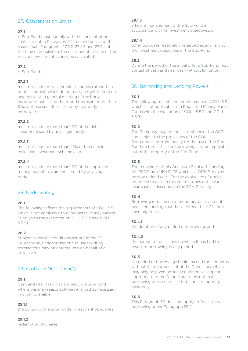# 27. Concentration Limits

# **27.1**

A Sub-Fund must comply with the concentration limits set out in Paragraph 27.2 below (unless, in the case of sub-Paragraphs 27.2.2, 27.2.3 and 27.2.4 at the time of acquisition, the net amount in issue of the relevant investment cannot be calculated).

# **27.2**

A Sub-Fund:

#### **27.2.1**

must not acquire transferable securities (other than debt securities) which do not carry a right to vote on any matter at a general meeting of the body corporate that issued them; and represent more than 10% of those securities issued by that body corporate;

#### **27.2.2**

must not acquire more than 10% of the debt securities issued by any single body;

#### **27.2.3**

must not acquire more than 25% of the units in a collective investment scheme; and

#### **27.2.4**

must not acquire more than 10% of the approved money market instruments issued by any single body.

# 28. Underwriting

#### **28.1**

The following reflects the requirements of COLL 5.5 which is not applicable to a Regulated Money Market Fund (with the exception of COLL 5.5.3 and COLL 5.5.9).

#### **28.2**

Subject to certain conditions set out in the COLL Sourcebook, underwriting or sub underwriting transactions may be entered into on behalf of a Sub-Fund.

# 29. Cash and Near Cash(\*)

#### **29.1**

Cash and near cash may be held by a Sub-Fund where this may reasonably be regarded as necessary in order to enable:

### **29.1.1**

the pursuit of the Sub-Fund's investment objectives;

#### **29.1.2**

redemption of Shares;

#### **29.1.3**

efficient management of the Sub-Fund in accordance with its investment objectives; or

#### **29.1.4**

other purposes reasonably regarded as ancillary to the investment objectives of the Sub-Fund.

#### **29.2**

During the period of the initial offer a Sub-Fund may consist of cash and near cash without limitation.

# 30. Borrowing and Lending Powers

#### **30.1**

The following reflects the requirements of COLL 5.5 which is not applicable to a Regulated Money Market Fund (with the exception of COLL 5.5.3 and COLL 5.5.9).

### **30.2**

The Company may on the instructions of the ACD and subject to the provisions of the COLL Sourcebook, borrow money for the use of the Sub-Fund on terms that the borrowing is to be repayable out of the property of the Sub-Fund.

#### **30.3**

The remainder of this Annexure 2 notwithstanding, the PSDF, as a UK UCITS which is a QMMF, may not borrow or lend cash. For the avoidance of doubt, reference to cash in this context does not include near cash as described in the FCA Glossary.

### **30.4**

Borrowing must be on a temporary basis and not persistent and against these criteria the ACD must have regard to:

#### **30.4.1**

the duration of any period of borrowing; and

#### **30.4.2**

the number of occasions on which it has had to resort to borrowing in any period.

#### **30.5**

No period of borrowing should exceed three months without the prior consent of the Depositary which may only be given on such conditions as appear appropriate to the Depositary to ensure that borrowing does not cease to be on a temporary basis only.

#### **30.6**

This Paragraph 30 does not apply to "back to back" borrowing under Paragraph 25.2.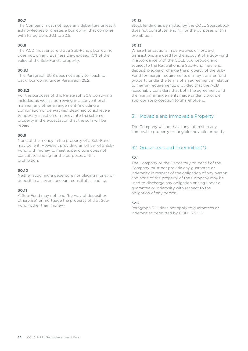The Company must not issue any debenture unless it acknowledges or creates a borrowing that complies with Paragraphs 30.1 to 30.5.

#### **30.8**

The ACD must ensure that a Sub-Fund's borrowing does not, on any Business Day, exceed 10% of the value of the Sub-Fund's property.

#### **30.8.1**

This Paragraph 30.8 does not apply to "back to back" borrowing under Paragraph 25.2.

#### **30.8.2**

For the purposes of this Paragraph 30.8 borrowing includes, as well as borrowing in a conventional manner, any other arrangement (including a combination of derivatives) designed to achieve a temporary injection of money into the scheme property in the expectation that the sum will be repaid.

#### **30.9**

None of the money in the property of a Sub-Fund may be lent. However, providing an officer of a Sub-Fund with money to meet expenditure does not constitute lending for the purposes of this prohibition.

#### **30.10**

Neither acquiring a debenture nor placing money on deposit in a current account constitutes lending.

### **30.11**

A Sub-Fund may not lend (by way of deposit or otherwise) or mortgage the property of that Sub-Fund (other than money).

#### **30.12**

Stock lending as permitted by the COLL Sourcebook does not constitute lending for the purposes of this prohibition.

#### **30.13**

Where transactions in derivatives or forward transactions are used for the account of a Sub-Fund in accordance with the COLL Sourcebook, and subject to the Regulations, a Sub-Fund may lend, deposit, pledge or charge the property of the Sub-Fund for margin requirements or may transfer fund property under the terms of an agreement in relation to margin requirements, provided that the ACD reasonably considers that both the agreement and the margin arrangements made under it provide appropriate protection to Shareholders.

# 31. Movable and Immovable Property

The Company will not have any interest in any immovable property or tangible movable property.

# 32. Guarantees and Indemnities(\*)

### **32.1**

The Company or the Depositary on behalf of the Company must not provide any guarantee or indemnity in respect of the obligation of any person and none of the property of the Company may be used to discharge any obligation arising under a guarantee or indemnity with respect to the obligation of any person.

#### **32.2**

Paragraph 32.1 does not apply to guarantees or indemnities permitted by COLL 5.5.9 R.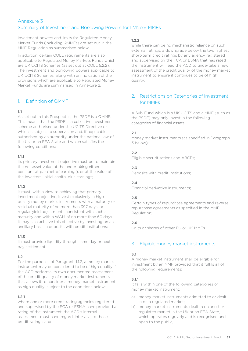# <span id="page-56-0"></span>Annexure 3 Summary of Investment and Borrowing Powers for LVNAV MMFs

Investment powers and limits for Regulated Money Market Funds (including QMMFs) are set out in the MMF Regulation as summarised below.

In addition, certain COLL requirements are also applicable to Regulated Money Markets Funds which are UK UCITS Schemes (as set out at COLL 5.2.2). The investment and borrowing powers applicable to UK UCITS Schemes, along with an indication of the provisions which are applicable to Regulated Money Market Funds are summarised in Annexure 2.

# 1. Definition of QMMF

# **1.1**

As set out in this Prospectus, the PSDF is a QMMF. This means that the PSDF is a collective investment scheme authorised under the UCITS Directive or which is subject to supervision and, if applicable, authorised by an authority under the national law of the UK or an EEA State and which satisfies the following conditions:

### **1.1.1**

its primary investment objective must be to maintain the net asset value of the undertaking either constant at par (net of earnings), or at the value of the investors' initial capital plus earnings;

### **1.1.2**

it must, with a view to achieving that primary investment objective, invest exclusively in high quality money market instruments with a maturity or residual maturity of no more than 397 days, or regular yield adjustments consistent with such a maturity and with a WAM of no more than 60 days. It may also achieve this objective by investing on an ancillary basis in deposits with credit institutions;

### **1.1.3**

it must provide liquidity through same day or next day settlement.

# **1.2**

For the purposes of Paragraph 1.1.2, a money market instrument may be considered to be of high quality if the ACD performs its own documented assessment of the credit quality of money market instruments that allows it to consider a money market instrument as high quality, subject to the conditions below:

# **1.2.1**

where one or more credit rating agencies registered and supervised by the FCA or ESMA have provided a rating of the instrument, the ACD's internal assessment must have regard, inter alia, to those credit ratings; and

### **1.2.2**

while there can be no mechanistic reliance on such external ratings, a downgrade below the two highest short-term credit ratings by any agency registered and supervised by the FCA or ESMA that has rated the instrument will lead the ACD to undertake a new assessment of the credit quality of the money market instrument to ensure it continues to be of high quality.

# 2. Restrictions on Categories of Investment for MMFs

A Sub-Fund which is a UK UCITS and a MMF (such as the PSDF) may only invest in the following categories of financial assets:

# **2.1**

Money market instruments (as specified in Paragraph 3 below);

# **2.2**

Eligible securitisations and ABCPs;

# **2.3**

Deposits with credit institutions;

# **2.4**

Financial derivative instruments;

### **2.5**

Certain types of repurchase agreements and reverse repurchase agreements as specified in the MMF Regulation;

### **2.6**

Units or shares of other EU or UK MMFs.

# 3. Eligible money market instruments

# **3.1**

A money market instrument shall be eligible for investment by an MMF provided that it fulfils all of the following requirements:

### **3.1.1**

It falls within one of the following categories of money market instrument:

- a) money market instruments admitted to or dealt in on a regulated market;
- b) money market instruments dealt in on another regulated market in the UK or an EEA State, which operates regularly and is recognised and open to the public;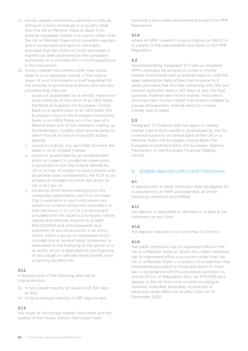- c) money market instruments admitted to official listing on a stock exchange in a country other than the UK or Member State or dealt in on another regulated market in a country other than the UK or Member State which operates regularly and is recognised and open to the public provided that the choice of stock exchange or market has been approved by the competent authorities or is provided for in this Prospectus or in the Instrument;
- d) money market instruments other than those dealt in on a regulated market, if the issue or issuer of such instruments is itself regulated for the purpose of protecting investors and savings, provided that they are:
	- i. issued or guaranteed by a central, regional or local authority of the UK or of an EEA State, the Bank of England, the European Central Bank or a central bank of an EEA State, the European Union or the European Investment Bank, a non-EEA State, or in the case of a federal state, one of the members making up the federation, a public international body to which the UK or one or more EEA States belong;
	- ii. issued by a body, any securities of which are dealt in on an eligible market;
	- iii. issued or guaranteed by an establishment which is: subject to prudential supervision, in accordance with the criteria defined by UK or EU law or subject to and complies with prudential rules considered by the FCA to be at least as stringent as those laid down by UK or EU law; or
	- iv. issued by other bodies belonging to the categories approved by the FCA provided that investments in such instruments are subject to investor protection equivalent to that laid down in (i), (ii) or (iii) above and provided that the issuer is a company whose capital and reserves amount to at least €10,000,000 and which presents and publishes its annual accounts, is an entity which, within a group of companies which includes one or several listed companies, is dedicated to the financing of the group or is an entity which is dedicated to the financing of securitisation vehicles which benefit from a banking liquidity line.

### **3.1.2**

it displays one of the following alternative characteristics:

- a) it has a legal maturity at issuance of 397 days or less;
- b) it has a residual maturity of 397 days or less;

### **3.1.3**

the issuer of the money market instrument and the quality of the money market instrument have

received a favourable assessment pursuant the MMF Regulation;

#### **3.1.4**

where an MMF invests in a securitisation or ABCP, it is subject to the requirements laid down in the MMF Regulation.

# **3.2**

Notwithstanding Paragraph 3.1.2 above, standard MMFs shall also be allowed to invest in money market instruments with a residual maturity until the legal redemption date of less than or equal to 2 years, provided that the time remaining until the next interest rate reset date is 397 days or less. For that purpose, floating-rate money-market instruments and fixed-rate money-market instruments hedged by a swap arrangement shall be reset to a money market rate or index.

# **3.3**

Paragraph 3.1.3 above shall not apply to money market instruments issued or guaranteed by the EU, a central authority or central bank of the UK or a Member State, the European Central Bank, the European Investment Bank, the European Stability Mechanism or the European Financial Stability Facility.

# 4. Eligible deposits with credit institutions

# **4.1**

A deposit with a credit institution shall be eligible for investment by an MMF provided that all of the following conditions are fulfilled:

### **4.1.1**

the deposit is repayable on demand or is able to be withdrawn at any time;

### **4.1.2**

the deposit matures in no more than 12 months;

### **4.1.3**

the credit institution has its registered office in the UK or a Member State or, where the credit institution has its registered office in a country other than the UK or a Member State, it is subject to prudential rules considered equivalent to those laid down in Union law in accordance with the procedure laid down in Article 107(4) of Regulation (EU) No 575/2013 as it applies in the UK from time to time including as retained, amended, extended, re-enacted or otherwise given effect on or after 11 pm on 31 December 2020.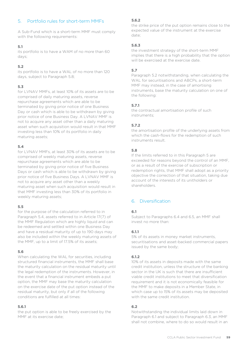# 5. Portfolio rules for short-term MMFs

A Sub-Fund which is a short-term MMF must comply with the following requirements:

### **5.1**

its portfolio is to have a WAM of no more than 60 days;

# **5.2**

its portfolio is to have a WAL of no more than 120 days, subject to Paragraph 5.8;

# **5.3**

for LVNAV MMFs, at least 10% of its assets are to be comprised of daily maturing assets, reverse repurchase agreements which are able to be terminated by giving prior notice of one Business Day or cash which is able to be withdrawn by giving prior notice of one Business Day. A LVNAV MMF is not to acquire any asset other than a daily maturing asset when such acquisition would result in that MMF investing less than 10% of its portfolio in daily maturing assets;

# **5.4**

for LVNAV MMFs, at least 30% of its assets are to be comprised of weekly maturing assets, reverse repurchase agreements which are able to be terminated by giving prior notice of five Business Days or cash which is able to be withdrawn by giving prior notice of five Business Days. A LVNAV MMF is not to acquire any asset other than a weekly maturing asset when such acquisition would result in that MMF investing less than 30% of its portfolio in weekly maturing assets;

# **5.5**

for the purpose of the calculation referred to in Paragraph 5.4, assets referred to in Article 17(7) of the MMF Regulation which are highly liquid and can be redeemed and settled within one Business Day and have a residual maturity of up to 190 days may also be included within the weekly maturing assets of the MMF, up to a limit of 17.5% of its assets;

# **5.6**

When calculating the WAL for securities, including structured financial instruments, the MMF shall base the maturity calculation on the residual maturity until the legal redemption of the instruments. However, in the event that a financial instrument embeds a put option, the MMF may base the maturity calculation on the exercise date of the put option instead of the residual maturity, but only if all of the following conditions are fulfilled at all times:

# **5.6.1**

the put option is able to be freely exercised by the MMF at its exercise date;

# **5.6.2**

the strike price of the put option remains close to the expected value of the instrument at the exercise date;

# **5.6.3**

the investment strategy of the short-term MMF implies that there is a high probability that the option will be exercised at the exercise date.

# **5.7**

Paragraph 5.2 notwithstanding, when calculating the WAL for securitisations and ABCPs, a short-term MMF may instead, in the case of amortising instruments, base the maturity calculation on one of the following:

# **5.7.1**

the contractual amortisation profile of such instruments;

# **5.7.2**

the amortisation profile of the underlying assets from which the cash-flows for the redemption of such instruments result.

# **5.8**

If the limits referred to in this Paragraph 5 are exceeded for reasons beyond the control of an MMF, or as a result of the exercise of subscription or redemption rights, that MMF shall adopt as a priority objective the correction of that situation, taking due account of the interests of its unitholders or shareholders.

# 6. Diversification

### **6.1**

Subject to Paragraphs 6.4 and 6.5, an MMF shall invest no more than:

# **6.1.1**

5% of its assets in money market instruments, securitisations and asset-backed commercial papers issued by the same body;

# **6.1.2**

10% of its assets in deposits made with the same credit institution, unless the structure of the banking sector in the UK is such that there are insufficient viable credit institutions to meet that diversification requirement and it is not economically feasible for the MMF to make deposits in a Member State, in which case up to 15% of its assets may be deposited with the same credit institution.

# **6.2**

Notwithstanding the individual limits laid down in Paragraph 6.1 and subject to Paragraph 6.3, an MMF shall not combine, where to do so would result in an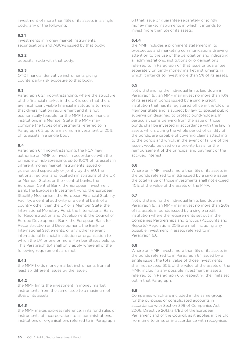investment of more than 15% of its assets in a single body, any of the following:

#### **6.2.1**

investments in money market instruments, securitisations and ABCPs issued by that body;

#### **6.2.2**

deposits made with that body;

### **6.2.3**

OTC financial derivative instruments giving counterparty risk exposure to that body.

# **6.3**

Paragraph 6.2.1 notwithstanding, where the structure of the financial market in the UK is such that there are insufficient viable financial institutions to meet that diversification requirement and it is not economically feasible for the MMF to use financial institutions in a Member State, the MMF may combine the types of investments referred to in Paragraph 6.2 up to a maximum investment of 20% of its assets in a single body.

# **6.4**

Paragraph 6.1.1 notwithstanding, the FCA may authorise an MMF to invest, in accordance with the principle of risk-spreading, up to 100% of its assets in different money market instruments issued or guaranteed separately or jointly by the EU, the national, regional and local administrations of the UK or Member States or their central banks, the European Central Bank, the European Investment Bank, the European Investment Fund, the European Stability Mechanism, the European Financial Stability Facility, a central authority or a central bank of a country other than the UK or a Member State, the International Monetary Fund, the International Bank for Reconstruction and Development, the Council of Europe Development Bank, the European Bank for Reconstruction and Development, the Bank for International Settlements, or any other relevant international financial institution or organisation to which the UK or one or more Member States belong. This Paragraph 6.4 shall only apply where all of the following requirements are met:

### **6.4.1**

the MMF holds money market instruments from at least six different issues by the issuer;

### **6.4.2**

the MMF limits the investment in money market instruments from the same issue to a maximum of 30% of its assets;

### **6.4.3**

the MMF makes express reference, in its fund rules or instruments of incorporation, to all administrations, institutions or organisations referred to in Paragraph

6.1 that issue or guarantee separately or jointly money market instruments in which it intends to invest more than 5% of its assets;

#### **6.4.4**

the MMF includes a prominent statement in its prospectus and marketing communications drawing attention to the use of the derogation and indicating all administrations, institutions or organisations referred to in Paragraph 6.1 that issue or guarantee separately or jointly money market instruments in which it intends to invest more than 5% of its assets.

#### **6.5**

Notwithstanding the individual limits laid down in Paragraph 6.1, an MMF may invest no more than 10% of its assets in bonds issued by a single credit institution that has its registered office in the UK or a Member State and is subject by law to special public supervision designed to protect bond-holders. In particular, sums deriving from the issue of those bonds shall be invested in accordance with the law in assets which, during the whole period of validity of the bonds, are capable of covering claims attaching to the bonds and which, in the event of failure of the issuer, would be used on a priority basis for the reimbursement of the principal and payment of the accrued interest.

### **6.6**

Where an MMF invests more than 5% of its assets in the bonds referred to in 6.5 issued by a single issuer, the total value of those investments shall not exceed 40% of the value of the assets of the MMF.

### **6.7**

Notwithstanding the individual limits laid down in Paragraph 6.1, an MMF may invest no more than 20% of its assets in bonds issued by a single credit institution where the requirements set out in the Companies Partnerships and Groups (Accounts and Reports) Regulations 2015 are met, including any possible investment in assets referred to in Paragraph 6.6.

### **6.8**

Where an MMF invests more than 5% of its assets in the bonds referred to in Paragraph 6.1 issued by a single issuer, the total value of those investments shall not exceed 60% of the value of the assets of the MMF, including any possible investment in assets referred to in Paragraph 6.6, respecting the limits set out in that Paragraph.

### **6.9**

Companies which are included in the same group for the purposes of consolidated accounts in accordance with Section 399 of Companies Act 2006, Directive 2013/34/EU of the European Parliament and of the Council, as it applies in the UK from time to time, or in accordance with recognised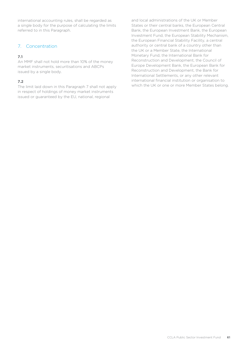international accounting rules, shall be regarded as a single body for the purpose of calculating the limits referred to in this Paragraph.

# 7. Concentration

# **7.1**

An MMF shall not hold more than 10% of the money market instruments, securitisations and ABCPs issued by a single body.

# **7.2**

The limit laid down in this Paragraph 7 shall not apply in respect of holdings of money market instruments issued or guaranteed by the EU, national, regional

and local administrations of the UK or Member States or their central banks, the European Central Bank, the European Investment Bank, the European Investment Fund, the European Stability Mechanism, the European Financial Stability Facility, a central authority or central bank of a country other than the UK or a Member State, the International Monetary Fund, the International Bank for Reconstruction and Development, the Council of Europe Development Bank, the European Bank for Reconstruction and Development, the Bank for International Settlements, or any other relevant international financial institution or organisation to which the UK or one or more Member States belong.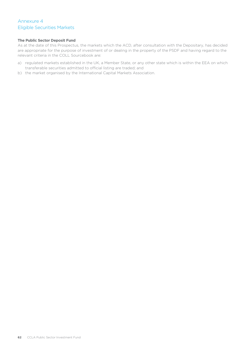# <span id="page-61-0"></span>Annexure 4 Eligible Securities Markets

#### **The Public Sector Deposit Fund**

As at the date of this Prospectus, the markets which the ACD, after consultation with the Depositary, has decided are appropriate for the purpose of investment of or dealing in the property of the PSDF and having regard to the relevant criteria in the COLL Sourcebook are:

- a) regulated markets established in the UK, a Member State, or any other state which is within the EEA on which transferable securities admitted to official listing are traded; and
- b) the market organised by the International Capital Markets Association.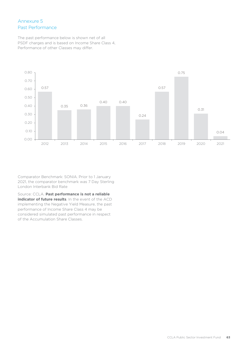# <span id="page-62-0"></span>Annexure 5 Past Performance

The past performance below is shown net of all PSDF charges and is based on Income Share Class 4, Performance of other Classes may differ.



Comparator Benchmark: SONIA. Prior to 1 January 2021, the comparator benchmark was 7 Day Sterling London Interbank Bid Rate

Source: CCLA. **Past performance is not a reliable indicator of future results**. In the event of the ACD implementing the Negative Yield Measure, the past performance of Income Share Class 4 may be considered simulated past performance in respect of the Accumulation Share Classes.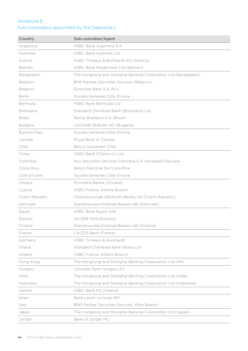# <span id="page-63-0"></span>Annexure 6

# Sub-custodians appointed by the Depositary

| <b>Country</b>  | Sub-custodian/Agent                                            |
|-----------------|----------------------------------------------------------------|
| Argentina       | HSBC Bank Argentina S.A.                                       |
| Australia       | <b>HSBC Bank Australia Ltd</b>                                 |
| Austria         | HSBC Trinkaus & Burkhardt AG (Austria)                         |
| Bahrain         | HSBC Bank Middle East Ltd (Bahrain)                            |
| Bangladesh      | The Hongkong and Shanghai Banking Corporation Ltd (Bangladesh) |
| Belgium         | BNP Paribas Securities Services (Belgium)                      |
| Belgium         | Euroclear Bank S.A./N.V.                                       |
| Benin           | Societe Generale Côte d'Ivoire                                 |
| Bermuda         | <b>HSBC Bank Bermuda Ltd</b>                                   |
| Botswana        | Standard Chartered Bank (Botswana) Ltd                         |
| Brazil          | Banco Bradesco S.A (Brazil)                                    |
| <b>Bulgaria</b> | UniCredit Bulbank AD (Bulgaria)                                |
| Burkina Faso    | Societe Generale Côte d'Ivoire                                 |
| Canada          | Royal Bank of Canada                                           |
| Chile           | Banco Santander Chile                                          |
| China           | HSBC Bank (China) Co Ltd                                       |
| Colombia        | Itau Securities Services Colombia S.A. Sociedad Fiduciara      |
| Costa Rica      | Banco Nacional De Costa Rica                                   |
| Cote d'Ivoire   | Societe Generale Côte d'Ivoire                                 |
| Croatia         | Privredna Banka, (Croatia)                                     |
| Cyprus          | HSBC France, Athens Branch                                     |
| Czech Republic  | Ceskoslovensak Obchodni Banka, AS (Czech Republic)             |
| Denmark         | Skandinaviska Enskilda Banken AB (Denmark)                     |
| Egypt           | <b>HSBC Bank Egypt SAE</b>                                     |
| Estonia         | AS SEB Pank, (Estonia)                                         |
| Finland         | Skandinaviska Enskilda Banken AB (Finland)                     |
| France          | CACEIS Bank (France)                                           |
| Germany         | <b>HSBC Trinkaus &amp; Burkhardt</b>                           |
| Ghana           | Standard Chartered Bank Ghana Ltd                              |
| Greece          | HSBC France, Athens Branch                                     |
| Hong Kong       | The Hongkong and Shanghai Banking Corporation Ltd (HK)         |
| Hungary         | Unicredit Bank Hungary Zrt                                     |
| India           | The Hongkong and Shanghai Banking Corporation Ltd (India)      |
| Indonesia       | The Hongkong and Shanghai Banking Corporation Ltd (Indonesia)  |
| Ireland         | HSBC Bank Plc (Ireland)                                        |
| Israel          | Bank Leumi Le-Israel BM                                        |
| Italy           | BNP Paribas Securities Services, Milan Branch                  |
| Japan           | The Hongkong and Shanghai Banking Corporation Ltd (Japan)      |
| Jordan          | Bank of Jordan Plc                                             |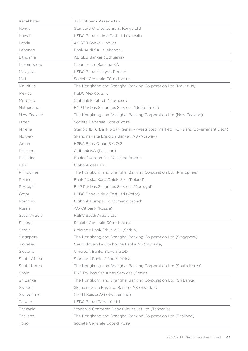| Kazakhstan   | <b>JSC Citibank Kazakhstan</b>                                                     |
|--------------|------------------------------------------------------------------------------------|
| Kenya        | Standard Chartered Bank Kenya Ltd                                                  |
| Kuwait       | HSBC Bank Middle East Ltd (Kuwait)                                                 |
| Latvia       | AS SEB Banka (Latvia)                                                              |
| Lebanon      | Bank Audi SAL (Lebanon)                                                            |
| Lithuania    | AB SEB Bankas (Lithuania)                                                          |
| Luxembourg   | Clearstream Banking SA                                                             |
| Malaysia     | HSBC Bank Malaysia Berhad                                                          |
| Mali         | Societe Generale Côte d'Ivoire                                                     |
| Mauritius    | The Hongkong and Shanghai Banking Corporation Ltd (Mauritius)                      |
| Mexico       | HSBC Mexico, S.A.                                                                  |
| Morocco      | Citibank Maghreb (Morocco)                                                         |
| Netherlands  | BNP Paribas Securities Services (Netherlands)                                      |
| New Zealand  | The Hongkong and Shanghai Banking Corporation Ltd (New Zealand)                    |
| Niger        | Societe Generale Côte d'Ivoire                                                     |
| Nigeria      | Stanbic IBTC Bank plc (Nigeria) - (Restricted market: T-Bills and Government Debt) |
| Norway       | Skandinaviska Enskilda Banken AB (Norway)                                          |
| Oman         | HSBC Bank Oman S.A.O.G.                                                            |
| Pakistan     | Citibank NA (Pakistan)                                                             |
| Palestine    | Bank of Jordan Plc, Palestine Branch                                               |
| Peru         | Citibank del Peru                                                                  |
| Philippines  | The Hongkong and Shanghai Banking Corporation Ltd (Philippines)                    |
| Poland       | Bank Polska Kasa Opieki S.A. (Poland)                                              |
| Portugal     | <b>BNP Paribas Securities Services (Portugal)</b>                                  |
| Qatar        | HSBC Bank Middle East Ltd (Qatar)                                                  |
| Romania      | Citibank Europe plc, Romania branch                                                |
| Russia       | AO Citibank (Russia)                                                               |
| Saudi Arabia | <b>HSBC Saudi Arabia Ltd</b>                                                       |
| Senegal      | Societe Generale Côte d'Ivoire                                                     |
| Serbia       | Unicredit Bank Srbija A.D. (Serbia)                                                |
| Singapore    | The Hongkong and Shanghai Banking Corporation Ltd (Singapore)                      |
| Slovakia     | Ceskoslovenska Obchodna Banka AS (Slovakia)                                        |
| Slovenia     | Unicredit Banka Slovenija DD                                                       |
| South Africa | Standard Bank of South Africa                                                      |
| South Korea  | The Hongkong and Shanghai Banking Corporation Ltd (South Korea)                    |
| Spain        | <b>BNP Paribas Securities Services (Spain)</b>                                     |
| Sri Lanka    | The Hongkong and Shanghai Banking Corporation Ltd (Sri Lanka)                      |
| Sweden       | Skandinaviska Enskilda Banken AB (Sweden)                                          |
| Switzerland  | Credit Suisse AG (Switzerland)                                                     |
| Taiwan       | HSBC Bank (Taiwan) Ltd                                                             |
| Tanzania     | Standard Chartered Bank (Mauritius) Ltd (Tanzania)                                 |
| Thailand     | The Hongkong and Shanghai Banking Corporation Ltd (Thailand)                       |
| Togo         | Societe Generale Côte d'Ivoire                                                     |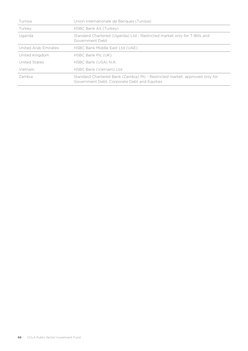| Tunisia              | Union Internationale de Banques (Tunisia)                                                                                   |
|----------------------|-----------------------------------------------------------------------------------------------------------------------------|
| Turkey               | HSBC Bank AS (Turkey)                                                                                                       |
| Uganda               | Standard Chartered (Uganda) Ltd - Restricted market only for T-Bills and<br>Government Debt                                 |
| United Arab Emirates | HSBC Bank Middle East Ltd (UAE)                                                                                             |
| United Kingdom       | HSBC Bank Plc (UK)                                                                                                          |
| United States        | HSBC Bank (USA) N.A.                                                                                                        |
| Vietnam              | HSBC Bank (Vietnam) Ltd                                                                                                     |
| Zambia               | Standard Chartered Bank (Zambia) Plc - Restricted market: approved only for<br>Government Debt, Corporate Debt and Equities |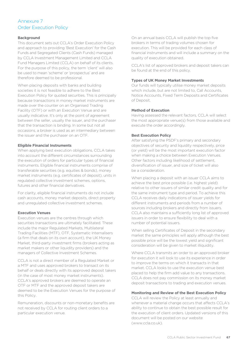# <span id="page-66-0"></span>Annexure 7 Order Execution Policy

#### **Background**

This document sets out CCLA's Order Execution Policy and approach to providing 'Best Execution' for the Cash Funds and Segregated Clients (Cash Funds) managed by CCLA Investment Management Limited and CCLA Fund Managers Limited (CCLA) on behalf of its clients. For the purpose of this policy, the term 'client' will also be used to mean 'scheme' or 'prospectus' and are therefore deemed to be professional.

When placing deposits with banks and building societies it is not feasible to adhere to the Best Execution Policy for quoted securities. This is principally because transactions in money market instruments are made over the counter on an Organised Trading Facility (OTF) or with an Execution Venue and are usually indicative. It's only at the point of agreement between the seller, usually the issuer, and the purchaser that the transaction is binding. In some but not all occasions, a broker is used as an intermediary between the issuer and the purchaser on an OTF.

#### **Eligible Financial Instruments**

When applying best execution obligations, CCLA takes into account the different circumstances surrounding the execution of orders for particular types of financial instruments. Eligible financial instruments comprise of transferable securities (e.g. equities & bonds), money market instruments (e.g. certificates of deposit), units in regulated collective investment schemes, options, futures and other financial derivatives.

For clarity, eligible financial instruments do not include cash accounts, money market deposits, direct property and unregulated collective investment schemes.

#### **Execution Venues**

Execution venues are the centres through which securities transactions are ultimately facilitated. These include the major Regulated Markets, Multilateral Trading Facilities (MTF), OTF, Systematic Internalisers (a firm that deals on its own account), the UK Money Market, third-party investment firms (brokers acting as market makers or other liquidity providers) and the managers of Collective Investment Schemes.

CCLA is not a direct member of a Regulated Market or a MTF and uses approved brokers to transact on its behalf or deals directly with its approved deposit takers (in the case of most money market instruments). CCLA's approved brokers are deemed to operate an OTF or MTF and the approved deposit takers are deemed to be the Execution Venues for the purpose of this Policy.

Remuneration, discounts or non-monetary benefits are not received by CCLA for routing client orders to a particular execution venue.

On an annual basis CCLA will publish the top five brokers in terms of trading volumes chosen for execution. This will be provided for each class of financial instruments and will include a summary on the quality of execution obtained.

CCLA's list of approved brokers and deposit takers can be found at the end of this policy.

#### **Types of UK Money Market Investments**

Our funds will typically utilise money market deposits which include, but are not limited to, Call Accounts, Notice Accounts, Fixed Term Deposits and Certificates of Deposit.

#### **Method of Execution**

Having assessed the relevant factors, CCLA will select the most appropriate venue(s) from those available and execute the order accordingly.

#### **Best Execution Policy**

After satisfying the PSDF's primary and secondary objectives of security and liquidity respectively, price (or yield) will be the most important execution factor when making a choice between Execution Venues. Other factors including likelihood of settlement, diversification of issuer, and size of ticket will also be a consideration.

When placing a deposit with an issuer CCLA aims to achieve the best price possible (i.e. highest yield) relative to other issuers of similar credit quality and for the same instrument type and period. To achieve this CCLA receives daily indications of issuer yields for different instruments and periods from a number of sources including brokers and directly from issuers. CCLA also maintains a sufficiently long list of approved issuers in order to ensure flexibility to deal with a number of potential issuers.

When selling Certificates of Deposit in the secondary market the same principles will apply although the best possible price will be the lowest yield and significant consideration will be given to market illiquidity.

Where CCLA transmits an order to an approved broker for execution it will look to use its experience in order to improve the terms on which it transacts in that market. CCLA looks to use the execution venue best placed to help the firm add value to any transactions. CCLA does not pay commission on its money market deposit transactions to trading and execution venues.

#### **Monitoring and Review of the Best Execution Policy**

CCLA will review the Policy at least annually and whenever a material change occurs that affects CCLA's ability to continue to obtain the best possible result for the execution of client orders. Updated versions of this document will be posted on our website (www.ccla.co.uk).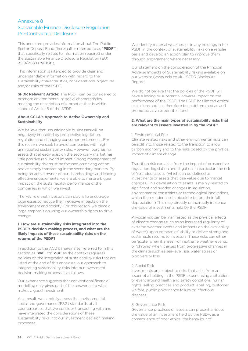# <span id="page-67-0"></span>Annexure 8 Sustainable Finance Disclosure Regulation: Pre-Contractual Disclosure

This annexure provides information about The Public Sector Deposit Fund (hereinafter referred to as "**PSDF**") that specifically relates to information required under the Sustainable Finance Disclosure Regulation (EU) 2019/2088 ("**SFDR**").

This information is intended to provide clear and understandable information with regard to the sustainability characteristics, considerations, objectives and/or risks of the PSDF.

**SFDR Relevant Article:** The PSDF can be considered to promote environmental or social characteristics, meeting the description of a product that is within scope of Article 8 of the SFDR.

### **About CCLA's Approach to Active Ownership and Sustainability**

We believe that unsustainable businesses will be negatively impacted by prospective legislation, regulation and changing consumer preferences. For this reason, we seek to avoid companies with high unmitigated sustainability risks. However, purchasing assets that already exist on the secondary market has little positive real-world impact. Strong management of sustainability risk must be focused on driving action above simply transacting in the secondary markets. By being an active owner of our shareholdings and leading effective engagements, we are able to make a bigger impact on the sustainability performance of the companies in which we invest.

The key role that investors can play is to encourage businesses to reduce their negative impacts on the environment and society. For this reason, we place a large emphasis on using our ownership rights to drive change.

#### **1. How are sustainability risks integrated into the PSDF's decision-making process, and what are the likely impacts of these sustainability risks on the returns of the PSDF?**

In addition to the ACD's (hereinafter referred to in this section as "**we**", "or "**our**" as the context requires) policies on the integration of sustainability risks that are listed at the end of this annexure, our approach to integrating sustainability risks into our investment decision-making process is as follows.

Our experience suggests that conventional financial modelling only gives part of the answer as to what makes a good investment.

As a result, we carefully assess the environmental, social and governance (ESG) standards of all counterparties that we consider transacting with and have integrated the considerations of these sustainability risks into our investment decision making processes.

We identify material weaknesses in any holdings in the PSDF in the context of sustainability risks on a regular basis and develop an action plan to improve them through engagement where necessary.

Our statement on the consideration of the Principal Adverse Impacts of Sustainability risks is available on our website [\(www.ccla.co.uk](http://www.ccla.co.uk/) – SFDR Disclosure Report).

We do not believe that the policies of the PSDF will have a lasting or substantial adverse impact on the performance of the PSDF. The PSDF has limited ethical exclusions and has therefore been determined as and promoted as a responsible fund.

#### **2. What are the main types of sustainability risks that are relevant to issuers invested in by the PSDF?**

#### 1. Environmental Risk

Climate related risks and other environmental risks can be split into those related to the transition to a low carbon economy and to the risks posed by the physical impact of climate change.

Transition risk can arise from the impact of prospective regulation, legislation and litigation; in particular, the risk of 'stranded assets' (which can be defined as investments or assets that lose value due to market changes. This devaluation of assets is mainly related to significant and sudden changes in legislation, environmental constraints or technological innovations, which then render assets obsolete before their full depreciation.) This may directly or indirectly influence the value of investments held by the PSDF.

Physical risk can be manifested as the physical effects of climate change (such as an increased regularity of extreme weather events and impacts on the availability of water) upon companies' ability to deliver strong and sustainable returns to investors. These risks can either be 'acute' when it arises from extreme weather events, or 'chronic' when it arises from progressive changes in the climate such as sea-level rise, water stress or biodiversity loss.

#### 2. Social Risk

Investments are subject to risks that arise from an issuer of a holding in the PSDF experiencing a situation or event around health and safety conditions, human rights, selling practices and product labelling, customer welfare, public governance failure or infectious diseases.

#### 3. Governance Risk

Governance practices of issuers can present a risk to the value of an investment held by the PSDF, as a consequence of poor ethics, the behaviour of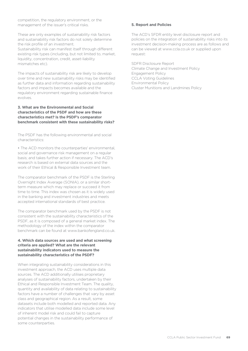competition, the regulatory environment, or the management of the issuer's critical risks.

These are only examples of sustainability risk factors and sustainability risk factors do not solely determine the risk profile of an investment. Sustainability risk can manifest itself through different existing risk types (including, but not limited to, market, liquidity, concentration, credit, asset-liability mismatches etc).

The impacts of sustainability risk are likely to develop over time and new sustainability risks may be identified as further data and information regarding sustainability factors and impacts becomes available and the regulatory environment regarding sustainable finance evolves.

#### **3. What are the Environmental and Social characteristics of the PSDF and how are these characteristics met? Is the PSDF's comparator benchmark consistent with these sustainability risks?**

The PSDF has the following environmental and social characteristics:

• The ACD monitors the counterparties' environmental, social and governance risk management on a regular basis; and takes further action if necessary. The ACD's research is based on external data sources and the work of their Ethical & Responsible Investment team.

The comparator benchmark of the PSDF is the Sterling Overnight Index Average (SONIA), or a similar shortterm measure which may replace or succeed it from time to time. This index was chosen as it is widely used in the banking and investment industries and meets accepted international standards of best practice.

The comparator benchmark used by the PSDF is not consistent with the sustainability characteristics of the PSDF, as it is composed of a general market index. The methodology of the index within the comparator benchmark can be found at www.bankofengland.co.uk.

#### **4. Which data sources are used and what screening criteria are applied? What are the relevant sustainability indicators used to measure the sustainability characteristics of the PSDF?**

When integrating sustainability considerations in this investment approach, the ACD uses multiple data sources. The ACD additionally utilises proprietary analyses of sustainability factors, undertaken by their Ethical and Responsible Investment Team. The quality, quantity and availability of data relating to sustainability factors have a number of challenges that vary by asset class and geographical region. As a result, some datasets include both modelled and reported data. Any indicators that utilise modelled data include some level of inherent model risk and could fail to capture potential changes in the sustainability performance of some counterparties.

#### **5. Report and Policies**

The ACD's SFDR entity level disclosure report and policies on the integration of sustainability risks into its investment decision-making process are as follows and can be viewed a[t www.ccla.co.uk](http://www.ccla.co.uk/) or supplied upon request:

SDFR Disclosure Report Climate Change and Investment Policy Engagement Policy CCLA Voting Guidelines Environmental Policy Cluster Munitions and Landmines Policy